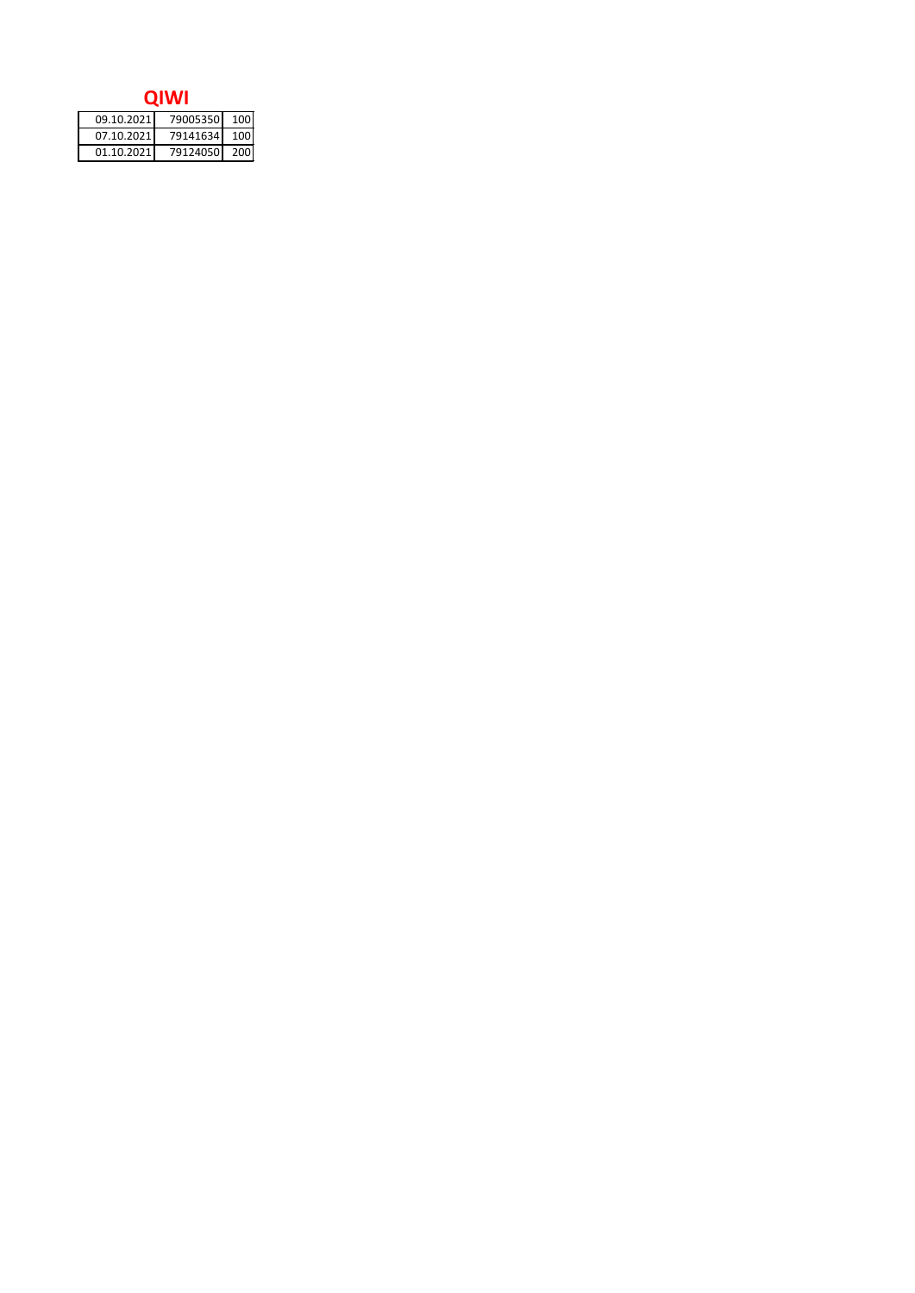| 09.10.2021 | 79005350 100 |  |
|------------|--------------|--|
| 07.10.2021 | 79141634 100 |  |
| 01.10.2021 | 79124050 200 |  |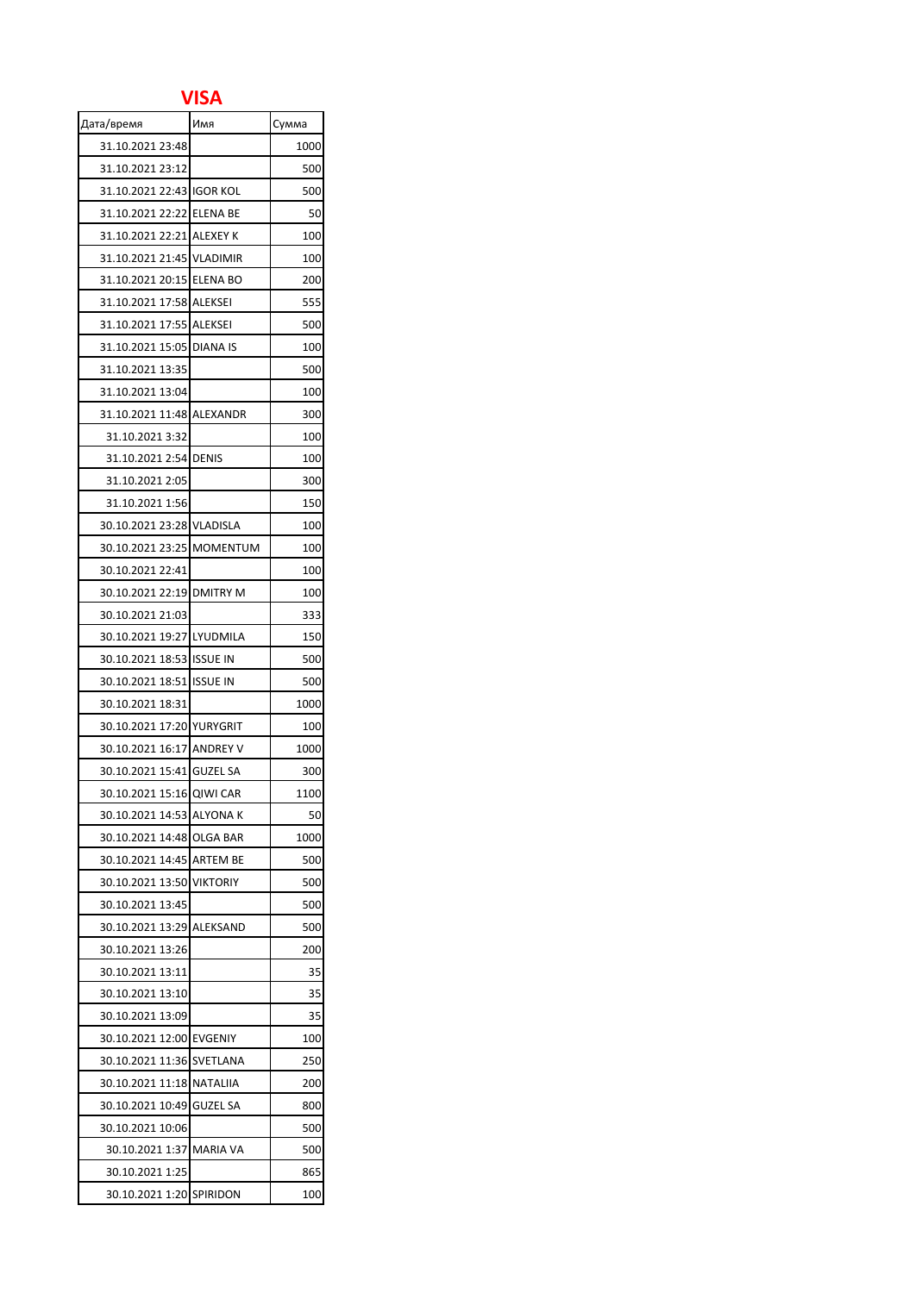## **VISA**

| Дата/время                | Имя             | Сумма |
|---------------------------|-----------------|-------|
| 31.10.2021 23:48          |                 | 1000  |
| 31.10.2021 23:12          |                 | 500   |
| 31.10.2021 22:43 IGOR KOL |                 | 500   |
| 31.10.2021 22:22 ELENA BE |                 | 50    |
| 31.10.2021 22:21 ALEXEY K |                 | 100   |
| 31.10.2021 21:45 VLADIMIR |                 | 100   |
| 31.10.2021 20:15 ELENA BO |                 | 200   |
| 31.10.2021 17:58 ALEKSEI  |                 | 555   |
| 31.10.2021 17:55 ALEKSEI  |                 | 500   |
| 31.10.2021 15:05 DIANA IS |                 | 100   |
| 31.10.2021 13:35          |                 | 500   |
| 31.10.2021 13:04          |                 | 100   |
| 31.10.2021 11:48 ALEXANDR |                 | 300   |
| 31.10.2021 3:32           |                 | 100   |
| 31.10.2021 2:54 DENIS     |                 | 100   |
| 31.10.2021 2:05           |                 | 300   |
| 31.10.2021 1:56           |                 | 150   |
| 30.10.2021 23:28 VLADISLA |                 | 100   |
| 30.10.2021 23:25 MOMENTUM |                 | 100   |
| 30.10.2021 22:41          |                 | 100   |
| 30.10.2021 22:19 DMITRY M |                 | 100   |
| 30.10.2021 21:03          |                 | 333   |
| 30.10.2021 19:27 LYUDMILA |                 | 150   |
| 30.10.2021 18:53 ISSUE IN |                 | 500   |
| 30.10.2021 18:51 ISSUE IN |                 | 500   |
| 30.10.2021 18:31          |                 | 1000  |
| 30.10.2021 17:20 YURYGRIT |                 | 100   |
| 30.10.2021 16:17 ANDREY V |                 | 1000  |
| 30.10.2021 15:41 GUZEL SA |                 | 300   |
| 30.10.2021 15:16 QIWI CAR |                 | 1100  |
| 30.10.2021 14:53 ALYONA K |                 | 50    |
| 30.10.2021 14:48 OLGA BAR |                 | 1000  |
| 30.10.2021 14:45 ARTEM BE |                 | 500   |
| 30.10.2021 13:50 VIKTORIY |                 | 500   |
| 30.10.2021 13:45          |                 | 500   |
| 30.10.2021 13:29 ALEKSAND |                 | 500   |
| 30.10.2021 13:26          |                 | 200   |
| 30.10.2021 13:11          |                 | 35    |
| 30.10.2021 13:10          |                 | 35    |
| 30.10.2021 13:09          |                 | 35    |
| 30.10.2021 12:00 EVGENIY  |                 | 100   |
| 30.10.2021 11:36          | SVETLANA        | 250   |
| 30.10.2021 11:18 NATALIIA |                 | 200   |
| 30.10.2021 10:49          | GUZEL SA        | 800   |
| 30.10.2021 10:06          |                 | 500   |
| 30.10.2021 1:37           | <b>MARIA VA</b> | 500   |
| 30.10.2021 1:25           |                 | 865   |
| 30.10.2021 1:20           | SPIRIDON        | 100   |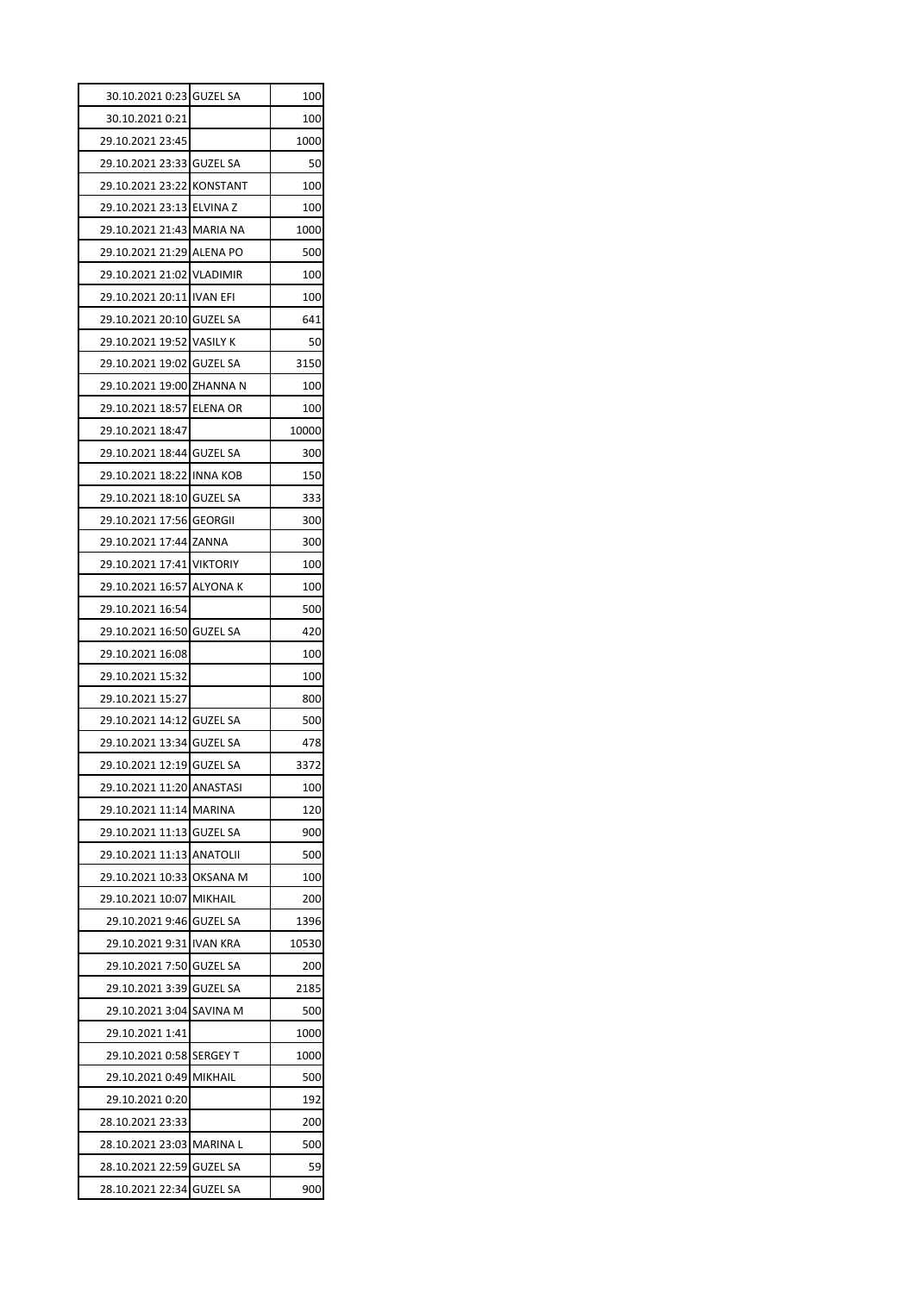| 30.10.2021 0:23 GUZEL SA  |                 | 100   |
|---------------------------|-----------------|-------|
| 30.10.2021 0:21           |                 | 100   |
| 29.10.2021 23:45          |                 | 1000  |
| 29.10.2021 23:33 GUZEL SA |                 | 50    |
| 29.10.2021 23:22 KONSTANT |                 | 100   |
| 29.10.2021 23:13 ELVINA Z |                 | 100   |
| 29.10.2021 21:43 MARIA NA |                 | 1000  |
| 29.10.2021 21:29 ALENA PO |                 | 500   |
| 29.10.2021 21:02 VLADIMIR |                 | 100   |
| 29.10.2021 20:11 IVAN EFI |                 | 100   |
| 29.10.2021 20:10 GUZEL SA |                 | 641   |
| 29.10.2021 19:52 VASILY K |                 | 50    |
| 29.10.2021 19:02 GUZEL SA |                 | 3150  |
| 29.10.2021 19:00 ZHANNA N |                 | 100   |
| 29.10.2021 18:57 ELENA OR |                 | 100   |
| 29.10.2021 18:47          |                 | 10000 |
| 29.10.2021 18:44 GUZEL SA |                 | 300   |
| 29.10.2021 18:22 INNA KOB |                 | 150   |
| 29.10.2021 18:10 GUZEL SA |                 | 333   |
| 29.10.2021 17:56 GEORGII  |                 | 300   |
| 29.10.2021 17:44 ZANNA    |                 | 300   |
| 29.10.2021 17:41 VIKTORIY |                 | 100   |
| 29.10.2021 16:57 ALYONA K |                 | 100   |
| 29.10.2021 16:54          |                 | 500   |
| 29.10.2021 16:50 GUZEL SA |                 | 420   |
| 29.10.2021 16:08          |                 | 100   |
| 29.10.2021 15:32          |                 | 100   |
| 29.10.2021 15:27          |                 | 800   |
| 29.10.2021 14:12 GUZEL SA |                 | 500   |
| 29.10.2021 13:34 GUZEL SA |                 | 478   |
| 29.10.2021 12:19 GUZEL SA |                 | 3372  |
| 29.10.2021 11:20 ANASTASI |                 | 100   |
| 29.10.2021 11:14 MARINA   |                 | 120   |
| 29.10.2021 11:13 GUZEL SA |                 | 900   |
| 29.10.2021 11:13 ANATOLII |                 | 500   |
| 29.10.2021 10:33          | <b>OKSANA M</b> | 100   |
| 29.10.2021 10:07 MIKHAIL  |                 | 200   |
| 29.10.2021 9:46 GUZEL SA  |                 | 1396  |
| 29.10.2021 9:31 IVAN KRA  |                 | 10530 |
| 29.10.2021 7:50 GUZEL SA  |                 | 200   |
| 29.10.2021 3:39           | <b>GUZEL SA</b> | 2185  |
| 29.10.2021 3:04 SAVINA M  |                 | 500   |
| 29.10.2021 1:41           |                 | 1000  |
| 29.10.2021 0:58 SERGEY T  |                 | 1000  |
| 29.10.2021 0:49           | MIKHAIL         | 500   |
| 29.10.2021 0:20           |                 | 192   |
| 28.10.2021 23:33          |                 | 200   |
| 28.10.2021 23:03 MARINA L |                 | 500   |
| 28.10.2021 22:59 GUZEL SA |                 | 59    |
|                           |                 |       |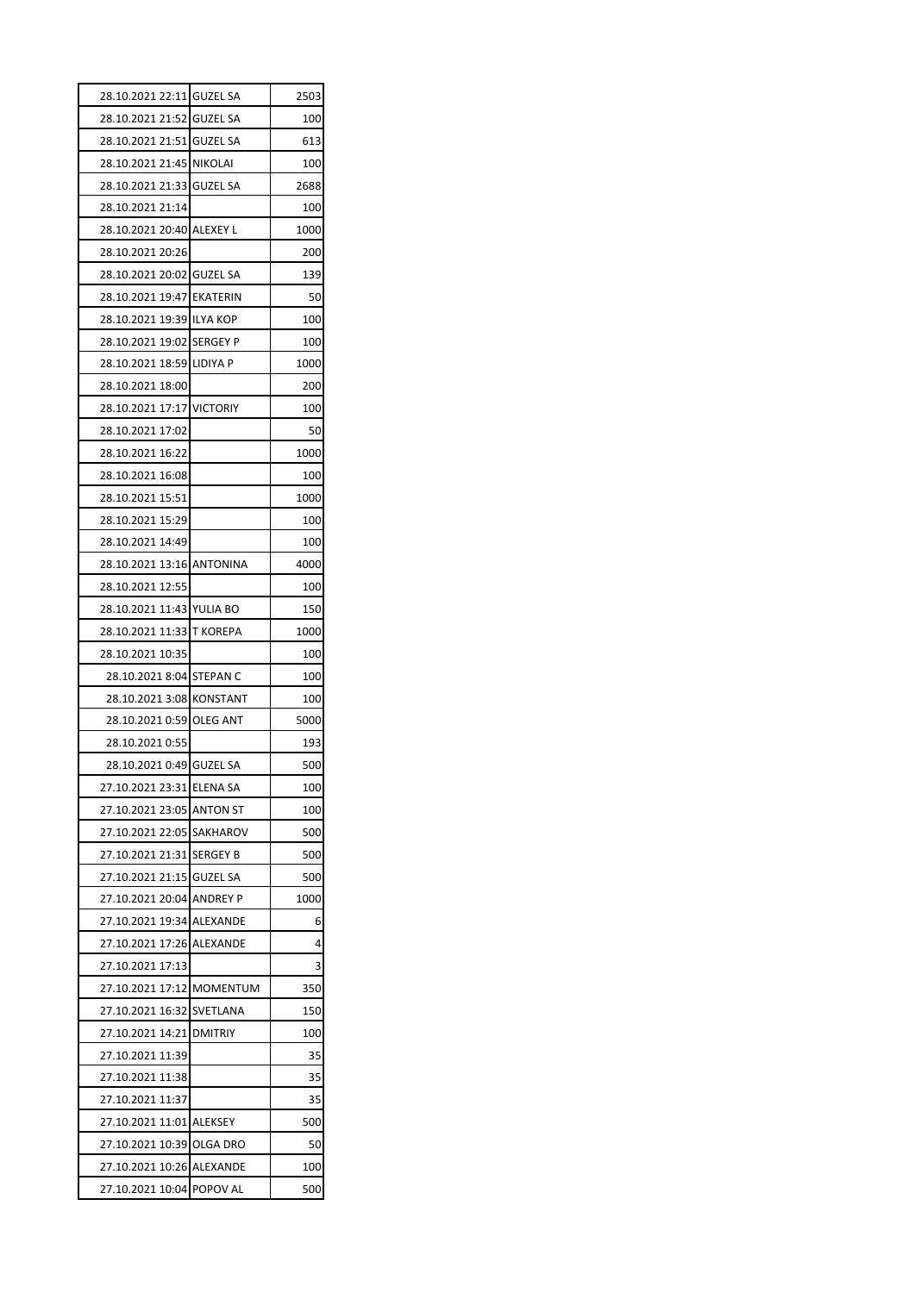| 28.10.2021 22:11 GUZEL SA |                 | 2503 |
|---------------------------|-----------------|------|
| 28.10.2021 21:52 GUZEL SA |                 | 100  |
| 28.10.2021 21:51 GUZEL SA |                 | 613  |
| 28.10.2021 21:45 NIKOLAI  |                 | 100  |
| 28.10.2021 21:33 GUZEL SA |                 | 2688 |
| 28.10.2021 21:14          |                 | 100  |
| 28.10.2021 20:40 ALEXEY L |                 | 1000 |
| 28.10.2021 20:26          |                 | 200  |
| 28.10.2021 20:02 GUZEL SA |                 | 139  |
| 28.10.2021 19:47 EKATERIN |                 | 50   |
| 28.10.2021 19:39 ILYA KOP |                 | 100  |
| 28.10.2021 19:02 SERGEY P |                 | 100  |
| 28.10.2021 18:59 LIDIYA P |                 | 1000 |
| 28.10.2021 18:00          |                 | 200  |
| 28.10.2021 17:17 VICTORIY |                 | 100  |
| 28.10.2021 17:02          |                 | 50   |
| 28.10.2021 16:22          |                 | 1000 |
| 28.10.2021 16:08          |                 | 100  |
| 28.10.2021 15:51          |                 | 1000 |
| 28.10.2021 15:29          |                 | 100  |
| 28.10.2021 14:49          |                 | 100  |
| 28.10.2021 13:16 ANTONINA |                 | 4000 |
| 28.10.2021 12:55          |                 | 100  |
| 28.10.2021 11:43 YULIA BO |                 | 150  |
| 28.10.2021 11:33 T KOREPA |                 | 1000 |
| 28.10.2021 10:35          |                 | 100  |
| 28.10.2021 8:04 STEPAN C  |                 | 100  |
| 28.10.2021 3:08 KONSTANT  |                 | 100  |
| 28.10.2021 0:59 OLEG ANT  |                 | 5000 |
| 28.10.2021 0:55           |                 | 193  |
| 28.10.2021 0:49 GUZEL SA  |                 | 500  |
| 27.10.2021 23:31 ELENA SA |                 | 100  |
| 27.10.2021 23:05          | <b>ANTON ST</b> | 100  |
| 27.10.2021 22:05 SAKHAROV |                 | 500  |
| 27.10.2021 21:31 SERGEY B |                 | 500  |
| 27.10.2021 21:15          | <b>GUZEL SA</b> | 500  |
| 27.10.2021 20:04 ANDREY P |                 | 1000 |
| 27.10.2021 19:34 ALEXANDE |                 | 6    |
| 27.10.2021 17:26 ALEXANDE |                 | 4    |
| 27.10.2021 17:13          |                 | 3    |
| 27.10.2021 17:12 MOMENTUM |                 | 350  |
| 27.10.2021 16:32 SVETLANA |                 | 150  |
| 27.10.2021 14:21          | <b>DMITRIY</b>  | 100  |
| 27.10.2021 11:39          |                 | 35   |
| 27.10.2021 11:38          |                 | 35   |
| 27.10.2021 11:37          |                 | 35   |
| 27.10.2021 11:01 ALEKSEY  |                 | 500  |
| 27.10.2021 10:39 OLGA DRO |                 | 50   |
|                           |                 |      |
| 27.10.2021 10:26 ALEXANDE |                 | 100  |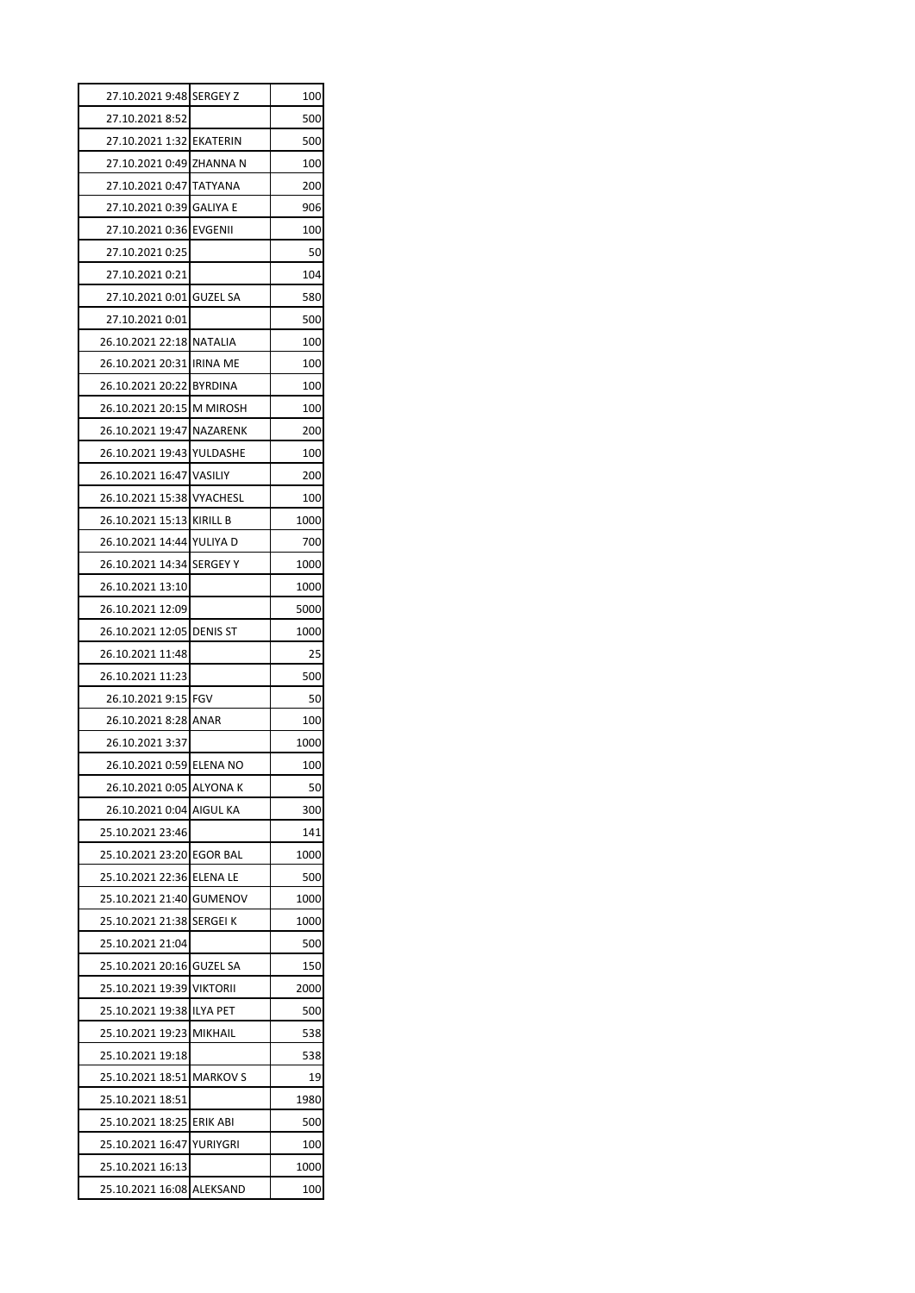| 27.10.2021 9:48 SERGEY Z             |          | 100         |
|--------------------------------------|----------|-------------|
| 27.10.2021 8:52                      |          | 500         |
| 27.10.2021 1:32 EKATERIN             |          | 500         |
| 27.10.2021 0:49 ZHANNA N             |          | 100         |
| 27.10.2021 0:47 TATYANA              |          | 200         |
| 27.10.2021 0:39 GALIYA E             |          | 906         |
| 27.10.2021 0:36 EVGENII              |          | 100         |
| 27.10.2021 0:25                      |          | 50          |
| 27.10.2021 0:21                      |          | 104         |
| 27.10.2021 0:01 GUZEL SA             |          | 580         |
| 27.10.2021 0:01                      |          | 500         |
| 26.10.2021 22:18 NATALIA             |          | 100         |
| 26.10.2021 20:31 IRINA ME            |          | 100         |
| 26.10.2021 20:22 BYRDINA             |          | 100         |
| 26.10.2021 20:15 M MIROSH            |          | 100         |
| 26.10.2021 19:47 NAZARENK            |          | 200         |
| 26.10.2021 19:43 YULDASHE            |          | 100         |
| 26.10.2021 16:47 VASILIY             |          | 200         |
| 26.10.2021 15:38 VYACHESL            |          | 100         |
| 26.10.2021 15:13 KIRILL B            |          | 1000        |
| 26.10.2021 14:44 YULIYA D            |          | 700         |
| 26.10.2021 14:34 SERGEY Y            |          | 1000        |
| 26.10.2021 13:10                     |          | 1000        |
| 26.10.2021 12:09                     |          | 5000        |
| 26.10.2021 12:05 DENIS ST            |          | 1000        |
| 26.10.2021 11:48                     |          | 25          |
| 26.10.2021 11:23                     |          | 500         |
| 26.10.2021 9:15 FGV                  |          | 50          |
| 26.10.2021 8:28 ANAR                 |          | 100         |
| 26.10.2021 3:37                      |          | 1000        |
| 26.10.2021 0:59 ELENA NO             |          | 100         |
| 26.10.2021 0:05 ALYONA K             |          | 50          |
| 26.10.2021 0:04 AIGUL KA             |          | 300         |
| 25.10.2021 23:46                     |          | 141         |
| 25.10.2021 23:20 EGOR BAL            |          | 1000        |
| 25.10.2021 22:36 ELENA LE            |          | 500         |
| 25.10.2021 21:40 GUMENOV             |          | 1000        |
| 25.10.2021 21:38 SERGEI K            |          | 1000        |
| 25.10.2021 21:04                     |          | 500         |
| 25.10.2021 20:16 GUZEL SA            |          | 150         |
| 25.10.2021 19:39 VIKTORII            |          | 2000        |
|                                      |          |             |
| 25.10.2021 19:38 ILYA PET            |          | 500         |
| 25.10.2021 19:23 MIKHAIL             |          |             |
|                                      |          | 538<br>538  |
| 25.10.2021 19:18                     |          |             |
| 25.10.2021 18:51 MARKOV S            |          | 19          |
| 25.10.2021 18:51                     |          | 1980        |
| 25.10.2021 18:25 ERIK ABI            |          | 500         |
| 25.10.2021 16:47<br>25.10.2021 16:13 | YURIYGRI | 100<br>1000 |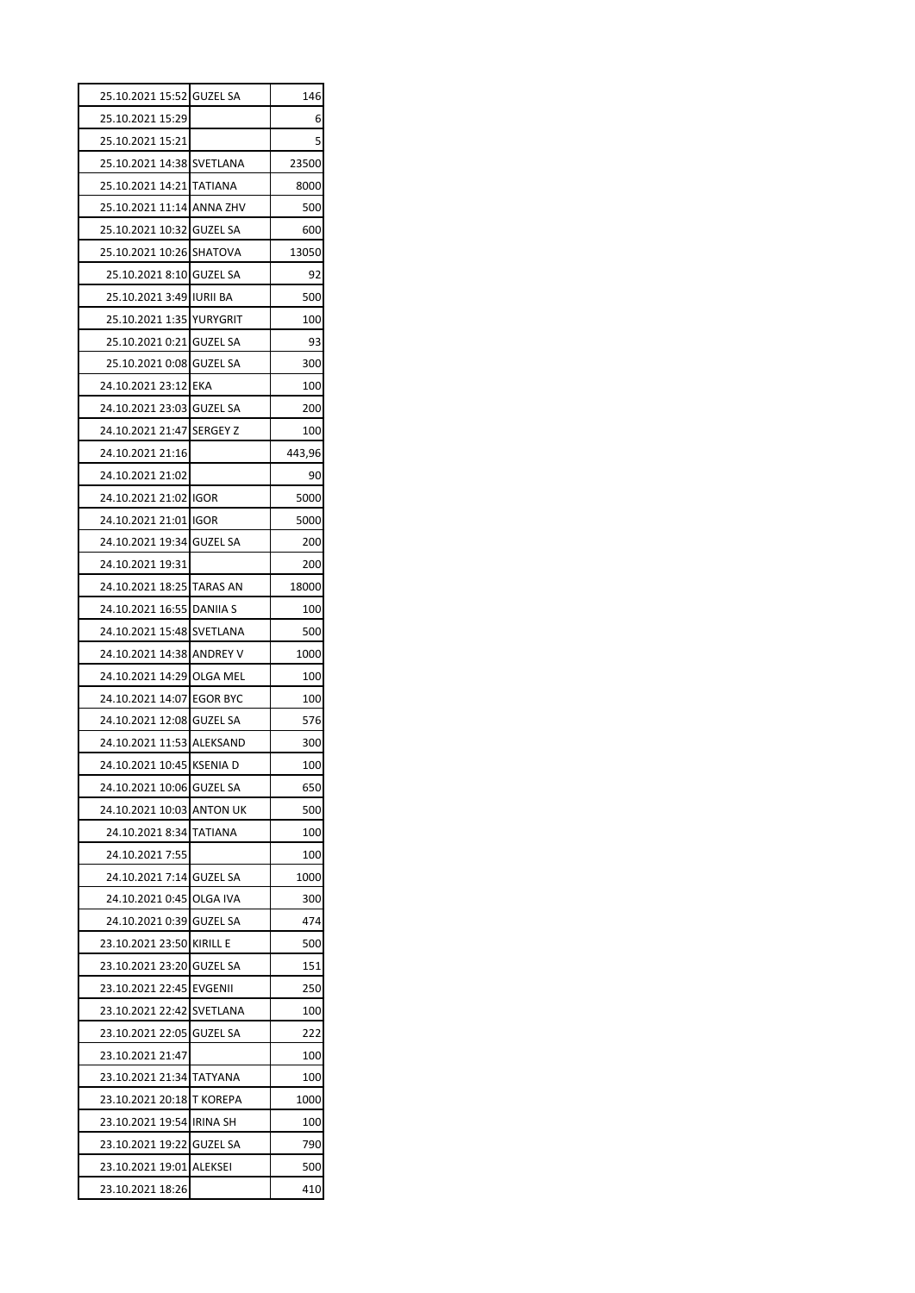| 25.10.2021 15:52 GUZEL SA |                 | 146    |
|---------------------------|-----------------|--------|
| 25.10.2021 15:29          |                 | 6      |
| 25.10.2021 15:21          |                 | 5      |
| 25.10.2021 14:38 SVETLANA |                 | 23500  |
| 25.10.2021 14:21          | <b>TATIANA</b>  | 8000   |
| 25.10.2021 11:14 ANNA ZHV |                 | 500    |
| 25.10.2021 10:32 GUZEL SA |                 | 600    |
| 25.10.2021 10:26 SHATOVA  |                 | 13050  |
| 25.10.2021 8:10 GUZEL SA  |                 | 92     |
| 25.10.2021 3:49 JURII BA  |                 | 500    |
| 25.10.2021 1:35 YURYGRIT  |                 | 100    |
| 25.10.2021 0:21 GUZEL SA  |                 | 93     |
| 25.10.2021 0:08 GUZEL SA  |                 | 300    |
| 24.10.2021 23:12 EKA      |                 | 100    |
| 24.10.2021 23:03 GUZEL SA |                 | 200    |
| 24.10.2021 21:47 SERGEY Z |                 | 100    |
| 24.10.2021 21:16          |                 | 443,96 |
| 24.10.2021 21:02          |                 | 90     |
| 24.10.2021 21:02 IGOR     |                 | 5000   |
| 24.10.2021 21:01 IGOR     |                 | 5000   |
| 24.10.2021 19:34 GUZEL SA |                 | 200    |
| 24.10.2021 19:31          |                 | 200    |
| 24.10.2021 18:25 TARAS AN |                 | 18000  |
| 24.10.2021 16:55          | <b>DANIIA S</b> | 100    |
| 24.10.2021 15:48 SVETLANA |                 | 500    |
| 24.10.2021 14:38 ANDREY V |                 | 1000   |
| 24.10.2021 14:29 OLGA MEL |                 | 100    |
| 24.10.2021 14:07 EGOR BYC |                 | 100    |
| 24.10.2021 12:08 GUZEL SA |                 | 576    |
| 24.10.2021 11:53 ALEKSAND |                 | 300    |
| 24.10.2021 10:45 KSENIA D |                 | 100    |
| 24.10.2021 10:06          | <b>GUZEL SA</b> | 650    |
| 24.10.2021 10:03          | ANTON UK        | 500    |
| 24.10.2021 8:34           | TATIANA         | 100    |
| 24.10.2021 7:55           |                 | 100    |
| 24.10.2021 7:14           | <b>GUZEL SA</b> | 1000   |
| 24.10.2021 0:45           | OLGA IVA        | 300    |
| 24.10.2021 0:39           | <b>GUZEL SA</b> | 474    |
| 23.10.2021 23:50          | <b>KIRILL E</b> | 500    |
| 23.10.2021 23:20          | <b>GUZEL SA</b> | 151    |
| 23.10.2021 22:45          | EVGENII         | 250    |
| 23.10.2021 22:42          | SVETLANA        | 100    |
| 23.10.2021 22:05          | GUZEL SA        | 222    |
| 23.10.2021 21:47          |                 | 100    |
| 23.10.2021 21:34          | TATYANA         | 100    |
| 23.10.2021 20:18          | T KOREPA        | 1000   |
| 23.10.2021 19:54          | <b>IRINA SH</b> | 100    |
| 23.10.2021 19:22          | <b>GUZEL SA</b> | 790    |
| 23.10.2021 19:01          | <b>ALEKSEI</b>  | 500    |
| 23.10.2021 18:26          |                 | 410    |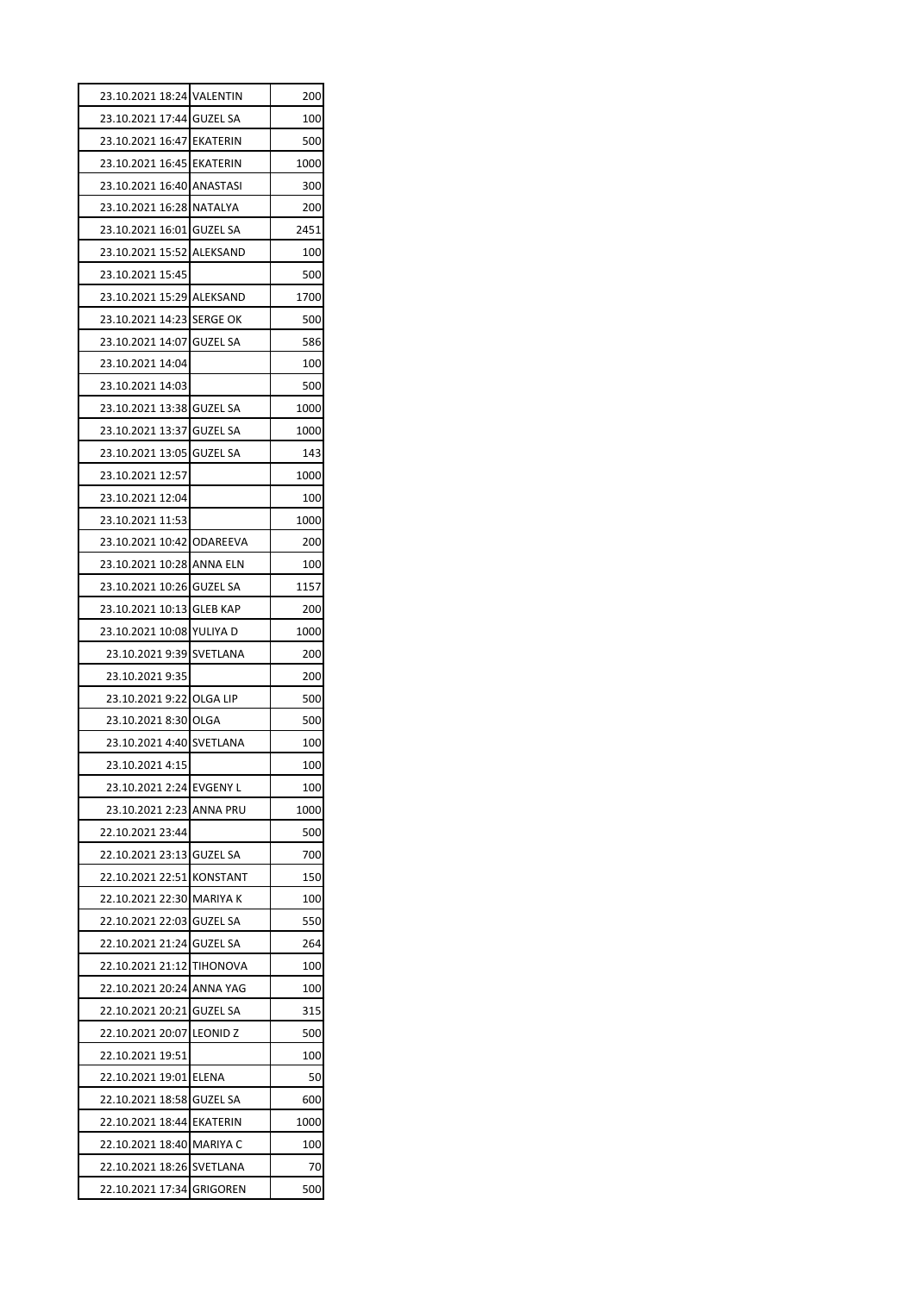| 23.10.2021 18:24 VALENTIN |                 | 200  |
|---------------------------|-----------------|------|
| 23.10.2021 17:44 GUZEL SA |                 | 100  |
| 23.10.2021 16:47 EKATERIN |                 | 500  |
| 23.10.2021 16:45 EKATERIN |                 | 1000 |
| 23.10.2021 16:40 ANASTASI |                 | 300  |
| 23.10.2021 16:28 NATALYA  |                 | 200  |
| 23.10.2021 16:01 GUZEL SA |                 | 2451 |
| 23.10.2021 15:52 ALEKSAND |                 | 100  |
| 23.10.2021 15:45          |                 | 500  |
| 23.10.2021 15:29 ALEKSAND |                 | 1700 |
| 23.10.2021 14:23 SERGE OK |                 | 500  |
| 23.10.2021 14:07 GUZEL SA |                 | 586  |
| 23.10.2021 14:04          |                 | 100  |
| 23.10.2021 14:03          |                 | 500  |
| 23.10.2021 13:38 GUZEL SA |                 | 1000 |
| 23.10.2021 13:37 GUZEL SA |                 | 1000 |
| 23.10.2021 13:05 GUZEL SA |                 | 143  |
| 23.10.2021 12:57          |                 | 1000 |
| 23.10.2021 12:04          |                 | 100  |
| 23.10.2021 11:53          |                 | 1000 |
| 23.10.2021 10:42 ODAREEVA |                 | 200  |
| 23.10.2021 10:28 ANNA ELN |                 | 100  |
| 23.10.2021 10:26 GUZEL SA |                 | 1157 |
| 23.10.2021 10:13 GLEB KAP |                 | 200  |
| 23.10.2021 10:08 YULIYA D |                 | 1000 |
| 23.10.2021 9:39           | <b>SVETLANA</b> | 200  |
| 23.10.2021 9:35           |                 | 200  |
| 23.10.2021 9:22 OLGA LIP  |                 | 500  |
| 23.10.2021 8:30 OLGA      |                 | 500  |
| 23.10.2021 4:40 SVETLANA  |                 | 100  |
| 23.10.2021 4:15           |                 | 100  |
| 23.10.2021 2:24 EVGENY L  |                 | 100  |
| 23.10.2021 2:23           | ANNA PRU        | 1000 |
| 22.10.2021 23:44          |                 | 500  |
| 22.10.2021 23:13          | <b>GUZEL SA</b> | 700  |
| 22.10.2021 22:51          | <b>KONSTANT</b> | 150  |
| 22.10.2021 22:30          | <b>MARIYA K</b> | 100  |
| 22.10.2021 22:03          | <b>GUZEL SA</b> | 550  |
| 22.10.2021 21:24          | <b>GUZEL SA</b> | 264  |
| 22.10.2021 21:12          | <b>TIHONOVA</b> | 100  |
| 22.10.2021 20:24          | ANNA YAG        | 100  |
| 22.10.2021 20:21          | <b>GUZEL SA</b> | 315  |
| 22.10.2021 20:07          | <b>LEONID Z</b> | 500  |
| 22.10.2021 19:51          |                 | 100  |
| 22.10.2021 19:01          | <b>ELENA</b>    | 50   |
| 22.10.2021 18:58          | <b>GUZEL SA</b> | 600  |
| 22.10.2021 18:44          | <b>EKATERIN</b> | 1000 |
| 22.10.2021 18:40 MARIYA C |                 | 100  |
| 22.10.2021 18:26 SVETLANA |                 | 70   |
|                           |                 |      |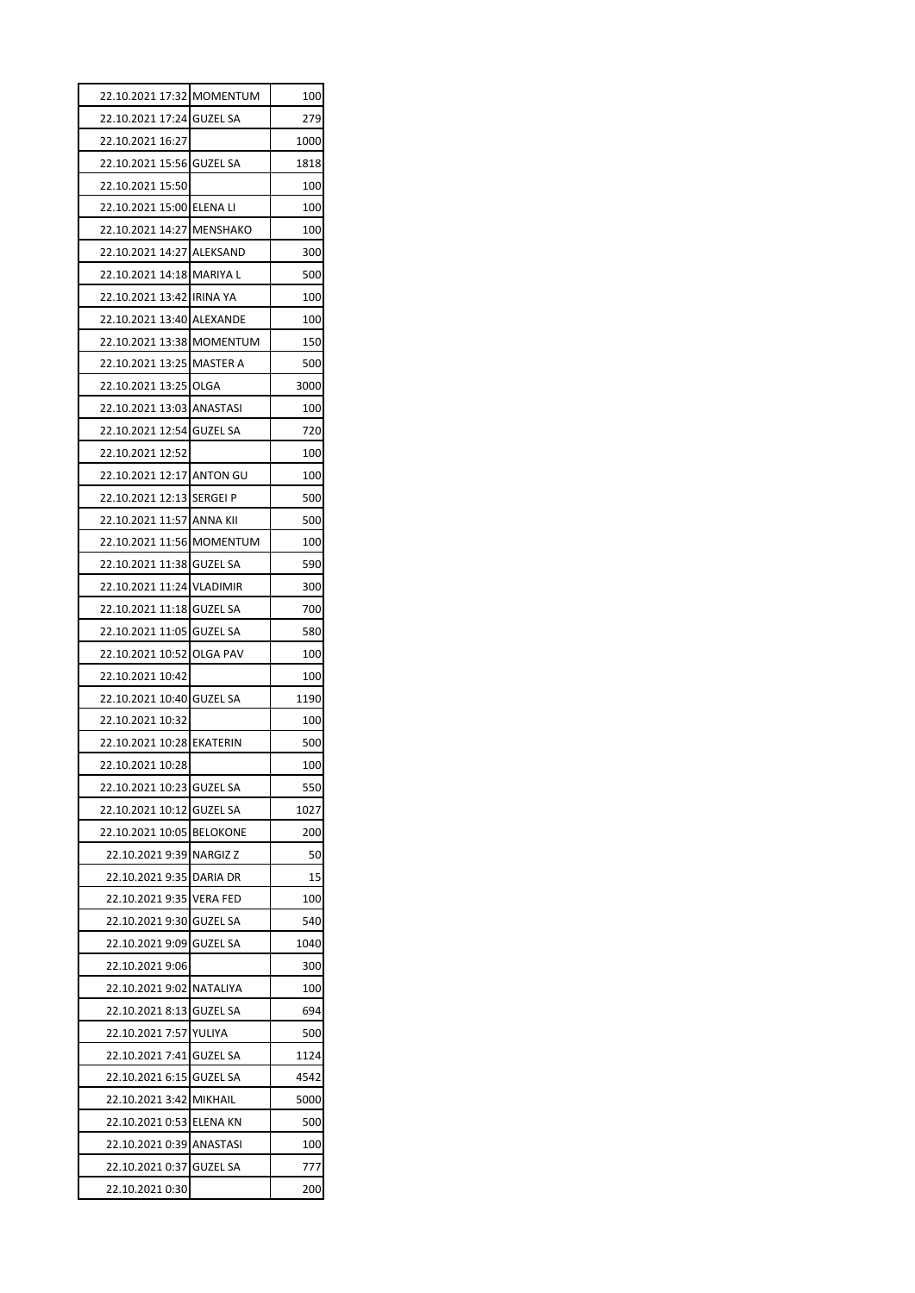| 22.10.2021 17:32 MOMENTUM |                 | 100  |
|---------------------------|-----------------|------|
| 22.10.2021 17:24 GUZEL SA |                 | 279  |
| 22.10.2021 16:27          |                 | 1000 |
| 22.10.2021 15:56 GUZEL SA |                 | 1818 |
| 22.10.2021 15:50          |                 | 100  |
| 22.10.2021 15:00 ELENA LI |                 | 100  |
| 22.10.2021 14:27 MENSHAKO |                 | 100  |
| 22.10.2021 14:27 ALEKSAND |                 | 300  |
| 22.10.2021 14:18 MARIYA L |                 | 500  |
| 22.10.2021 13:42 IRINA YA |                 | 100  |
| 22.10.2021 13:40 ALEXANDE |                 | 100  |
| 22.10.2021 13:38 MOMENTUM |                 | 150  |
| 22.10.2021 13:25 MASTER A |                 | 500  |
| 22.10.2021 13:25          | <b>OLGA</b>     | 3000 |
| 22.10.2021 13:03 ANASTASI |                 | 100  |
| 22.10.2021 12:54 GUZEL SA |                 | 720  |
| 22.10.2021 12:52          |                 | 100  |
| 22.10.2021 12:17 ANTON GU |                 | 100  |
| 22.10.2021 12:13 SERGEI P |                 | 500  |
| 22.10.2021 11:57 ANNA KII |                 | 500  |
| 22.10.2021 11:56 MOMENTUM |                 | 100  |
| 22.10.2021 11:38 GUZEL SA |                 | 590  |
| 22.10.2021 11:24 VLADIMIR |                 | 300  |
| 22.10.2021 11:18 GUZEL SA |                 | 700  |
| 22.10.2021 11:05 GUZEL SA |                 | 580  |
| 22.10.2021 10:52 OLGA PAV |                 | 100  |
| 22.10.2021 10:42          |                 | 100  |
| 22.10.2021 10:40 GUZEL SA |                 | 1190 |
| 22.10.2021 10:32          |                 | 100  |
| 22.10.2021 10:28 EKATERIN |                 | 500  |
| 22.10.2021 10:28          |                 | 100  |
| 22.10.2021 10:23          | <b>GUZEL SA</b> | 550  |
| 22.10.2021 10:12          | <b>GUZEL SA</b> |      |
| 22.10.2021 10:05          |                 | 1027 |
|                           | <b>BELOKONE</b> | 200  |
| 22.10.2021 9:39           | <b>NARGIZZ</b>  | 50   |
| 22.10.2021 9:35           | <b>DARIA DR</b> | 15   |
| 22.10.2021 9:35           | <b>VERA FED</b> | 100  |
| 22.10.2021 9:30           | <b>GUZEL SA</b> | 540  |
| 22.10.2021 9:09           | <b>GUZEL SA</b> | 1040 |
| 22.10.2021 9:06           |                 | 300  |
| 22.10.2021 9:02           | NATALIYA        | 100  |
| 22.10.2021 8:13           | <b>GUZEL SA</b> | 694  |
| 22.10.2021 7:57           | YULIYA          | 500  |
| 22.10.2021 7:41           | <b>GUZEL SA</b> | 1124 |
| 22.10.2021 6:15           | GUZEL SA        | 4542 |
| 22.10.2021 3:42           | MIKHAIL         | 5000 |
| 22.10.2021 0:53           | <b>ELENA KN</b> | 500  |
| 22.10.2021 0:39           | ANASTASI        | 100  |
| 22.10.2021 0:37           | <b>GUZEL SA</b> | 777  |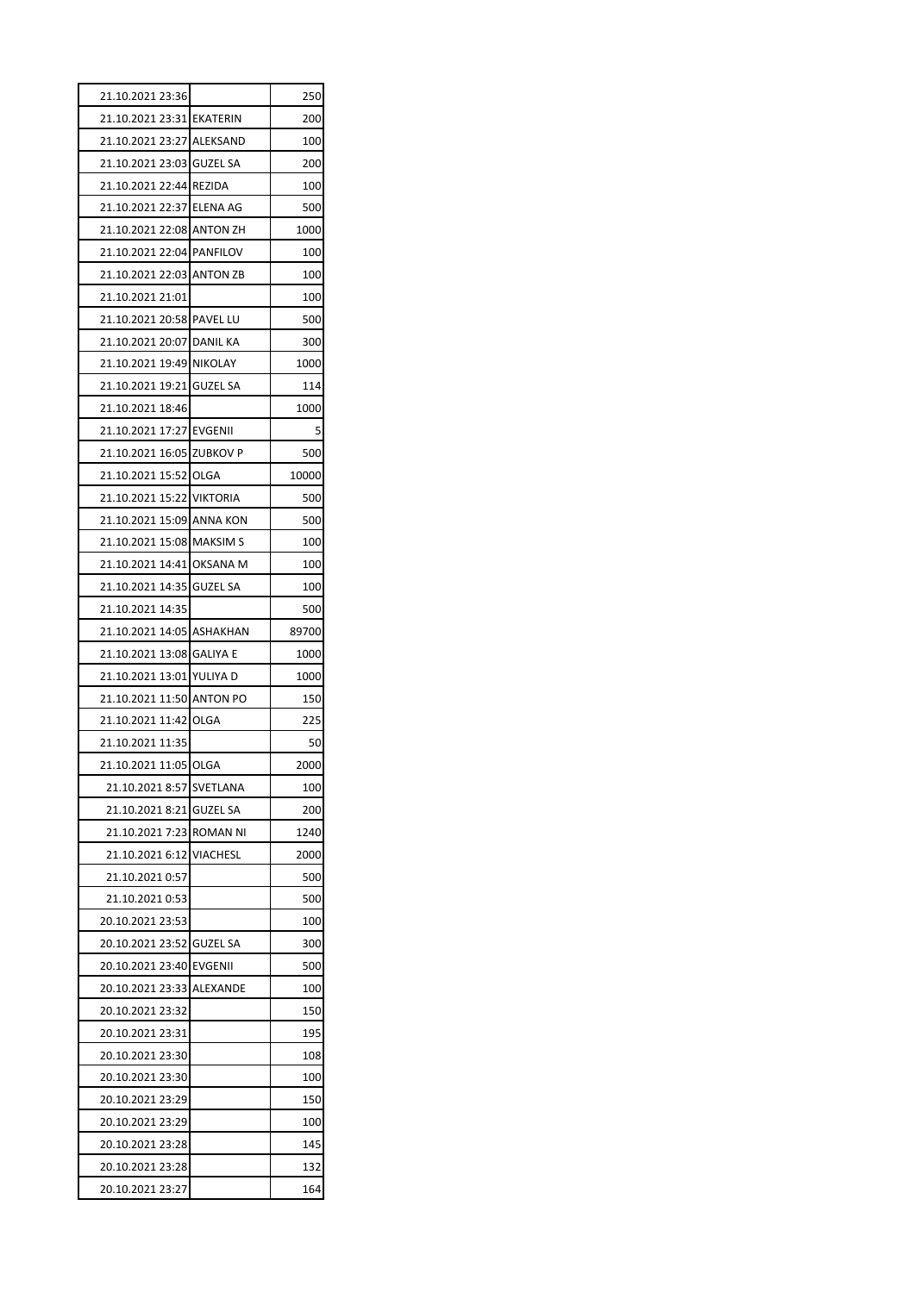| 21.10.2021 23:36          |                 | 250   |
|---------------------------|-----------------|-------|
| 21.10.2021 23:31 EKATERIN |                 | 200   |
| 21.10.2021 23:27 ALEKSAND |                 | 100   |
| 21.10.2021 23:03 GUZEL SA |                 | 200   |
| 21.10.2021 22:44 REZIDA   |                 | 100   |
| 21.10.2021 22:37 ELENA AG |                 | 500   |
| 21.10.2021 22:08 ANTON ZH |                 | 1000  |
| 21.10.2021 22:04 PANFILOV |                 | 100   |
| 21.10.2021 22:03 ANTON ZB |                 | 100   |
| 21.10.2021 21:01          |                 | 100   |
| 21.10.2021 20:58 PAVEL LU |                 | 500   |
| 21.10.2021 20:07 DANIL KA |                 | 300   |
| 21.10.2021 19:49 NIKOLAY  |                 | 1000  |
| 21.10.2021 19:21 GUZEL SA |                 | 114   |
| 21.10.2021 18:46          |                 | 1000  |
| 21.10.2021 17:27 EVGENII  |                 | 5     |
| 21.10.2021 16:05 ZUBKOV P |                 | 500   |
| 21.10.2021 15:52 OLGA     |                 | 10000 |
| 21.10.2021 15:22 VIKTORIA |                 | 500   |
| 21.10.2021 15:09 ANNA KON |                 | 500   |
| 21.10.2021 15:08 MAKSIM S |                 | 100   |
| 21.10.2021 14:41 OKSANA M |                 | 100   |
| 21.10.2021 14:35 GUZEL SA |                 | 100   |
| 21.10.2021 14:35          |                 | 500   |
| 21.10.2021 14:05 ASHAKHAN |                 | 89700 |
| 21.10.2021 13:08 GALIYA E |                 | 1000  |
| 21.10.2021 13:01 YULIYA D |                 | 1000  |
| 21.10.2021 11:50 ANTON PO |                 | 150   |
| 21.10.2021 11:42 OLGA     |                 | 225   |
| 21.10.2021 11:35          |                 | 50    |
| 21.10.2021 11:05 OLGA     |                 | 2000  |
| 21.10.2021 8:57           | SVETLANA        | 100   |
| 21.10.2021 8:21           | <b>GUZEL SA</b> | 200   |
| 21.10.2021 7:23           | <b>ROMAN NI</b> |       |
| 21.10.2021 6:12           |                 | 1240  |
|                           | VIACHESL        | 2000  |
| 21.10.2021 0:57           |                 | 500   |
| 21.10.2021 0:53           |                 | 500   |
| 20.10.2021 23:53          |                 | 100   |
| 20.10.2021 23:52 GUZEL SA |                 | 300   |
| 20.10.2021 23:40          | <b>EVGENII</b>  | 500   |
| 20.10.2021 23:33          | ALEXANDE        | 100   |
| 20.10.2021 23:32          |                 | 150   |
| 20.10.2021 23:31          |                 | 195   |
| 20.10.2021 23:30          |                 | 108   |
| 20.10.2021 23:30          |                 | 100   |
| 20.10.2021 23:29          |                 | 150   |
| 20.10.2021 23:29          |                 | 100   |
| 20.10.2021 23:28          |                 | 145   |
| 20.10.2021 23:28          |                 | 132   |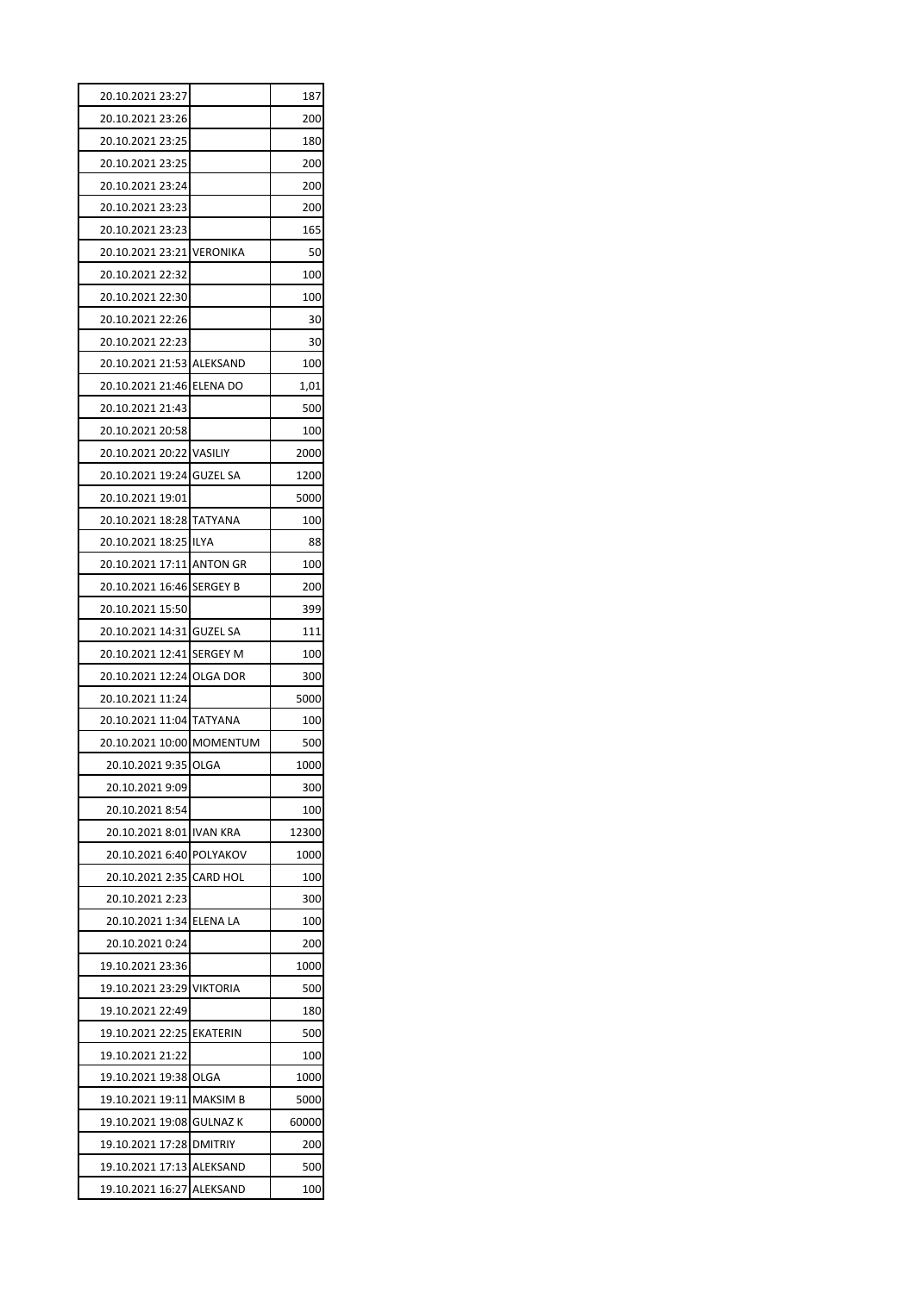| 20.10.2021 23:27                                      | 187        |
|-------------------------------------------------------|------------|
| 20.10.2021 23:26                                      | 200        |
| 20.10.2021 23:25                                      | 180        |
| 20.10.2021 23:25                                      | 200        |
| 20.10.2021 23:24                                      | 200        |
| 20.10.2021 23:23                                      | 200        |
| 20.10.2021 23:23                                      | 165        |
| 20.10.2021 23:21 VERONIKA                             | 50         |
| 20.10.2021 22:32                                      | 100        |
| 20.10.2021 22:30                                      | 100        |
| 20.10.2021 22:26                                      | 30         |
| 20.10.2021 22:23                                      | 30         |
| 20.10.2021 21:53 ALEKSAND                             | 100        |
| 20.10.2021 21:46 ELENA DO                             | 1,01       |
| 20.10.2021 21:43                                      | 500        |
| 20.10.2021 20:58                                      | 100        |
| 20.10.2021 20:22 VASILIY                              | 2000       |
| 20.10.2021 19:24 GUZEL SA                             | 1200       |
| 20.10.2021 19:01                                      | 5000       |
| 20.10.2021 18:28 TATYANA                              | 100        |
| 20.10.2021 18:25 ILYA                                 | 88         |
| 20.10.2021 17:11 ANTON GR                             | 100        |
| 20.10.2021 16:46 SERGEY B                             | 200        |
| 20.10.2021 15:50                                      | 399        |
| 20.10.2021 14:31 GUZEL SA                             | 111        |
| 20.10.2021 12:41 SERGEY M                             | 100        |
| 20.10.2021 12:24 OLGA DOR                             | 300        |
| 20.10.2021 11:24                                      | 5000       |
| 20.10.2021 11:04 TATYANA                              | 100        |
| 20.10.2021 10:00 MOMENTUM                             | 500        |
| 20.10.2021 9:35 OLGA                                  | 1000       |
| 20.10.2021 9:09                                       | 300        |
| 20.10.2021 8:54                                       | 100        |
| 20.10.2021 8:01 IVAN KRA                              | 12300      |
| 20.10.2021 6:40 POLYAKOV                              | 1000       |
| 20.10.2021 2:35 CARD HOL                              | 100        |
| 20.10.2021 2:23                                       | 300        |
| 20.10.2021 1:34 ELENA LA                              | 100        |
| 20.10.2021 0:24                                       | 200        |
| 19.10.2021 23:36                                      | 1000       |
| 19.10.2021 23:29 VIKTORIA                             | 500        |
| 19.10.2021 22:49                                      | 180        |
| 19.10.2021 22:25 EKATERIN                             | 500        |
| 19.10.2021 21:22                                      | 100        |
| 19.10.2021 19:38 OLGA                                 | 1000       |
|                                                       | 5000       |
| 19.10.2021 19:11 MAKSIM B                             |            |
|                                                       |            |
| 19.10.2021 19:08 GULNAZ K                             | 60000      |
| 19.10.2021 17:28 DMITRIY<br>19.10.2021 17:13 ALEKSAND | 200<br>500 |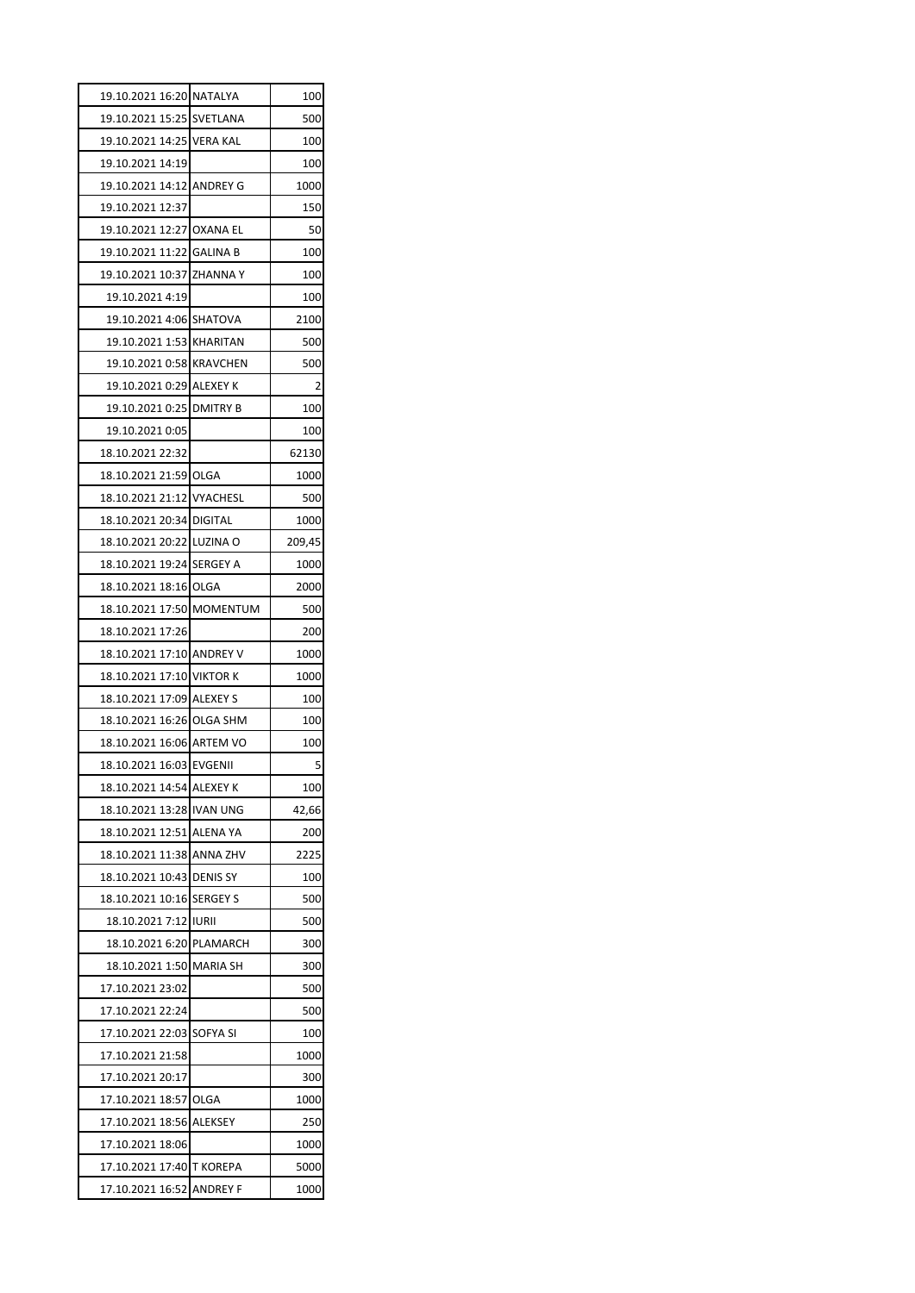| 19.10.2021 16:20 NATALYA  |                 | 100    |
|---------------------------|-----------------|--------|
| 19.10.2021 15:25 SVETLANA |                 | 500    |
| 19.10.2021 14:25 VERA KAL |                 | 100    |
| 19.10.2021 14:19          |                 | 100    |
| 19.10.2021 14:12 ANDREY G |                 | 1000   |
| 19.10.2021 12:37          |                 | 150    |
| 19.10.2021 12:27 OXANA EL |                 | 50     |
| 19.10.2021 11:22 GALINA B |                 | 100    |
| 19.10.2021 10:37 ZHANNA Y |                 | 100    |
| 19.10.2021 4:19           |                 | 100    |
| 19.10.2021 4:06 SHATOVA   |                 | 2100   |
| 19.10.2021 1:53 KHARITAN  |                 | 500    |
| 19.10.2021 0:58 KRAVCHEN  |                 | 500    |
| 19.10.2021 0:29 ALEXEY K  |                 | 2      |
| 19.10.2021 0:25 DMITRY B  |                 | 100    |
| 19.10.2021 0:05           |                 | 100    |
| 18.10.2021 22:32          |                 | 62130  |
| 18.10.2021 21:59 OLGA     |                 | 1000   |
| 18.10.2021 21:12 VYACHESL |                 | 500    |
| 18.10.2021 20:34 DIGITAL  |                 | 1000   |
| 18.10.2021 20:22 LUZINA O |                 | 209,45 |
| 18.10.2021 19:24 SERGEY A |                 | 1000   |
| 18.10.2021 18:16 OLGA     |                 | 2000   |
| 18.10.2021 17:50 MOMENTUM |                 | 500    |
| 18.10.2021 17:26          |                 | 200    |
| 18.10.2021 17:10 ANDREY V |                 | 1000   |
| 18.10.2021 17:10 VIKTOR K |                 | 1000   |
| 18.10.2021 17:09 ALEXEY S |                 | 100    |
| 18.10.2021 16:26 OLGA SHM |                 | 100    |
| 18.10.2021 16:06 ARTEM VO |                 | 100    |
| 18.10.2021 16:03 EVGENII  |                 | 5      |
| 18.10.2021 14:54 ALEXEY K |                 | 100    |
| 18.10.2021 13:28 IVAN UNG |                 | 42,66  |
| 18.10.2021 12:51 ALENA YA |                 | 200    |
| 18.10.2021 11:38 ANNA ZHV |                 | 2225   |
| 18.10.2021 10:43          | <b>DENIS SY</b> | 100    |
| 18.10.2021 10:16 SERGEY S |                 | 500    |
| 18.10.2021 7:12 IURII     |                 | 500    |
| 18.10.2021 6:20 PLAMARCH  |                 | 300    |
| 18.10.2021 1:50 MARIA SH  |                 | 300    |
| 17.10.2021 23:02          |                 | 500    |
| 17.10.2021 22:24          |                 | 500    |
| 17.10.2021 22:03 SOFYA SI |                 | 100    |
| 17.10.2021 21:58          |                 | 1000   |
| 17.10.2021 20:17          |                 | 300    |
| 17.10.2021 18:57 OLGA     |                 | 1000   |
| 17.10.2021 18:56          | <b>ALEKSEY</b>  | 250    |
| 17.10.2021 18:06          |                 | 1000   |
| 17.10.2021 17:40 T KOREPA |                 | 5000   |
| 17.10.2021 16:52 ANDREY F |                 | 1000   |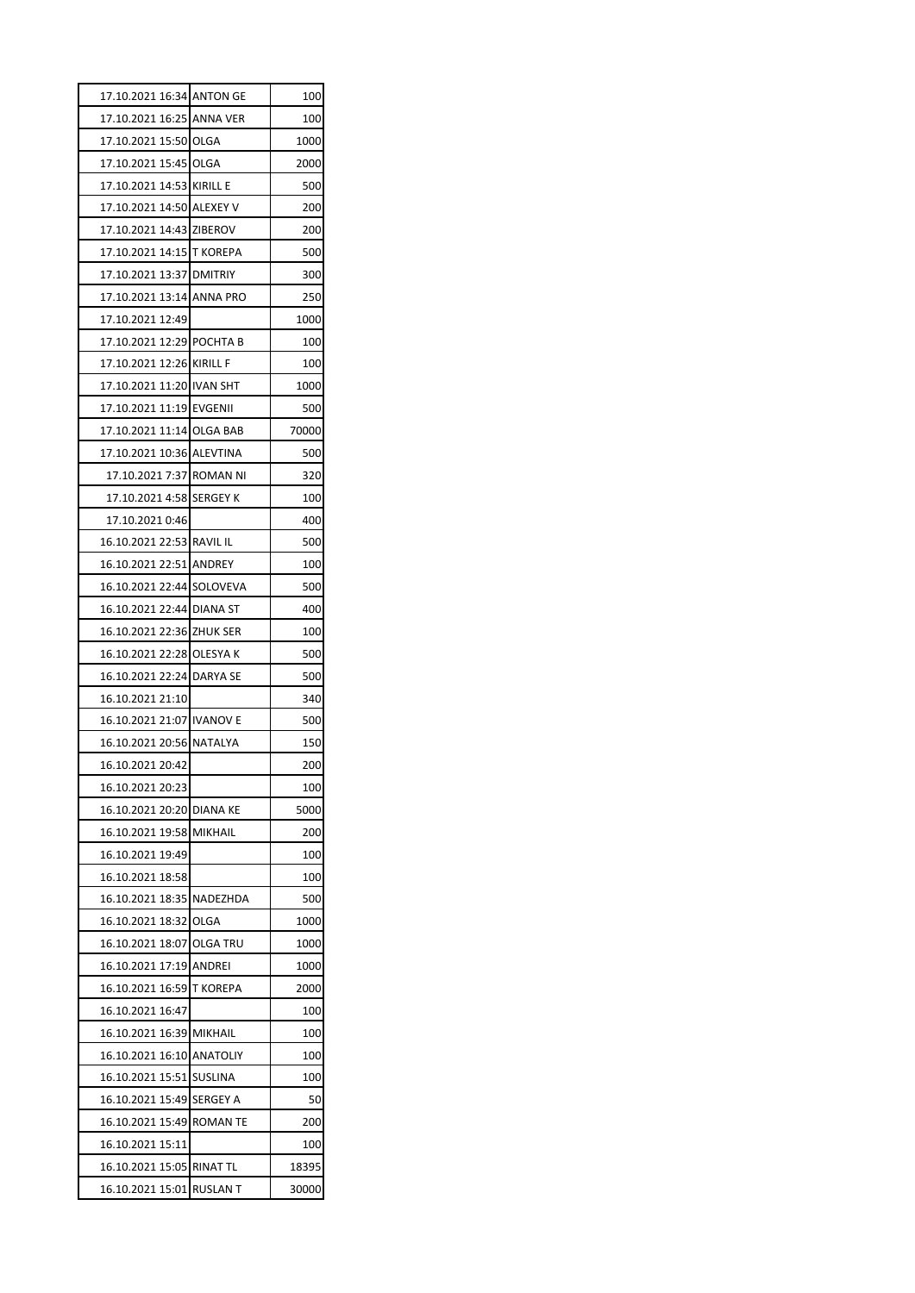| 17.10.2021 16:34 ANTON GE                     |                 | 100          |
|-----------------------------------------------|-----------------|--------------|
| 17.10.2021 16:25 ANNA VER                     |                 | 100          |
| 17.10.2021 15:50 OLGA                         |                 | 1000         |
| 17.10.2021 15:45 OLGA                         |                 | 2000         |
| 17.10.2021 14:53 KIRILL E                     |                 | 500          |
| 17.10.2021 14:50 ALEXEY V                     |                 | 200          |
| 17.10.2021 14:43 ZIBEROV                      |                 | 200          |
| 17.10.2021 14:15 T KOREPA                     |                 | 500          |
| 17.10.2021 13:37 DMITRIY                      |                 | 300          |
| 17.10.2021 13:14 ANNA PRO                     |                 | 250          |
| 17.10.2021 12:49                              |                 | 1000         |
| 17.10.2021 12:29 POCHTA B                     |                 | 100          |
| 17.10.2021 12:26 KIRILL F                     |                 | 100          |
| 17.10.2021 11:20 IVAN SHT                     |                 | 1000         |
| 17.10.2021 11:19 EVGENII                      |                 | 500          |
| 17.10.2021 11:14 OLGA BAB                     |                 | 70000        |
| 17.10.2021 10:36 ALEVTINA                     |                 | 500          |
| 17.10.2021 7:37 ROMAN NI                      |                 | 320          |
| 17.10.2021   4:58 SERGEY K                    |                 | 100          |
| 17.10.2021 0:46                               |                 | 400          |
| 16.10.2021 22:53 RAVIL IL                     |                 | 500          |
| 16.10.2021 22:51 ANDREY                       |                 | 100          |
| 16.10.2021 22:44 SOLOVEVA                     |                 | 500          |
| 16.10.2021 22:44 DIANA ST                     |                 | 400          |
| 16.10.2021 22:36 ZHUK SER                     |                 | 100          |
| 16.10.2021 22:28 OLESYA K                     |                 | 500          |
| 16.10.2021 22:24 DARYA SE                     |                 | 500          |
| 16.10.2021 21:10                              |                 | 340          |
| 16.10.2021 21:07 IVANOV E                     |                 | 500          |
| 16.10.2021 20:56 NATALYA                      |                 | 150          |
| 16.10.2021 20:42                              |                 | 200          |
| 16.10.2021 20:23                              |                 | 100          |
| 16.10.2021 20:20 DIANA KE                     |                 | 5000         |
| 16.10.2021 19:58                              | <b>MIKHAIL</b>  | 200          |
| 16.10.2021 19:49                              |                 | 100          |
| 16.10.2021 18:58                              |                 | 100          |
| 16.10.2021 18:35 NADEZHDA                     |                 | 500          |
| 16.10.2021 18:32 OLGA                         |                 | 1000         |
| 16.10.2021 18:07 OLGA TRU                     |                 | 1000         |
| 16.10.2021 17:19 ANDREI                       |                 | 1000         |
| 16.10.2021 16:59 T KOREPA                     |                 | 2000         |
| 16.10.2021 16:47                              |                 | 100          |
| 16.10.2021 16:39 MIKHAIL                      |                 | 100          |
| 16.10.2021 16:10 ANATOLIY                     |                 | 100          |
| 16.10.2021 15:51                              | <b>SUSLINA</b>  | 100          |
| 16.10.2021 15:49 SERGEY A                     |                 | 50           |
| 16.10.2021 15:49                              | <b>ROMAN TE</b> | 200          |
|                                               |                 |              |
|                                               |                 |              |
| 16.10.2021 15:11<br>16.10.2021 15:05 RINAT TL |                 | 100<br>18395 |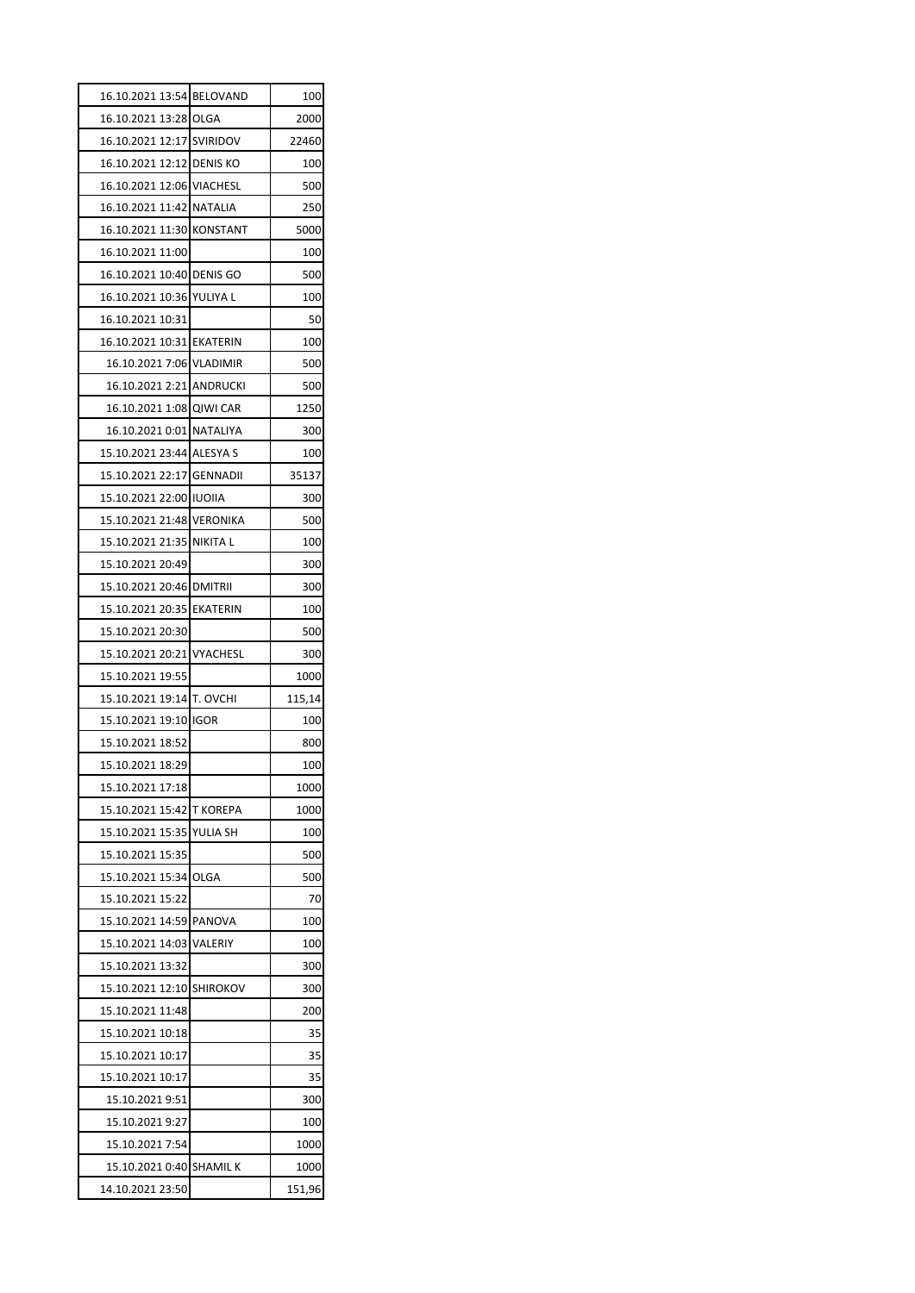| 16.10.2021 13:54 BELOVAND |             | 100    |
|---------------------------|-------------|--------|
| 16.10.2021 13:28 OLGA     |             | 2000   |
| 16.10.2021 12:17 SVIRIDOV |             | 22460  |
| 16.10.2021 12:12 DENIS KO |             | 100    |
| 16.10.2021 12:06 VIACHESL |             | 500    |
| 16.10.2021 11:42 NATALIA  |             | 250    |
| 16.10.2021 11:30 KONSTANT |             | 5000   |
| 16.10.2021 11:00          |             | 100    |
| 16.10.2021 10:40 DENIS GO |             | 500    |
| 16.10.2021 10:36 YULIYA L |             | 100    |
| 16.10.2021 10:31          |             | 50     |
| 16.10.2021 10:31 EKATERIN |             | 100    |
| 16.10.2021 7:06 VLADIMIR  |             | 500    |
| 16.10.2021 2:21 ANDRUCKI  |             | 500    |
| 16.10.2021 1:08 QIWI CAR  |             | 1250   |
| 16.10.2021 0:01 NATALIYA  |             | 300    |
| 15.10.2021 23:44 ALESYA S |             | 100    |
| 15.10.2021 22:17 GENNADII |             | 35137  |
| 15.10.2021 22:00 IUOIIA   |             | 300    |
| 15.10.2021 21:48 VERONIKA |             | 500    |
| 15.10.2021 21:35 NIKITA L |             | 100    |
| 15.10.2021 20:49          |             | 300    |
| 15.10.2021 20:46 DMITRII  |             | 300    |
| 15.10.2021 20:35 EKATERIN |             | 100    |
| 15.10.2021 20:30          |             | 500    |
| 15.10.2021 20:21 VYACHESL |             | 300    |
| 15.10.2021 19:55          |             | 1000   |
| 15.10.2021 19:14 T. OVCHI |             | 115,14 |
| 15.10.2021 19:10 IGOR     |             | 100    |
| 15.10.2021 18:52          |             | 800    |
| 15.10.2021 18:29          |             | 100    |
| 15.10.2021 17:18          |             | 1000   |
| 15.10.2021 15:42 T KOREPA |             | 1000   |
| 15.10.2021 15:35          | YULIA SH    | 100    |
| 15.10.2021 15:35          |             | 500    |
| 15.10.2021 15:34          | <b>OLGA</b> | 500    |
| 15.10.2021 15:22          |             | 70     |
| 15.10.2021 14:59 PANOVA   |             | 100    |
| 15.10.2021 14:03 VALERIY  |             | 100    |
| 15.10.2021 13:32          |             | 300    |
| 15.10.2021 12:10 SHIROKOV |             | 300    |
| 15.10.2021 11:48          |             | 200    |
| 15.10.2021 10:18          |             | 35     |
| 15.10.2021 10:17          |             | 35     |
| 15.10.2021 10:17          |             | 35     |
| 15.10.2021 9:51           |             | 300    |
| 15.10.2021 9:27           |             | 100    |
| 15.10.2021 7:54           |             | 1000   |
| 15.10.2021 0:40 SHAMIL K  |             | 1000   |
| 14.10.2021 23:50          |             | 151,96 |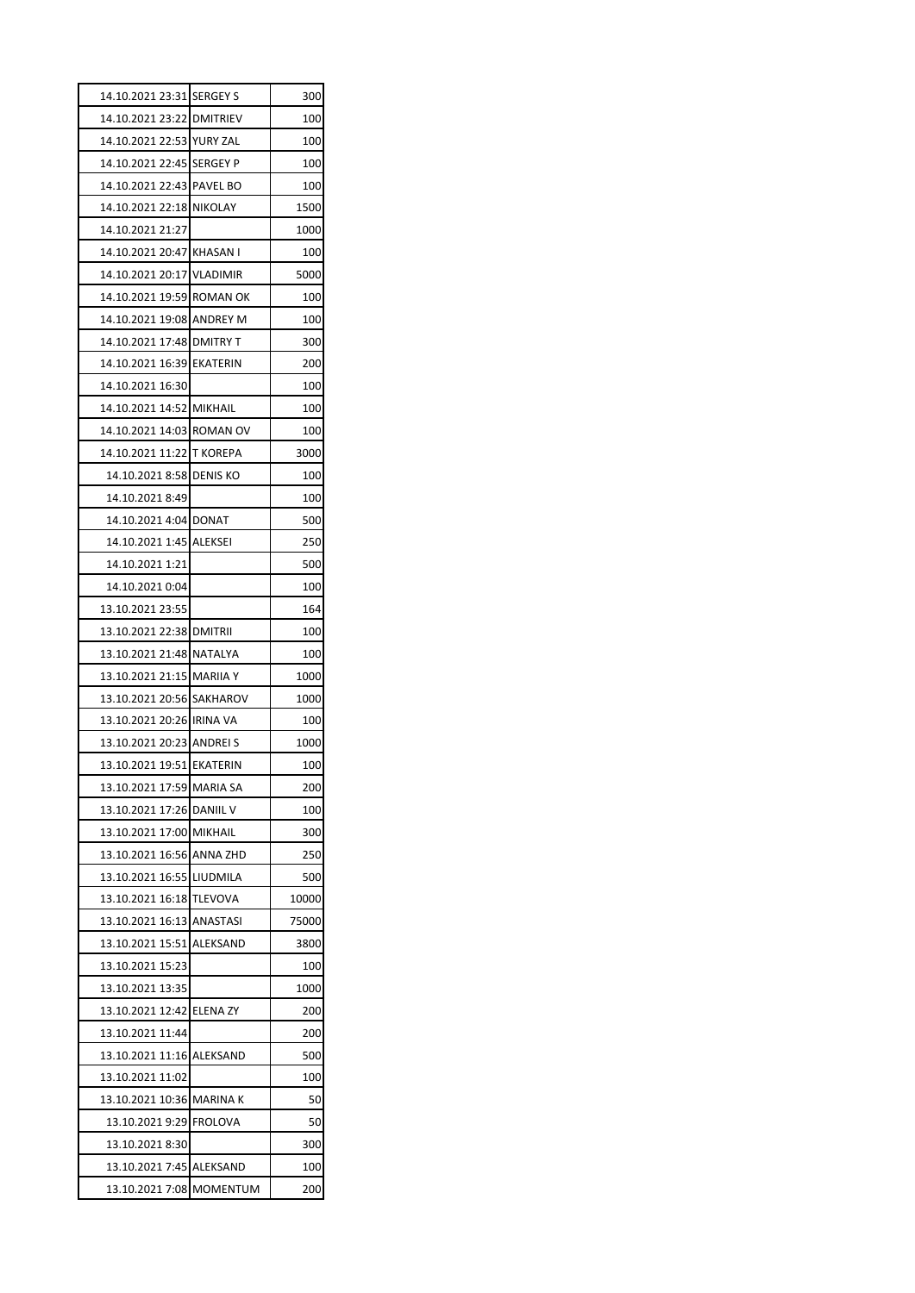| 14.10.2021 23:31 SERGEY S | 300   |
|---------------------------|-------|
| 14.10.2021 23:22 DMITRIEV | 100   |
| 14.10.2021 22:53 YURY ZAL | 100   |
| 14.10.2021 22:45 SERGEY P | 100   |
| 14.10.2021 22:43 PAVEL BO | 100   |
| 14.10.2021 22:18 NIKOLAY  | 1500  |
| 14.10.2021 21:27          | 1000  |
| 14.10.2021 20:47 KHASAN I | 100   |
| 14.10.2021 20:17 VLADIMIR | 5000  |
| 14.10.2021 19:59 ROMAN OK | 100   |
| 14.10.2021 19:08 ANDREY M | 100   |
| 14.10.2021 17:48 DMITRY T | 300   |
| 14.10.2021 16:39 EKATERIN | 200   |
| 14.10.2021 16:30          | 100   |
| 14.10.2021 14:52 MIKHAIL  | 100   |
| 14.10.2021 14:03 ROMAN OV | 100   |
| 14.10.2021 11:22 T KOREPA | 3000  |
| 14.10.2021 8:58 DENIS KO  | 100   |
| 14.10.2021 8:49           | 100   |
| 14.10.2021 4:04 DONAT     | 500   |
| 14.10.2021 1:45 ALEKSEI   | 250   |
| 14.10.2021 1:21           | 500   |
| 14.10.2021 0:04           | 100   |
| 13.10.2021 23:55          | 164   |
| 13.10.2021 22:38 DMITRII  | 100   |
| 13.10.2021 21:48 NATALYA  | 100   |
| 13.10.2021 21:15 MARIIA Y | 1000  |
| 13.10.2021 20:56 SAKHAROV | 1000  |
| 13.10.2021 20:26 IRINA VA | 100   |
| 13.10.2021 20:23 ANDREI S | 1000  |
| 13.10.2021 19:51 EKATERIN | 100   |
| 13.10.2021 17:59 MARIA SA | 200   |
| 13.10.2021 17:26 DANIIL V | 100   |
| 13.10.2021 17:00 MIKHAIL  | 300   |
| 13.10.2021 16:56 ANNA ZHD | 250   |
| 13.10.2021 16:55 LIUDMILA | 500   |
| 13.10.2021 16:18 TLEVOVA  | 10000 |
| 13.10.2021 16:13 ANASTASI | 75000 |
| 13.10.2021 15:51 ALEKSAND | 3800  |
| 13.10.2021 15:23          | 100   |
| 13.10.2021 13:35          | 1000  |
| 13.10.2021 12:42 ELENA ZY | 200   |
| 13.10.2021 11:44          | 200   |
| 13.10.2021 11:16 ALEKSAND | 500   |
| 13.10.2021 11:02          | 100   |
| 13.10.2021 10:36 MARINA K | 50    |
| 13.10.2021 9:29 FROLOVA   | 50    |
| 13.10.2021 8:30           | 300   |
| 13.10.2021 7:45 ALEKSAND  | 100   |
|                           |       |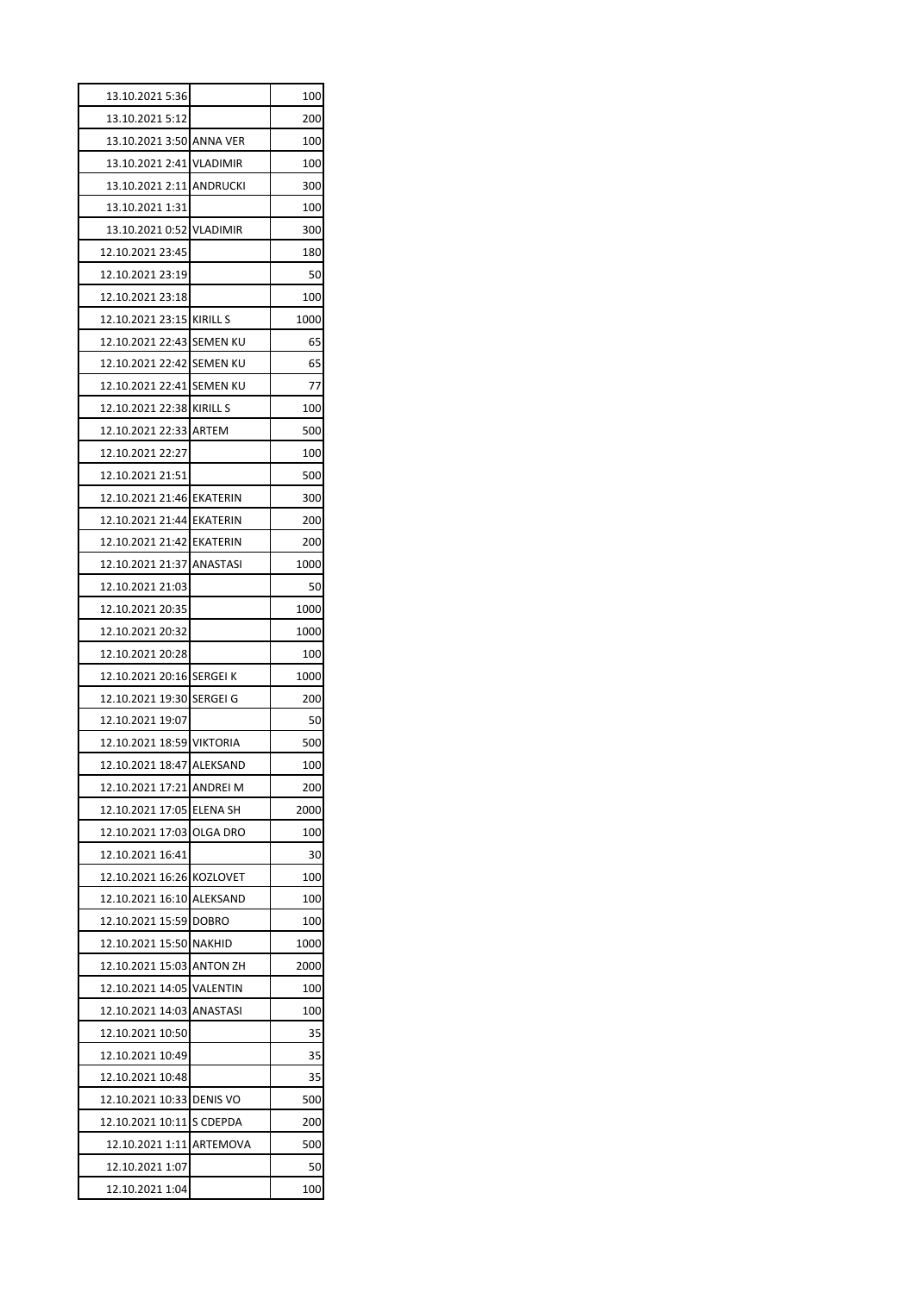| 13.10.2021 5:36           |                 | 100  |
|---------------------------|-----------------|------|
| 13.10.2021 5:12           |                 | 200  |
| 13.10.2021 3:50 ANNA VER  |                 | 100  |
| 13.10.2021 2:41 VLADIMIR  |                 | 100  |
| 13.10.2021 2:11 ANDRUCKI  |                 | 300  |
| 13.10.2021 1:31           |                 | 100  |
| 13.10.2021 0:52           | <b>VLADIMIR</b> | 300  |
| 12.10.2021 23:45          |                 | 180  |
| 12.10.2021 23:19          |                 | 50   |
| 12.10.2021 23:18          |                 | 100  |
| 12.10.2021 23:15 KIRILL S |                 | 1000 |
| 12.10.2021 22:43 SEMEN KU |                 | 65   |
| 12.10.2021 22:42 SEMEN KU |                 | 65   |
| 12.10.2021 22:41 SEMEN KU |                 | 77   |
| 12.10.2021 22:38 KIRILL S |                 | 100  |
| 12.10.2021 22:33 ARTEM    |                 | 500  |
| 12.10.2021 22:27          |                 | 100  |
| 12.10.2021 21:51          |                 | 500  |
| 12.10.2021 21:46 EKATERIN |                 | 300  |
| 12.10.2021 21:44 EKATERIN |                 | 200  |
|                           |                 | 200  |
| 12.10.2021 21:37 ANASTASI |                 | 1000 |
| 12.10.2021 21:03          |                 | 50   |
| 12.10.2021 20:35          |                 | 1000 |
| 12.10.2021 20:32          |                 | 1000 |
| 12.10.2021 20:28          |                 | 100  |
| 12.10.2021 20:16 SERGEI K |                 | 1000 |
| 12.10.2021 19:30          | <b>SERGEI G</b> | 200  |
| 12.10.2021 19:07          |                 | 50   |
| 12.10.2021 18:59 VIKTORIA |                 | 500  |
| 12.10.2021 18:47 ALEKSAND |                 | 100  |
| 12.10.2021 17:21 ANDREI M |                 | 200  |
| 12.10.2021 17:05          | <b>ELENA SH</b> | 2000 |
| 12.10.2021 17:03          | OLGA DRO        | 100  |
| 12.10.2021 16:41          |                 | 30   |
| 12.10.2021 16:26          | <b>KOZLOVET</b> | 100  |
| 12.10.2021 16:10          | <b>ALEKSAND</b> | 100  |
| 12.10.2021 15:59          |                 |      |
|                           | <b>DOBRO</b>    | 100  |
| 12.10.2021 15:50          | <b>NAKHID</b>   | 1000 |
| 12.10.2021 15:03          | <b>ANTON ZH</b> | 2000 |
| 12.10.2021 14:05          | VALENTIN        | 100  |
| 12.10.2021 14:03          | ANASTASI        | 100  |
| 12.10.2021 10:50          |                 | 35   |
| 12.10.2021 10:49          |                 | 35   |
| 12.10.2021 10:48          |                 | 35   |
| 12.10.2021 10:33          | <b>DENIS VO</b> | 500  |
| 12.10.2021 10:11          | S CDEPDA        | 200  |
| 12.10.2021 1:11           | ARTEMOVA        | 500  |
| 12.10.2021 1:07           |                 | 50   |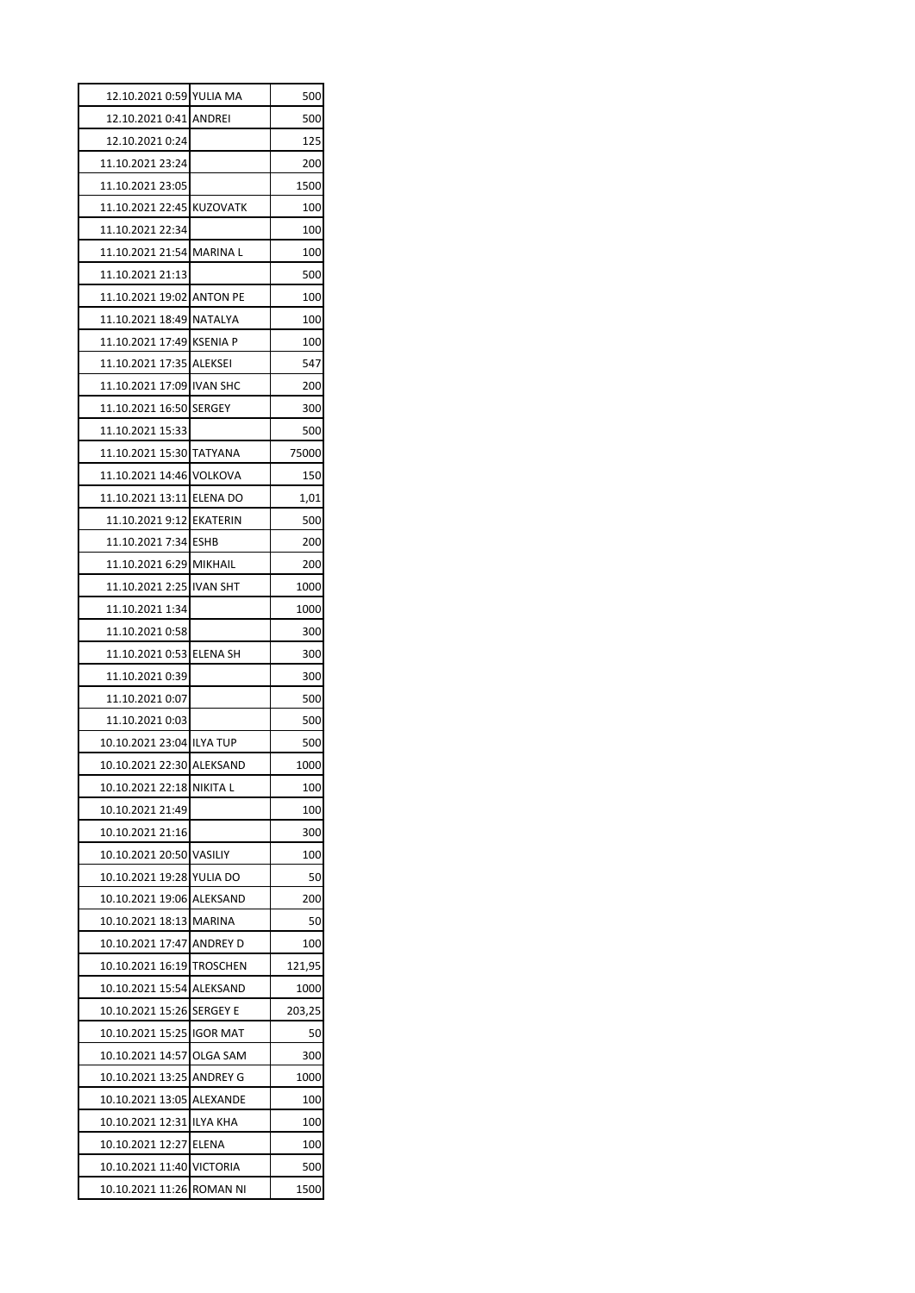| 12.10.2021 0:59 YULIA MA  |              | 500    |
|---------------------------|--------------|--------|
| 12.10.2021 0:41 ANDREI    |              | 500    |
| 12.10.2021 0:24           |              | 125    |
| 11.10.2021 23:24          |              | 200    |
| 11.10.2021 23:05          |              | 1500   |
| 11.10.2021 22:45 KUZOVATK |              | 100    |
| 11.10.2021 22:34          |              | 100    |
| 11.10.2021 21:54 MARINA L |              | 100    |
| 11.10.2021 21:13          |              | 500    |
| 11.10.2021 19:02 ANTON PE |              | 100    |
| 11.10.2021 18:49 NATALYA  |              | 100    |
| 11.10.2021 17:49 KSENIA P |              | 100    |
| 11.10.2021 17:35 ALEKSEI  |              | 547    |
| 11.10.2021 17:09 IVAN SHC |              | 200    |
| 11.10.2021 16:50 SERGEY   |              | 300    |
| 11.10.2021 15:33          |              | 500    |
| 11.10.2021 15:30 TATYANA  |              | 75000  |
| 11.10.2021 14:46 VOLKOVA  |              | 150    |
| 11.10.2021 13:11 ELENA DO |              | 1,01   |
| 11.10.2021 9:12 EKATERIN  |              | 500    |
| 11.10.2021 7:34 ESHB      |              | 200    |
| 11.10.2021 6:29 MIKHAIL   |              | 200    |
| 11.10.2021 2:25 IVAN SHT  |              | 1000   |
| 11.10.2021 1:34           |              | 1000   |
| 11.10.2021 0:58           |              | 300    |
| 11.10.2021 0:53 ELENA SH  |              | 300    |
| 11.10.2021 0:39           |              | 300    |
| 11.10.2021 0:07           |              | 500    |
| 11.10.2021 0:03           |              | 500    |
| 10.10.2021 23:04 ILYA TUP |              | 500    |
| 10.10.2021 22:30 ALEKSAND |              | 1000   |
| 10.10.2021 22:18 NIKITA L |              | 100    |
| 10.10.2021 21:49          |              | 100    |
| 10.10.2021 21:16          |              | 300    |
| 10.10.2021 20:50 VASILIY  |              | 100    |
| 10.10.2021 19:28 YULIA DO |              | 50     |
| 10.10.2021 19:06 ALEKSAND |              | 200    |
| 10.10.2021 18:13 MARINA   |              | 50     |
| 10.10.2021 17:47 ANDREY D |              | 100    |
| 10.10.2021 16:19 TROSCHEN |              | 121,95 |
| 10.10.2021 15:54 ALEKSAND |              | 1000   |
| 10.10.2021 15:26 SERGEY E |              | 203,25 |
| 10.10.2021 15:25 IGOR MAT |              | 50     |
| 10.10.2021 14:57 OLGA SAM |              | 300    |
| 10.10.2021 13:25 ANDREY G |              | 1000   |
| 10.10.2021 13:05 ALEXANDE |              | 100    |
| 10.10.2021 12:31 ILYA KHA |              | 100    |
| 10.10.2021 12:27          | <b>ELENA</b> | 100    |
|                           |              |        |
| 10.10.2021 11:40 VICTORIA |              | 500    |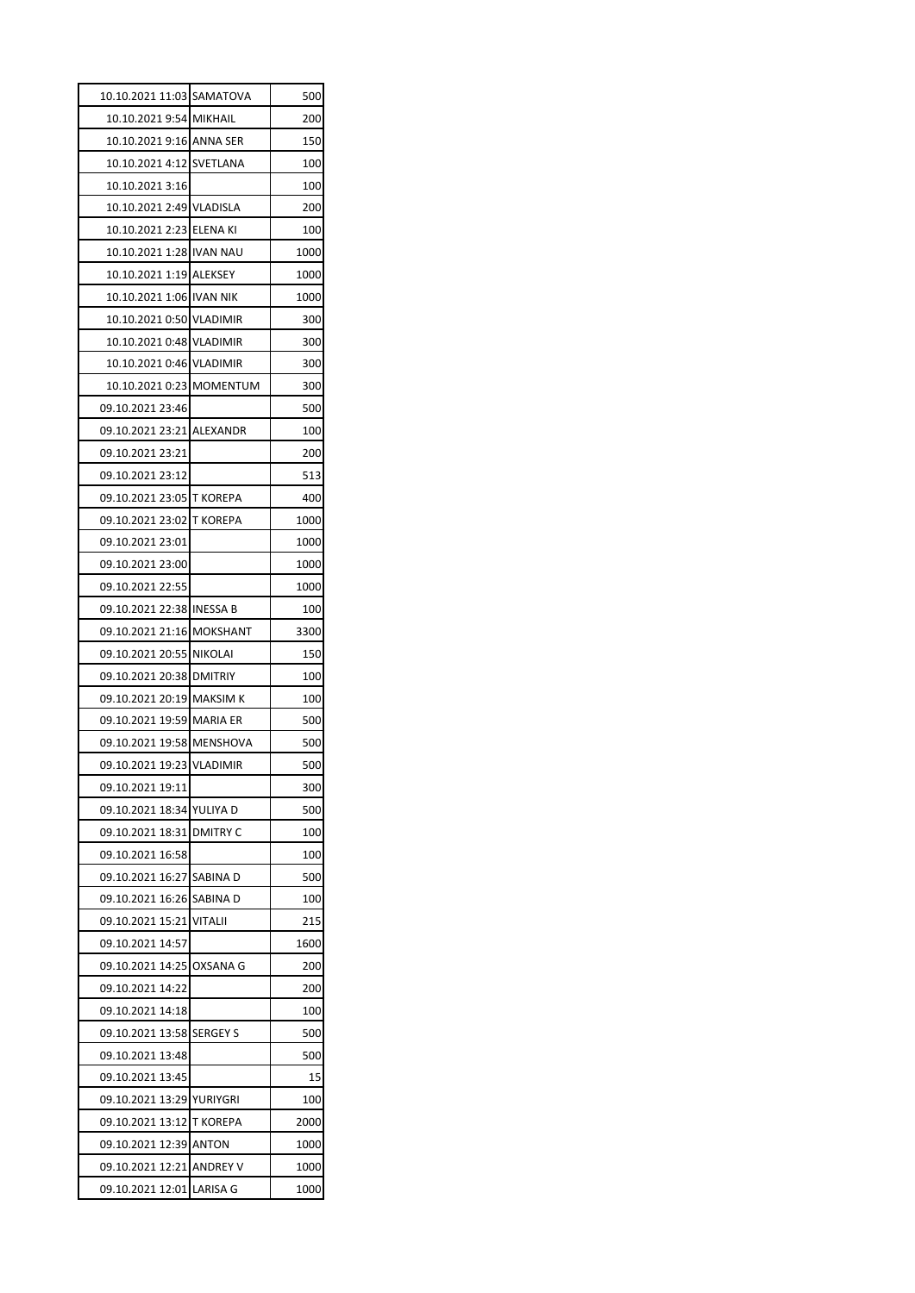| 10.10.2021 11:03 SAMATOVA |                 | 500  |
|---------------------------|-----------------|------|
| 10.10.2021 9:54 MIKHAIL   |                 | 200  |
| 10.10.2021 9:16 ANNA SER  |                 | 150  |
| 10.10.2021 4:12 SVETLANA  |                 | 100  |
| 10.10.2021 3:16           |                 | 100  |
| 10.10.2021 2:49 VLADISLA  |                 | 200  |
| 10.10.2021 2:23 ELENA KI  |                 | 100  |
| 10.10.2021 1:28 IVAN NAU  |                 | 1000 |
| 10.10.2021 1:19 ALEKSEY   |                 | 1000 |
| 10.10.2021 1:06 IVAN NIK  |                 | 1000 |
| 10.10.2021 0:50 VLADIMIR  |                 | 300  |
| 10.10.2021 0:48 VLADIMIR  |                 | 300  |
| 10.10.2021 0:46 VLADIMIR  |                 | 300  |
| 10.10.2021 0:23 MOMENTUM  |                 | 300  |
| 09.10.2021 23:46          |                 | 500  |
| 09.10.2021 23:21 ALEXANDR |                 | 100  |
| 09.10.2021 23:21          |                 | 200  |
| 09.10.2021 23:12          |                 | 513  |
| 09.10.2021 23:05 T KOREPA |                 | 400  |
| 09.10.2021 23:02 T KOREPA |                 | 1000 |
| 09.10.2021 23:01          |                 | 1000 |
| 09.10.2021 23:00          |                 | 1000 |
| 09.10.2021 22:55          |                 | 1000 |
| 09.10.2021 22:38 INESSA B |                 | 100  |
| 09.10.2021 21:16 MOKSHANT |                 | 3300 |
| 09.10.2021 20:55 NIKOLAI  |                 | 150  |
| 09.10.2021 20:38 DMITRIY  |                 | 100  |
| 09.10.2021 20:19 MAKSIM K |                 | 100  |
| 09.10.2021 19:59 MARIA ER |                 | 500  |
| 09.10.2021 19:58 MENSHOVA |                 | 500  |
| 09.10.2021 19:23 VLADIMIR |                 | 500  |
| 09.10.2021 19:11          |                 | 300  |
| 09.10.2021 18:34          | YULIYA D        | 500  |
| 09.10.2021 18:31          | <b>DMITRY C</b> | 100  |
| 09.10.2021 16:58          |                 | 100  |
| 09.10.2021 16:27          | SABINA D        | 500  |
| 09.10.2021 16:26 SABINA D |                 | 100  |
| 09.10.2021 15:21          | <b>VITALII</b>  | 215  |
| 09.10.2021 14:57          |                 | 1600 |
| 09.10.2021 14:25          | OXSANA G        | 200  |
| 09.10.2021 14:22          |                 | 200  |
| 09.10.2021 14:18          |                 | 100  |
| 09.10.2021 13:58          | <b>SERGEY S</b> | 500  |
| 09.10.2021 13:48          |                 | 500  |
| 09.10.2021 13:45          |                 | 15   |
| 09.10.2021 13:29          | YURIYGRI        | 100  |
| 09.10.2021 13:12          | <b>T KOREPA</b> | 2000 |
| 09.10.2021 12:39          | ANTON           | 1000 |
| 09.10.2021 12:21 ANDREY V |                 | 1000 |
| 09.10.2021 12:01          | <b>LARISA G</b> | 1000 |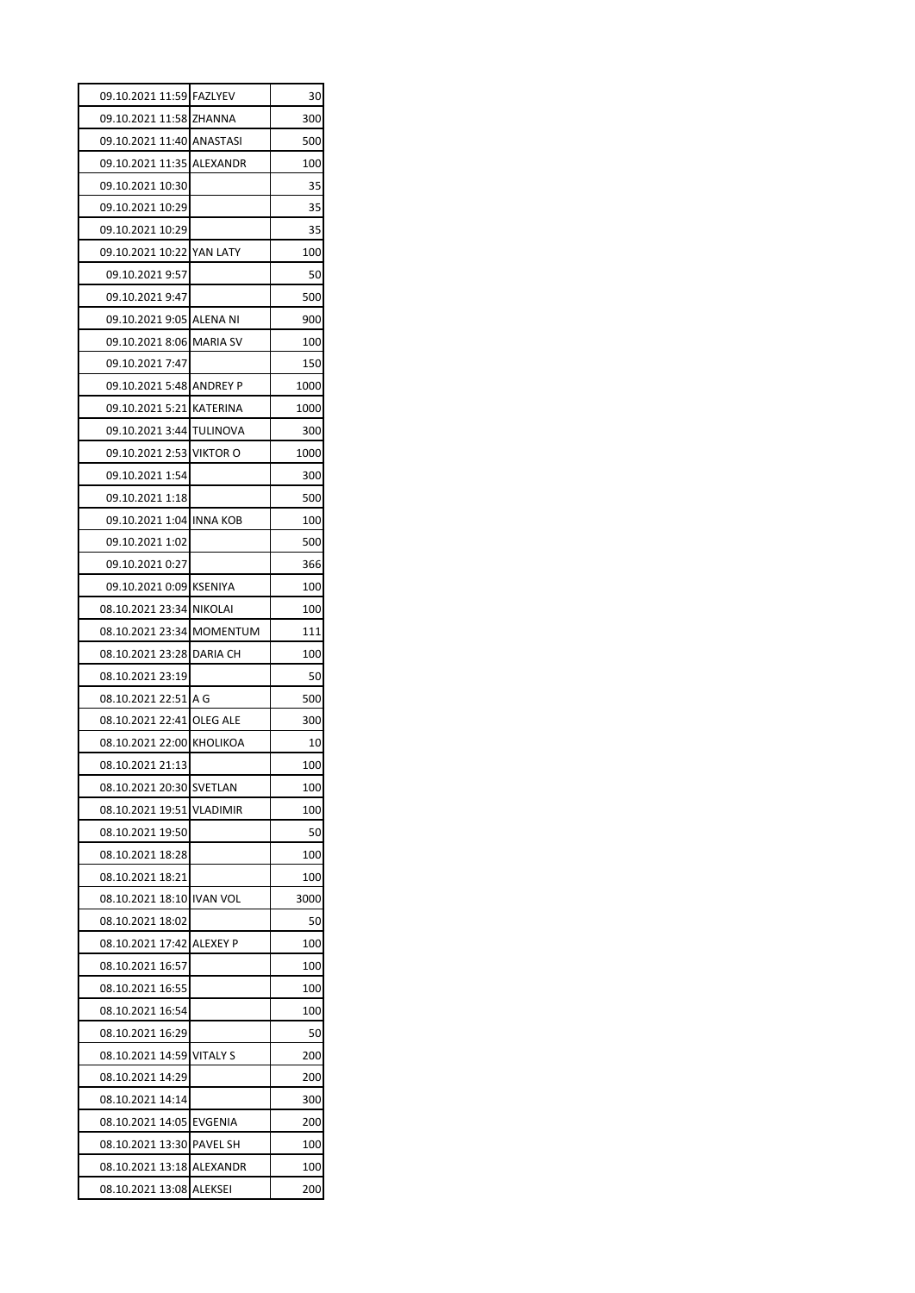| 09.10.2021 11:59 FAZLYEV  | 30   |
|---------------------------|------|
| 09.10.2021 11:58 ZHANNA   | 300  |
| 09.10.2021 11:40 ANASTASI | 500  |
| 09.10.2021 11:35 ALEXANDR | 100  |
| 09.10.2021 10:30          | 35   |
| 09.10.2021 10:29          | 35   |
| 09.10.2021 10:29          | 35   |
| 09.10.2021 10:22 YAN LATY | 100  |
| 09.10.2021 9:57           | 50   |
| 09.10.2021 9:47           | 500  |
| 09.10.2021 9:05 ALENA NI  | 900  |
| 09.10.2021 8:06 MARIA SV  | 100  |
| 09.10.2021 7:47           | 150  |
| 09.10.2021 5:48 ANDREY P  | 1000 |
| 09.10.2021 5:21 KATERINA  | 1000 |
| 09.10.2021 3:44 TULINOVA  | 300  |
| 09.10.2021 2:53 VIKTOR O  | 1000 |
| 09.10.2021 1:54           | 300  |
| 09.10.2021 1:18           | 500  |
| 09.10.2021 1:04 INNA KOB  | 100  |
| 09.10.2021 1:02           | 500  |
| 09.10.2021 0:27           | 366  |
| 09.10.2021 0:09 KSENIYA   | 100  |
| 08.10.2021 23:34 NIKOLAI  | 100  |
| 08.10.2021 23:34 MOMENTUM | 111  |
| 08.10.2021 23:28 DARIA CH | 100  |
| 08.10.2021 23:19          | 50   |
| 08.10.2021 22:51 A G      | 500  |
| 08.10.2021 22:41 OLEG ALE | 300  |
| 08.10.2021 22:00 KHOLIKOA | 10   |
| 08.10.2021 21:13          | 100  |
| 08.10.2021 20:30 SVETLAN  | 100  |
| 08.10.2021 19:51 VLADIMIR | 100  |
| 08.10.2021 19:50          | 50   |
| 08.10.2021 18:28          | 100  |
| 08.10.2021 18:21          | 100  |
| 08.10.2021 18:10 IVAN VOL | 3000 |
| 08.10.2021 18:02          | 50   |
| 08.10.2021 17:42 ALEXEY P | 100  |
| 08.10.2021 16:57          | 100  |
| 08.10.2021 16:55          | 100  |
| 08.10.2021 16:54          | 100  |
| 08.10.2021 16:29          | 50   |
| 08.10.2021 14:59 VITALY S | 200  |
| 08.10.2021 14:29          |      |
|                           | 200  |
| 08.10.2021 14:14          | 300  |
| 08.10.2021 14:05 EVGENIA  | 200  |
| 08.10.2021 13:30 PAVEL SH | 100  |
| 08.10.2021 13:18 ALEXANDR | 100  |
| 08.10.2021 13:08 ALEKSEI  | 200  |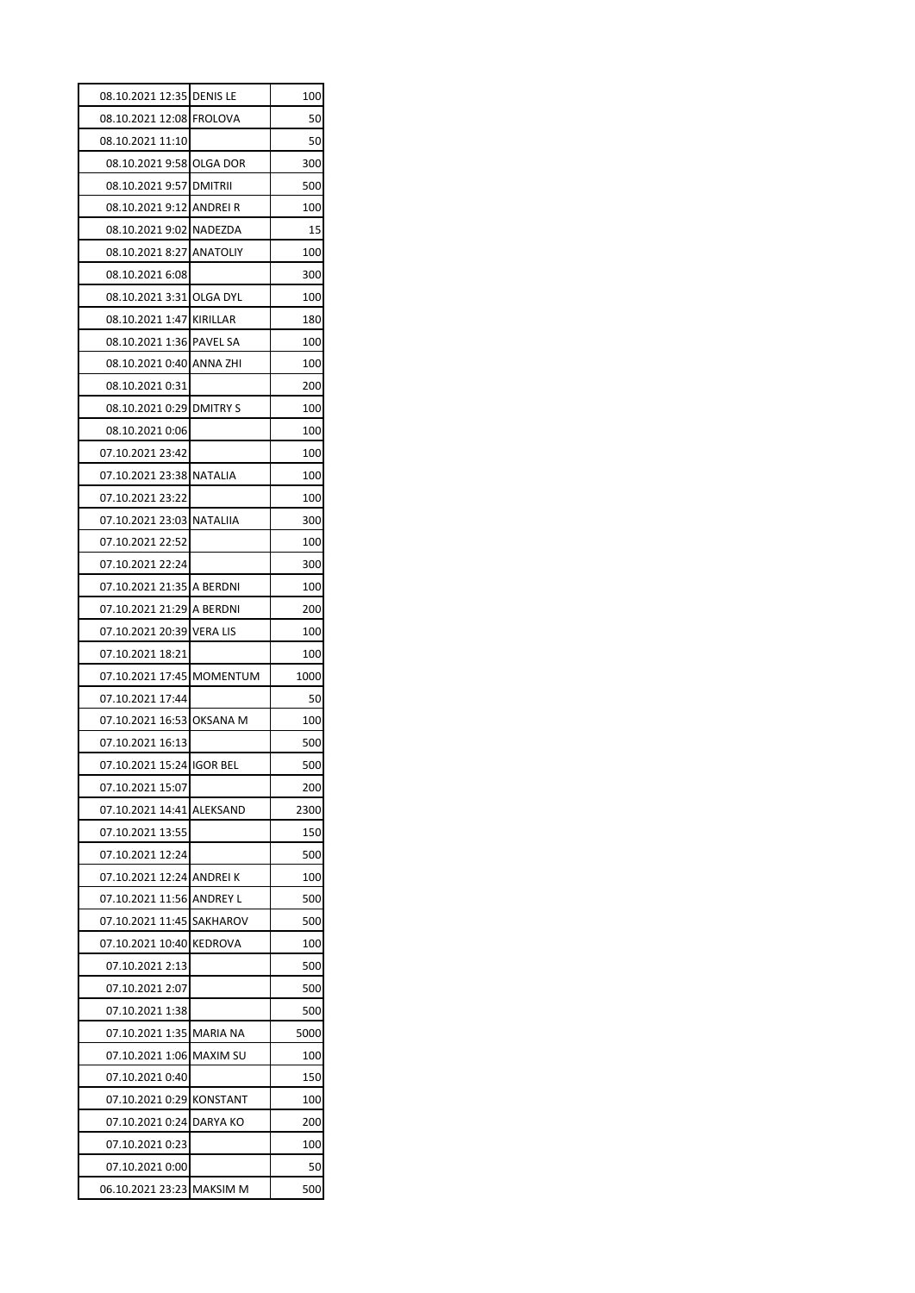| 08.10.2021 12:35 DENIS LE           |                 | 100       |
|-------------------------------------|-----------------|-----------|
| 08.10.2021 12:08 FROLOVA            |                 | 50        |
| 08.10.2021 11:10                    |                 | 50        |
| 08.10.2021 9:58 OLGA DOR            |                 | 300       |
| 08.10.2021 9:57 DMITRII             |                 | 500       |
| 08.10.2021 9:12 ANDREI R            |                 | 100       |
| 08.10.2021 9:02 NADEZDA             |                 | 15        |
| 08.10.2021 8:27 ANATOLIY            |                 | 100       |
| 08.10.2021 6:08                     |                 | 300       |
| 08.10.2021 3:31 OLGA DYL            |                 | 100       |
| 08.10.2021 1:47 KIRILLAR            |                 | 180       |
| 08.10.2021 1:36 PAVEL SA            |                 | 100       |
| 08.10.2021 0:40 ANNA ZHI            |                 | 100       |
| 08.10.2021 0:31                     |                 | 200       |
| 08.10.2021 0:29 DMITRY S            |                 | 100       |
| 08.10.2021 0:06                     |                 | 100       |
| 07.10.2021 23:42                    |                 | 100       |
| 07.10.2021 23:38 NATALIA            |                 | 100       |
| 07.10.2021 23:22                    |                 | 100       |
| 07.10.2021 23:03 NATALIIA           |                 | 300       |
| 07.10.2021 22:52                    |                 | 100       |
| 07.10.2021 22:24                    |                 | 300       |
| 07.10.2021 21:35 A BERDNI           |                 | 100       |
| 07.10.2021 21:29 A BERDNI           |                 | 200       |
| 07.10.2021 20:39 VERA LIS           |                 | 100       |
| 07.10.2021 18:21                    |                 | 100       |
| 07.10.2021 17:45 MOMENTUM           |                 | 1000      |
| 07.10.2021 17:44                    |                 | 50        |
| 07.10.2021 16:53 OKSANA M           |                 | 100       |
| 07.10.2021 16:13                    |                 | 500       |
| 07.10.2021 15:24 IGOR BEL           |                 | 500       |
| 07.10.2021 15:07                    |                 | 200       |
| 07.10.2021 14:41 ALEKSAND           |                 | 2300      |
| 07.10.2021 13:55                    |                 | 150       |
| 07.10.2021 12:24                    |                 | 500       |
| 07.10.2021 12:24 ANDREI K           |                 | 100       |
| 07.10.2021 11:56 ANDREY L           |                 | 500       |
| 07.10.2021 11:45                    |                 |           |
|                                     |                 |           |
|                                     | SAKHAROV        | 500       |
| 07.10.2021 10:40                    | <b>KEDROVA</b>  | 100       |
| 07.10.2021 2:13                     |                 | 500       |
| 07.10.2021 2:07                     |                 | 500       |
| 07.10.2021 1:38                     |                 | 500       |
| 07.10.2021 1:35                     | MARIA NA        | 5000      |
| 07.10.2021 1:06                     | <b>MAXIM SU</b> | 100       |
| 07.10.2021 0:40                     |                 | 150       |
| 07.10.2021 0:29                     | <b>KONSTANT</b> | 100       |
| 07.10.2021 0:24                     | DARYA KO        | 200       |
| 07.10.2021 0:23                     |                 | 100       |
| 07.10.2021 0:00<br>06.10.2021 23:23 | <b>MAKSIM M</b> | 50<br>500 |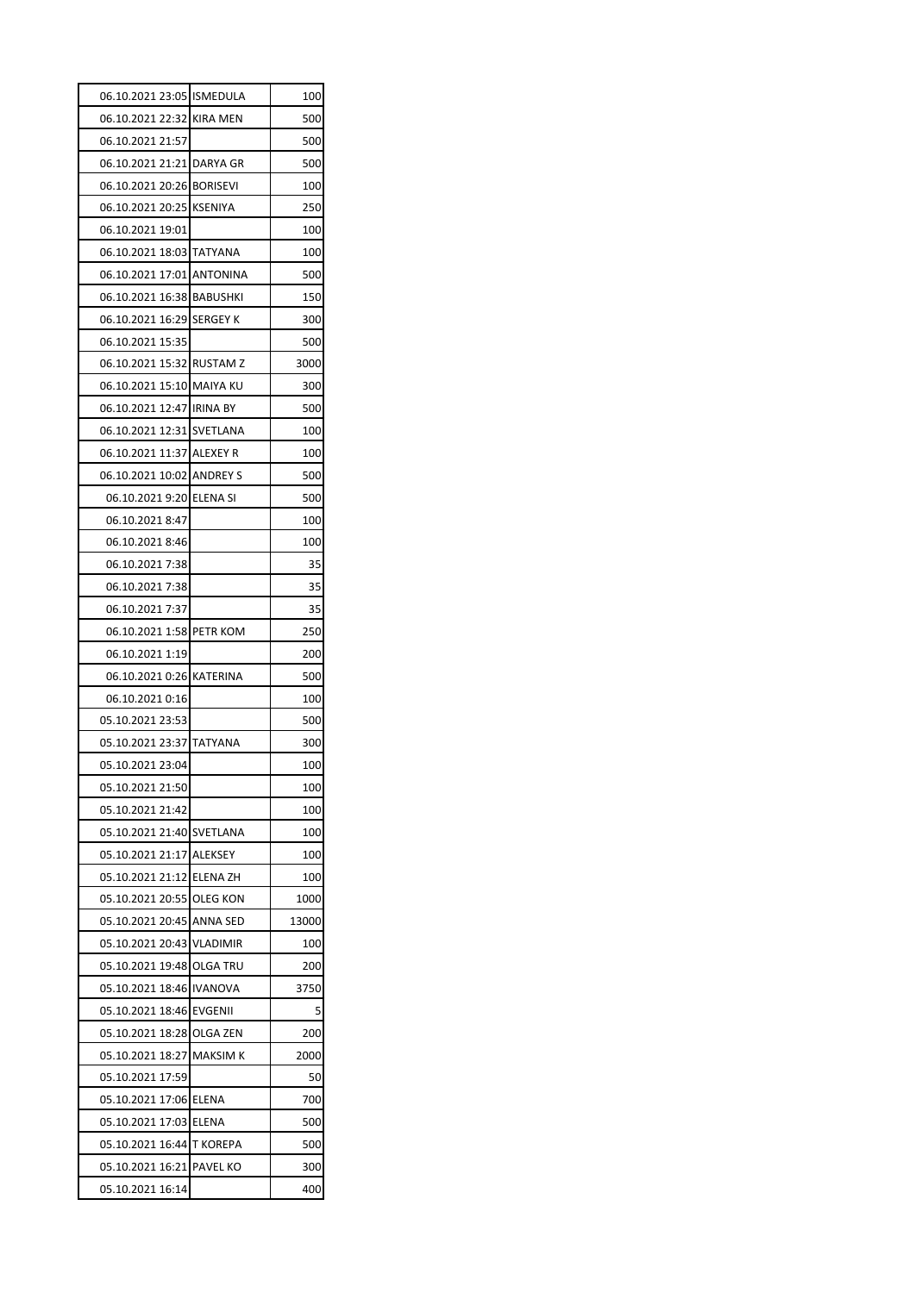| 06.10.2021 23:05 ISMEDULA |                 | 100   |
|---------------------------|-----------------|-------|
| 06.10.2021 22:32 KIRA MEN |                 | 500   |
| 06.10.2021 21:57          |                 | 500   |
| 06.10.2021 21:21 DARYA GR |                 | 500   |
| 06.10.2021 20:26 BORISEVI |                 | 100   |
| 06.10.2021 20:25 KSENIYA  |                 | 250   |
| 06.10.2021 19:01          |                 | 100   |
| 06.10.2021 18:03 TATYANA  |                 | 100   |
| 06.10.2021 17:01 ANTONINA |                 | 500   |
| 06.10.2021 16:38 BABUSHKI |                 | 150   |
| 06.10.2021 16:29 SERGEY K |                 | 300   |
| 06.10.2021 15:35          |                 | 500   |
| 06.10.2021 15:32 RUSTAM Z |                 | 3000  |
| 06.10.2021 15:10 MAIYA KU |                 | 300   |
| 06.10.2021 12:47 IRINA BY |                 | 500   |
| 06.10.2021 12:31 SVETLANA |                 | 100   |
| 06.10.2021 11:37 ALEXEY R |                 | 100   |
| 06.10.2021 10:02 ANDREY S |                 | 500   |
| 06.10.2021 9:20 ELENA SI  |                 | 500   |
| 06.10.2021 8:47           |                 | 100   |
| 06.10.2021 8:46           |                 | 100   |
| 06.10.2021 7:38           |                 | 35    |
| 06.10.2021 7:38           |                 | 35    |
| 06.10.2021 7:37           |                 | 35    |
| 06.10.2021 1:58 PETR KOM  |                 | 250   |
| 06.10.2021 1:19           |                 | 200   |
| 06.10.2021 0:26 KATERINA  |                 | 500   |
| 06.10.2021 0:16           |                 | 100   |
| 05.10.2021 23:53          |                 | 500   |
| 05.10.2021 23:37 TATYANA  |                 | 300   |
| 05.10.2021 23:04          |                 | 100   |
| 05.10.2021 21:50          |                 | 100   |
| 05.10.2021 21:42          |                 | 100   |
| 05.10.2021 21:40 SVETLANA |                 | 100   |
| 05.10.2021 21:17 ALEKSEY  |                 | 100   |
| 05.10.2021 21:12 ELENA ZH |                 | 100   |
| 05.10.2021 20:55 OLEG KON |                 | 1000  |
| 05.10.2021 20:45 ANNA SED |                 | 13000 |
| 05.10.2021 20:43 VLADIMIR |                 | 100   |
| 05.10.2021 19:48 OLGA TRU |                 | 200   |
| 05.10.2021 18:46 IVANOVA  |                 | 3750  |
| 05.10.2021 18:46 EVGENII  |                 | 5     |
| 05.10.2021 18:28 OLGA ZEN |                 | 200   |
| 05.10.2021 18:27          | <b>MAKSIM K</b> | 2000  |
| 05.10.2021 17:59          |                 | 50    |
| 05.10.2021 17:06 ELENA    |                 | 700   |
| 05.10.2021 17:03 ELENA    |                 | 500   |
| 05.10.2021 16:44 T KOREPA |                 | 500   |
| 05.10.2021 16:21 PAVEL KO |                 | 300   |
|                           |                 |       |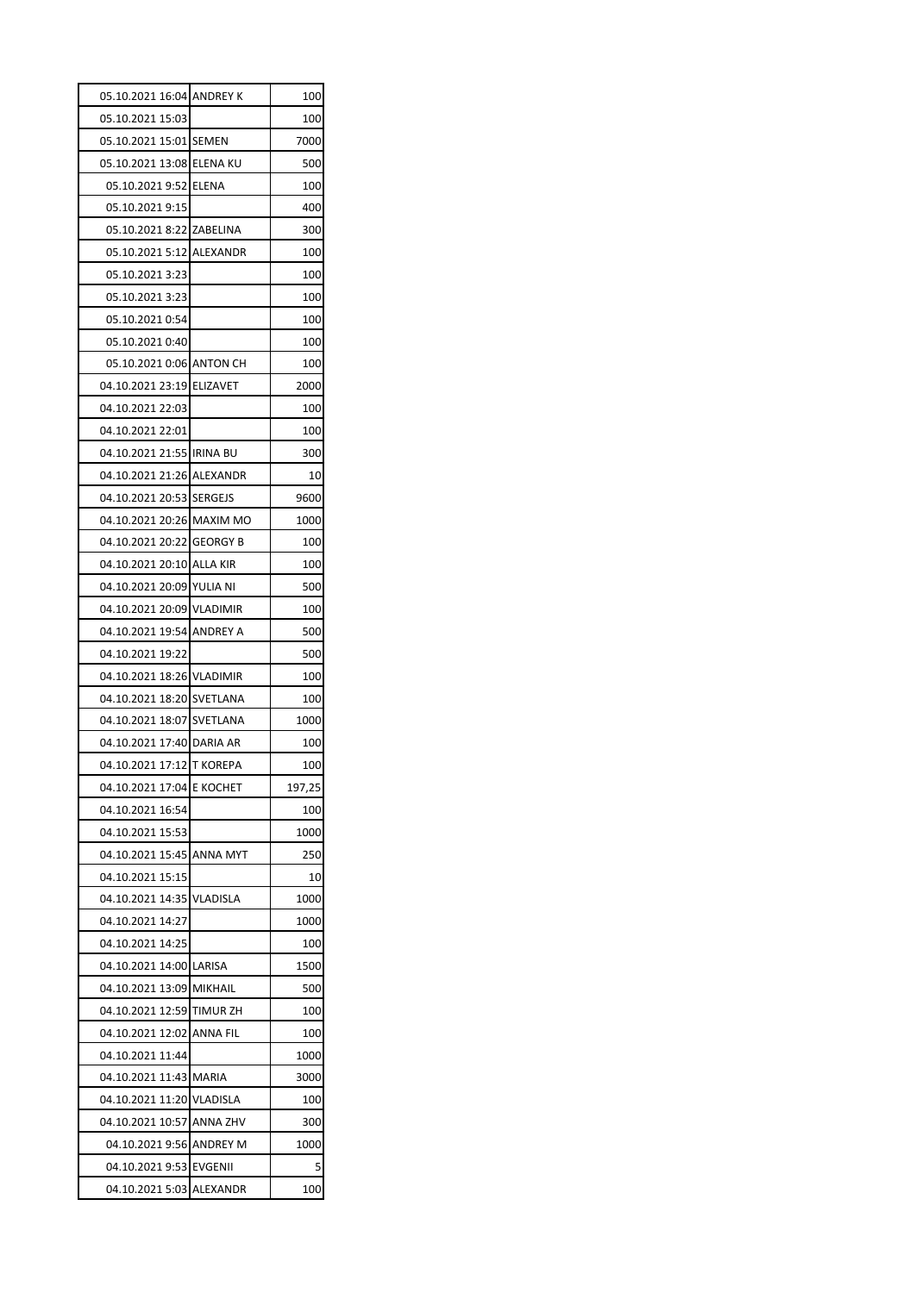| 05.10.2021 16:04 ANDREY K |                 | 100    |
|---------------------------|-----------------|--------|
| 05.10.2021 15:03          |                 | 100    |
| 05.10.2021 15:01 SEMEN    |                 | 7000   |
| 05.10.2021 13:08 ELENA KU |                 | 500    |
| 05.10.2021 9:52 ELENA     |                 | 100    |
| 05.10.2021 9:15           |                 | 400    |
| 05.10.2021 8:22 ZABELINA  |                 | 300    |
| 05.10.2021 5:12 ALEXANDR  |                 | 100    |
| 05.10.2021 3:23           |                 | 100    |
| 05.10.2021 3:23           |                 | 100    |
| 05.10.2021 0:54           |                 | 100    |
| 05.10.2021 0:40           |                 | 100    |
| 05.10.2021 0:06 ANTON CH  |                 | 100    |
| 04.10.2021 23:19          | <b>ELIZAVET</b> | 2000   |
| 04.10.2021 22:03          |                 | 100    |
| 04.10.2021 22:01          |                 | 100    |
| 04.10.2021 21:55 IRINA BU |                 | 300    |
| 04.10.2021 21:26 ALEXANDR |                 | 10     |
| 04.10.2021 20:53 SERGEJS  |                 | 9600   |
| 04.10.2021 20:26 MAXIM MO |                 | 1000   |
| 04.10.2021 20:22 GEORGY B |                 | 100    |
| 04.10.2021 20:10 ALLA KIR |                 | 100    |
| 04.10.2021 20:09 YULIA NI |                 | 500    |
| 04.10.2021 20:09 VLADIMIR |                 | 100    |
| 04.10.2021 19:54 ANDREY A |                 | 500    |
| 04.10.2021 19:22          |                 | 500    |
| 04.10.2021 18:26 VLADIMIR |                 | 100    |
| 04.10.2021 18:20          | SVETLANA        | 100    |
| 04.10.2021 18:07          | SVETLANA        | 1000   |
| 04.10.2021 17:40 DARIA AR |                 | 100    |
| 04.10.2021 17:12 T KOREPA |                 | 100    |
| 04.10.2021 17:04 E KOCHET |                 | 197,25 |
| 04.10.2021 16:54          |                 | 100    |
| 04.10.2021 15:53          |                 | 1000   |
| 04.10.2021 15:45          | <b>ANNA MYT</b> | 250    |
| 04.10.2021 15:15          |                 | 10     |
| 04.10.2021 14:35          | <b>VLADISLA</b> | 1000   |
| 04.10.2021 14:27          |                 | 1000   |
| 04.10.2021 14:25          |                 | 100    |
| 04.10.2021 14:00          | LARISA          | 1500   |
| 04.10.2021 13:09          | <b>MIKHAIL</b>  | 500    |
| 04.10.2021 12:59          | <b>TIMUR ZH</b> | 100    |
| 04.10.2021 12:02          | ANNA FIL        | 100    |
| 04.10.2021 11:44          |                 | 1000   |
| 04.10.2021 11:43          | MARIA           | 3000   |
| 04.10.2021 11:20          | VLADISLA        | 100    |
| 04.10.2021 10:57          | <b>ANNA ZHV</b> | 300    |
| 04.10.2021 9:56           | <b>ANDREY M</b> | 1000   |
| 04.10.2021 9:53 EVGENII   |                 | 5      |
|                           |                 |        |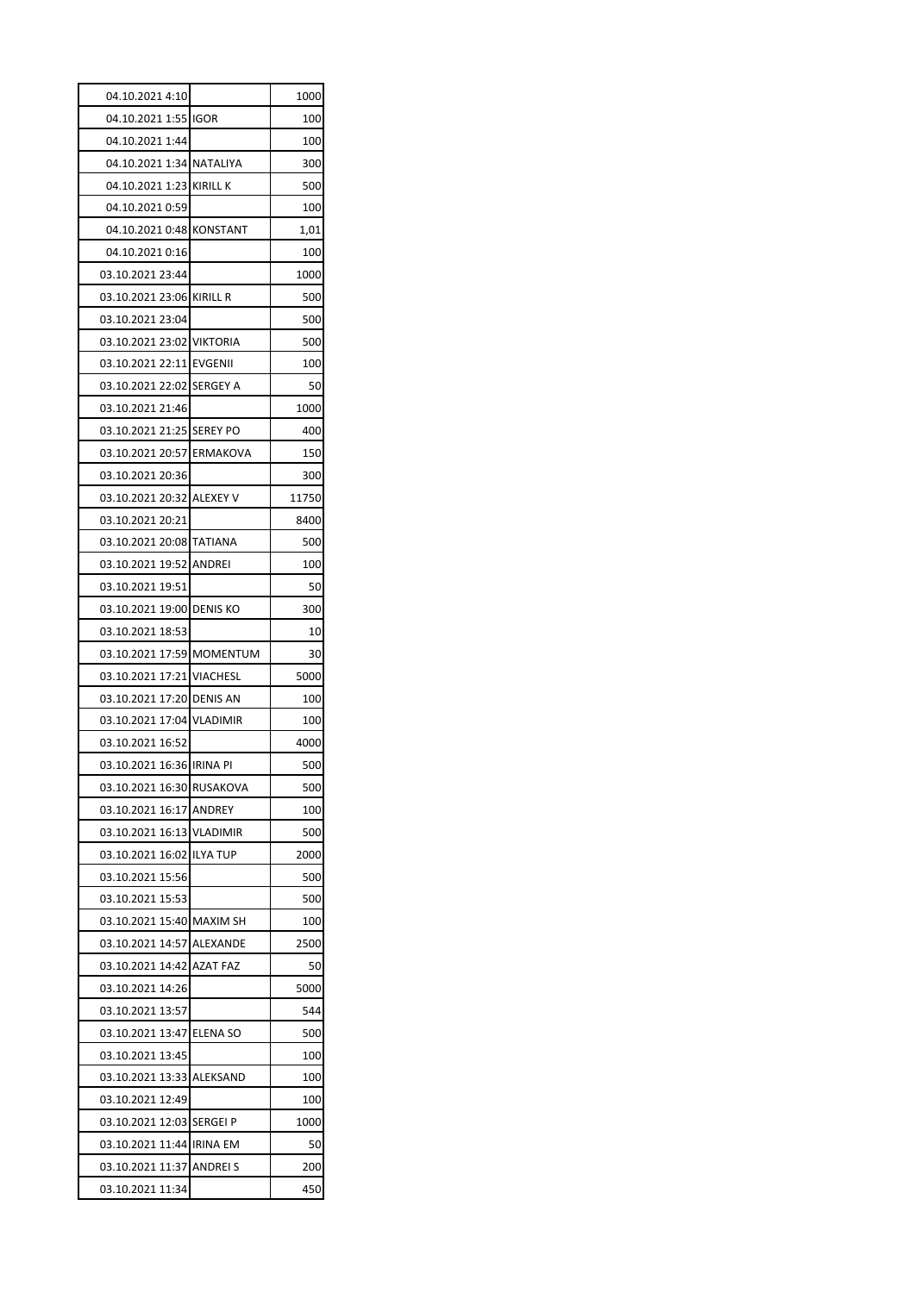| 04.10.2021 4:10           | 1000  |
|---------------------------|-------|
| 04.10.2021 1:55 IGOR      | 100   |
| 04.10.2021 1:44           | 100   |
| 04.10.2021 1:34 NATALIYA  | 300   |
| 04.10.2021 1:23 KIRILL K  | 500   |
| 04.10.2021 0:59           | 100   |
| 04.10.2021 0:48 KONSTANT  | 1,01  |
| 04.10.2021 0:16           | 100   |
| 03.10.2021 23:44          | 1000  |
| 03.10.2021 23:06 KIRILL R | 500   |
| 03.10.2021 23:04          | 500   |
| 03.10.2021 23:02 VIKTORIA | 500   |
| 03.10.2021 22:11 EVGENII  | 100   |
| 03.10.2021 22:02 SERGEY A | 50    |
| 03.10.2021 21:46          | 1000  |
| 03.10.2021 21:25 SEREY PO | 400   |
| 03.10.2021 20:57 ERMAKOVA | 150   |
| 03.10.2021 20:36          | 300   |
| 03.10.2021 20:32 ALEXEY V | 11750 |
| 03.10.2021 20:21          | 8400  |
| 03.10.2021 20:08 TATIANA  | 500   |
| 03.10.2021 19:52 ANDREI   | 100   |
| 03.10.2021 19:51          | 50    |
| 03.10.2021 19:00 DENIS KO | 300   |
| 03.10.2021 18:53          | 10    |
| 03.10.2021 17:59 MOMENTUM | 30    |
| 03.10.2021 17:21 VIACHESL | 5000  |
| 03.10.2021 17:20 DENIS AN | 100   |
| 03.10.2021 17:04 VLADIMIR | 100   |
| 03.10.2021 16:52          | 4000  |
| 03.10.2021 16:36 IRINA PI | 500   |
| 03.10.2021 16:30 RUSAKOVA | 500   |
| 03.10.2021 16:17 ANDREY   | 100   |
| 03.10.2021 16:13 VLADIMIR | 500   |
| 03.10.2021 16:02 ILYA TUP | 2000  |
| 03.10.2021 15:56          | 500   |
| 03.10.2021 15:53          | 500   |
| 03.10.2021 15:40 MAXIM SH | 100   |
| 03.10.2021 14:57 ALEXANDE | 2500  |
| 03.10.2021 14:42 AZAT FAZ | 50    |
| 03.10.2021 14:26          | 5000  |
| 03.10.2021 13:57          | 544   |
| 03.10.2021 13:47 ELENA SO | 500   |
| 03.10.2021 13:45          | 100   |
| 03.10.2021 13:33 ALEKSAND | 100   |
| 03.10.2021 12:49          | 100   |
| 03.10.2021 12:03 SERGEI P | 1000  |
| 03.10.2021 11:44 IRINA EM | 50    |
|                           |       |
| 03.10.2021 11:37 ANDREI S | 200   |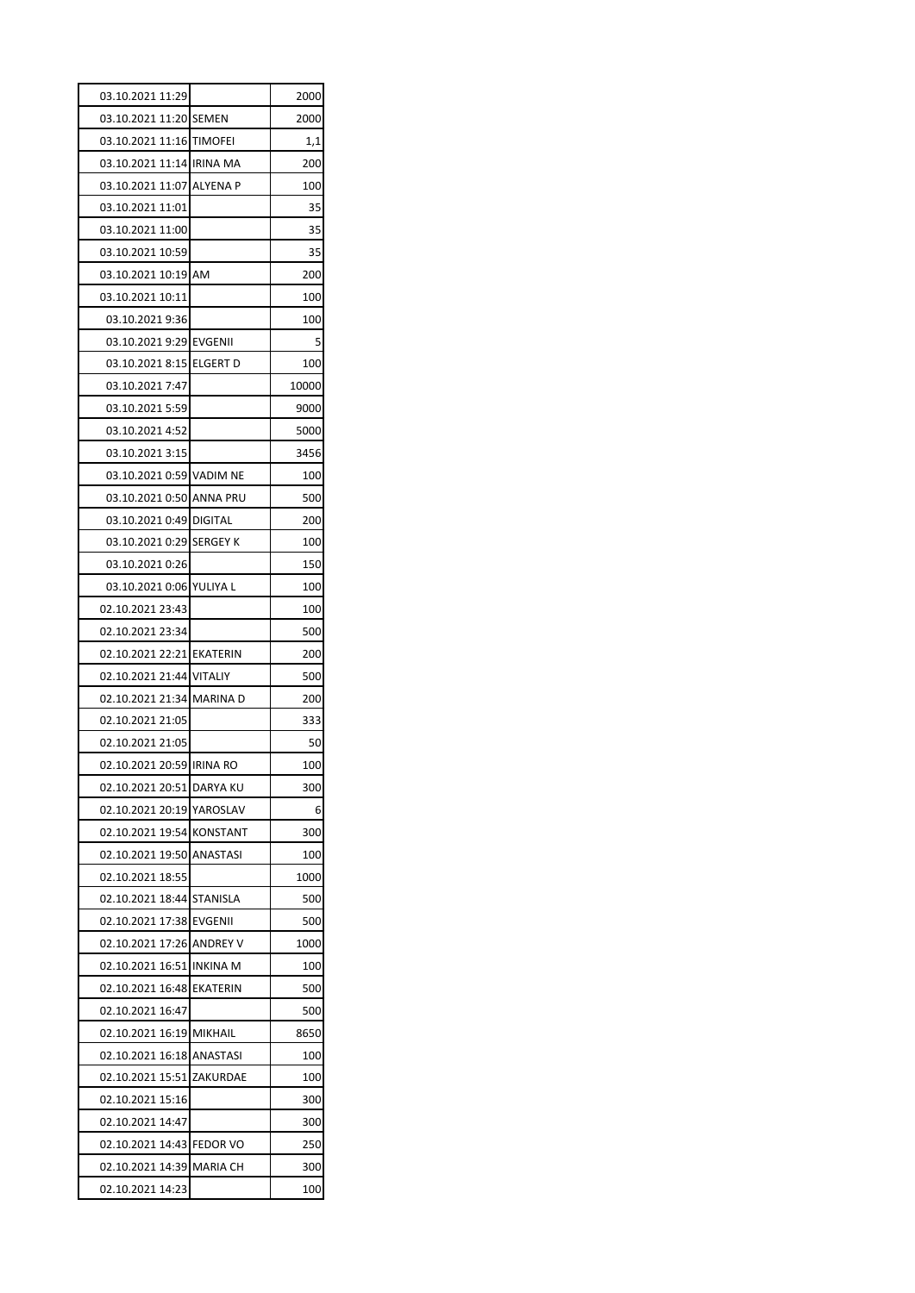| 03.10.2021 11:29          | 2000  |
|---------------------------|-------|
| 03.10.2021 11:20 SEMEN    | 2000  |
| 03.10.2021 11:16 TIMOFEI  | 1,1   |
| 03.10.2021 11:14 IRINA MA | 200   |
| 03.10.2021 11:07 ALYENA P | 100   |
| 03.10.2021 11:01          | 35    |
| 03.10.2021 11:00          | 35    |
| 03.10.2021 10:59          | 35    |
| 03.10.2021 10:19 AM       | 200   |
| 03.10.2021 10:11          | 100   |
| 03.10.2021 9:36           | 100   |
| 03.10.2021 9:29 EVGENII   | 5     |
| 03.10.2021 8:15 ELGERT D  | 100   |
| 03.10.2021 7:47           | 10000 |
| 03.10.2021 5:59           | 9000  |
| 03.10.2021 4:52           | 5000  |
| 03.10.2021 3:15           | 3456  |
| 03.10.2021 0:59 VADIM NE  | 100   |
| 03.10.2021 0:50 ANNA PRU  | 500   |
| 03.10.2021 0:49 DIGITAL   | 200   |
| 03.10.2021 0:29 SERGEY K  | 100   |
| 03.10.2021 0:26           | 150   |
| 03.10.2021 0:06 YULIYA L  | 100   |
| 02.10.2021 23:43          | 100   |
| 02.10.2021 23:34          | 500   |
| 02.10.2021 22:21 EKATERIN | 200   |
| 02.10.2021 21:44 VITALIY  | 500   |
| 02.10.2021 21:34 MARINA D | 200   |
| 02.10.2021 21:05          | 333   |
| 02.10.2021 21:05          | 50    |
| 02.10.2021 20:59 IRINA RO | 100   |
| 02.10.2021 20:51 DARYA KU | 300   |
| 02.10.2021 20:19 YAROSLAV | 6     |
| 02.10.2021 19:54 KONSTANT | 300   |
| 02.10.2021 19:50 ANASTASI | 100   |
| 02.10.2021 18:55          | 1000  |
| 02.10.2021 18:44 STANISLA | 500   |
| 02.10.2021 17:38 EVGENII  | 500   |
| 02.10.2021 17:26 ANDREY V | 1000  |
| 02.10.2021 16:51 INKINA M | 100   |
| 02.10.2021 16:48 EKATERIN | 500   |
| 02.10.2021 16:47          | 500   |
| 02.10.2021 16:19 MIKHAIL  | 8650  |
| 02.10.2021 16:18 ANASTASI | 100   |
| 02.10.2021 15:51 ZAKURDAE | 100   |
| 02.10.2021 15:16          | 300   |
| 02.10.2021 14:47          | 300   |
| 02.10.2021 14:43 FEDOR VO | 250   |
| 02.10.2021 14:39 MARIA CH | 300   |
| 02.10.2021 14:23          | 100   |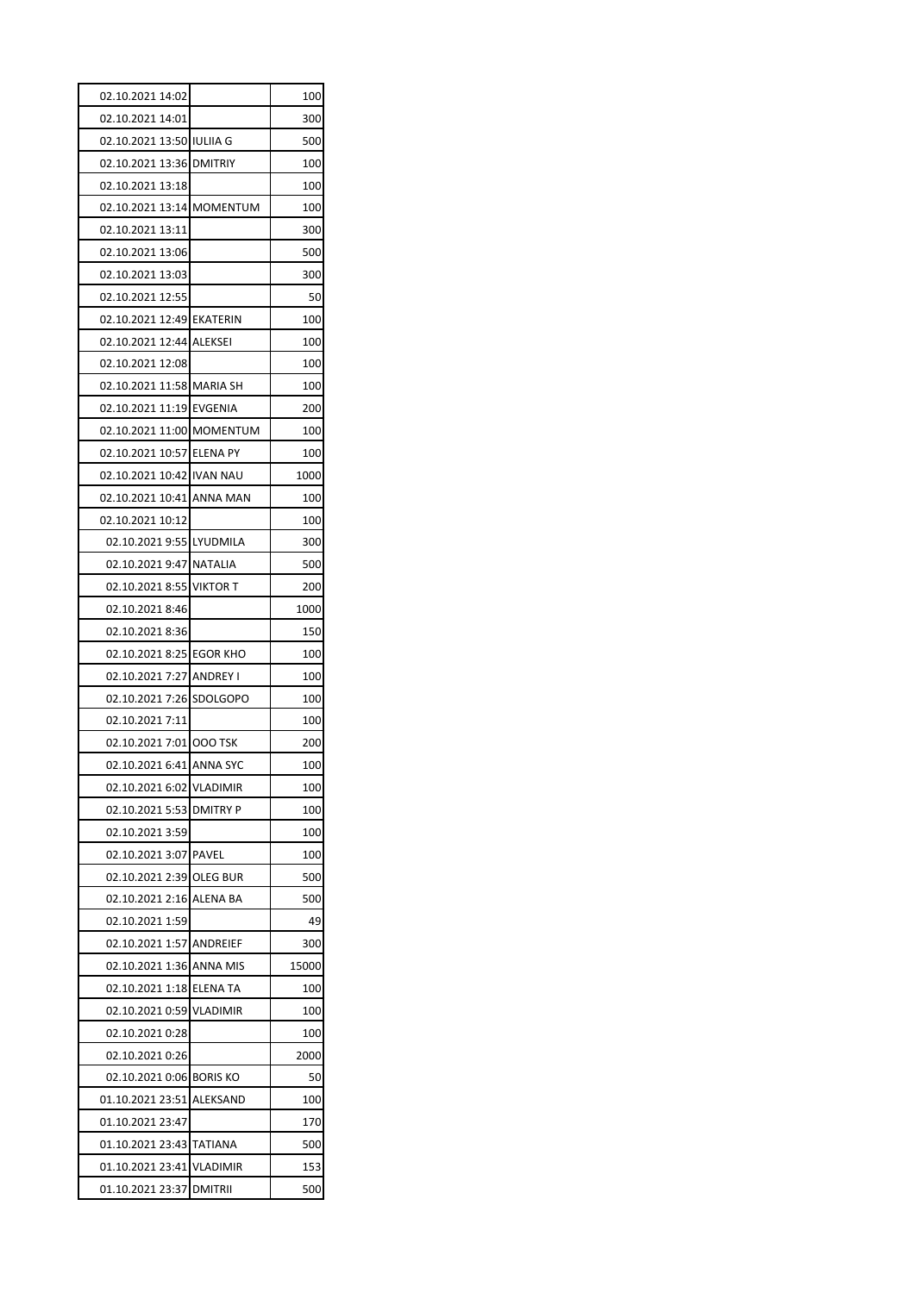| 02.10.2021 14:02                             |                 | 100        |
|----------------------------------------------|-----------------|------------|
| 02.10.2021 14:01                             |                 | 300        |
| 02.10.2021 13:50 IULIIA G                    |                 | 500        |
| 02.10.2021 13:36 DMITRIY                     |                 | 100        |
| 02.10.2021 13:18                             |                 | 100        |
| 02.10.2021 13:14 MOMENTUM                    |                 | 100        |
| 02.10.2021 13:11                             |                 | 300        |
| 02.10.2021 13:06                             |                 | 500        |
| 02.10.2021 13:03                             |                 | 300        |
| 02.10.2021 12:55                             |                 | 50         |
| 02.10.2021 12:49 EKATERIN                    |                 | 100        |
| 02.10.2021 12:44 ALEKSEI                     |                 | 100        |
| 02.10.2021 12:08                             |                 | 100        |
| 02.10.2021 11:58 MARIA SH                    |                 | 100        |
| 02.10.2021 11:19 EVGENIA                     |                 | 200        |
| 02.10.2021 11:00 MOMENTUM                    |                 | 100        |
| 02.10.2021 10:57 ELENA PY                    |                 | 100        |
| 02.10.2021 10:42 IVAN NAU                    |                 | 1000       |
| 02.10.2021 10:41 ANNA MAN                    |                 | 100        |
| 02.10.2021 10:12                             |                 | 100        |
| 02.10.2021 9:55 LYUDMILA                     |                 | 300        |
| 02.10.2021 9:47 NATALIA                      |                 | 500        |
| 02.10.2021 8:55 VIKTOR T                     |                 | 200        |
| 02.10.2021 8:46                              |                 | 1000       |
| 02.10.2021 8:36                              |                 | 150        |
| 02.10.2021 8:25 EGOR KHO                     |                 | 100        |
| 02.10.2021 7:27 ANDREY I                     |                 | 100        |
| 02.10.2021 7:26 SDOLGOPO                     |                 | 100        |
| 02.10.2021 7:11                              |                 | 100        |
| 02.10.2021 7:01 000 TSK                      |                 | 200        |
| 02.10.2021 6:41 ANNA SYC                     |                 | 100        |
| 02.10.2021 6:02 VLADIMIR                     |                 | 100        |
| 02.10.2021 5:53 DMITRY P                     |                 | 100        |
| 02.10.2021 3:59                              |                 | 100        |
| 02.10.2021 3:07 PAVEL                        |                 | 100        |
| 02.10.2021 2:39 OLEG BUR                     |                 | 500        |
| 02.10.2021 2:16 ALENA BA                     |                 | 500        |
| 02.10.2021 1:59                              |                 | 49         |
| 02.10.2021 1:57 ANDREIEF                     |                 | 300        |
| 02.10.2021 1:36 ANNA MIS                     |                 | 15000      |
| 02.10.2021 1:18 ELENA TA                     |                 | 100        |
| 02.10.2021 0:59                              | <b>VLADIMIR</b> | 100        |
| 02.10.2021 0:28                              |                 | 100        |
| 02.10.2021 0:26                              |                 | 2000       |
| 02.10.2021 0:06 BORIS KO                     |                 | 50         |
| 01.10.2021 23:51                             | ALEKSAND        | 100        |
| 01.10.2021 23:47                             |                 | 170        |
|                                              |                 |            |
|                                              |                 |            |
| 01.10.2021 23:43 TATIANA<br>01.10.2021 23:41 | <b>VLADIMIR</b> | 500<br>153 |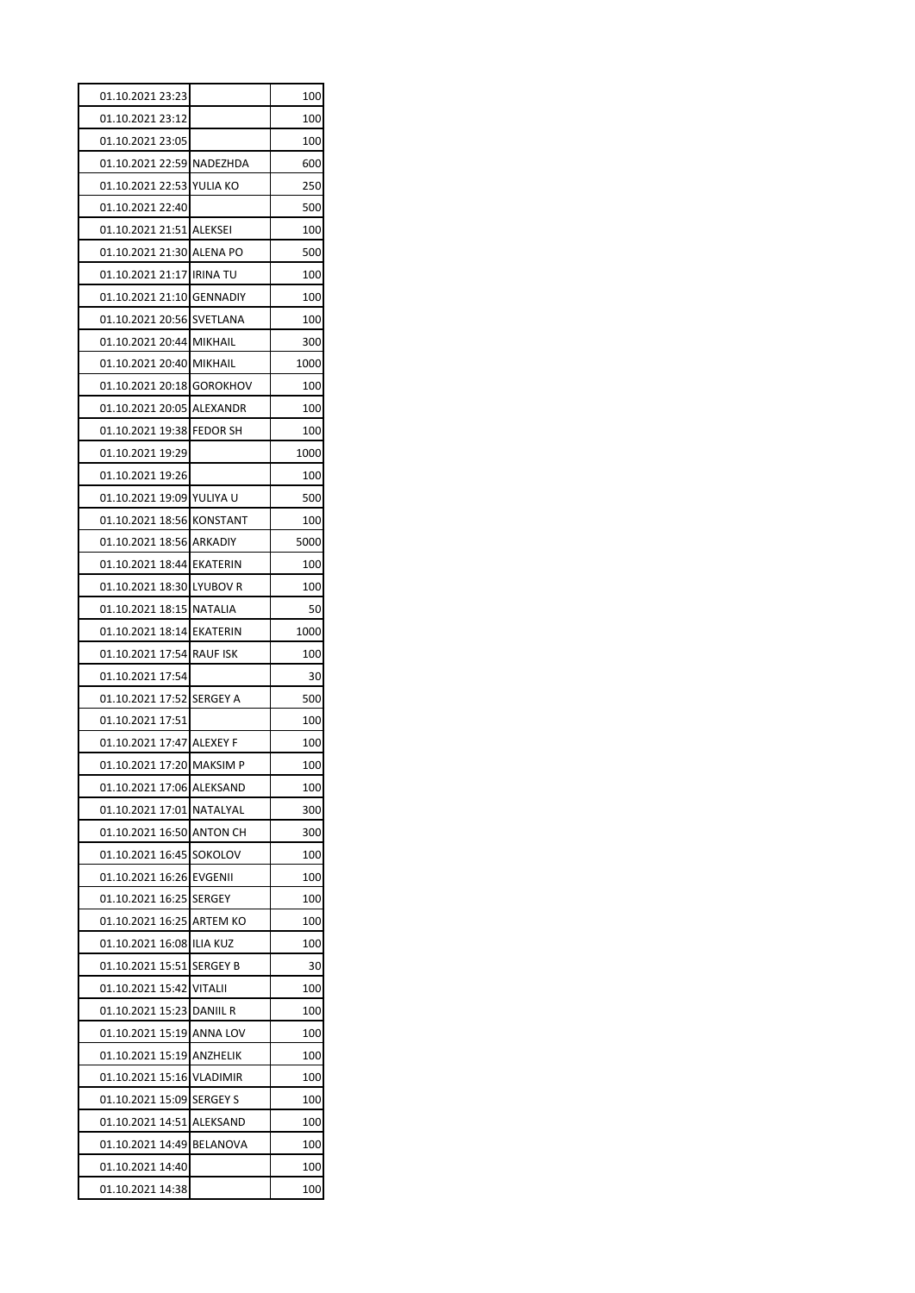| 01.10.2021 23:23          |                 | 100  |
|---------------------------|-----------------|------|
| 01.10.2021 23:12          |                 | 100  |
| 01.10.2021 23:05          |                 | 100  |
| 01.10.2021 22:59 NADEZHDA |                 | 600  |
| 01.10.2021 22:53          | YULIA KO        | 250  |
| 01.10.2021 22:40          |                 | 500  |
| 01.10.2021 21:51 ALEKSEI  |                 | 100  |
| 01.10.2021 21:30 ALENA PO |                 | 500  |
| 01.10.2021 21:17          | <b>IRINA TU</b> | 100  |
| 01.10.2021 21:10 GENNADIY |                 | 100  |
| 01.10.2021 20:56 SVETLANA |                 | 100  |
| 01.10.2021 20:44 MIKHAIL  |                 | 300  |
| 01.10.2021 20:40 MIKHAIL  |                 | 1000 |
| 01.10.2021 20:18          | <b>GOROKHOV</b> | 100  |
| 01.10.2021 20:05 ALEXANDR |                 | 100  |
| 01.10.2021 19:38          | <b>FEDOR SH</b> | 100  |
| 01.10.2021 19:29          |                 | 1000 |
| 01.10.2021 19:26          |                 | 100  |
| 01.10.2021 19:09          | YULIYA U        | 500  |
| 01.10.2021 18:56 KONSTANT |                 | 100  |
| 01.10.2021 18:56 ARKADIY  |                 | 5000 |
| 01.10.2021 18:44 EKATERIN |                 | 100  |
| 01.10.2021 18:30 LYUBOV R |                 | 100  |
| 01.10.2021 18:15          | <b>NATALIA</b>  | 50   |
| 01.10.2021 18:14 EKATERIN |                 | 1000 |
| 01.10.2021 17:54          | <b>RAUF ISK</b> | 100  |
| 01.10.2021 17:54          |                 |      |
|                           |                 | 30   |
| 01.10.2021 17:52          | <b>SERGEY A</b> | 500  |
| 01.10.2021 17:51          |                 | 100  |
| 01.10.2021 17:47 ALEXEY F |                 | 100  |
| 01.10.2021 17:20 MAKSIM P |                 | 100  |
| 01.10.2021 17:06          | ALEKSAND        | 100  |
| 01.10.2021 17:01          | NATALYAL        | 300  |
| 01.10.2021 16:50          | ANTON CH        | 300  |
| 01.10.2021 16:45          | SOKOLOV         | 100  |
| 01.10.2021 16:26          | EVGENII         | 100  |
| 01.10.2021 16:25          | <b>SERGEY</b>   | 100  |
| 01.10.2021 16:25          | <b>ARTEM KO</b> | 100  |
| 01.10.2021 16:08          | <b>ILIA KUZ</b> | 100  |
| 01.10.2021 15:51          | SERGEY B        | 30   |
| 01.10.2021 15:42          | VITALII         | 100  |
| 01.10.2021 15:23          | DANIIL R        | 100  |
| 01.10.2021 15:19          | ANNA LOV        | 100  |
| 01.10.2021 15:19          | ANZHELIK        | 100  |
| 01.10.2021 15:16          | <b>VLADIMIR</b> | 100  |
| 01.10.2021 15:09          | <b>SERGEY S</b> | 100  |
| 01.10.2021 14:51          | ALEKSAND        | 100  |
| 01.10.2021 14:49          | BELANOVA        | 100  |
| 01.10.2021 14:40          |                 | 100  |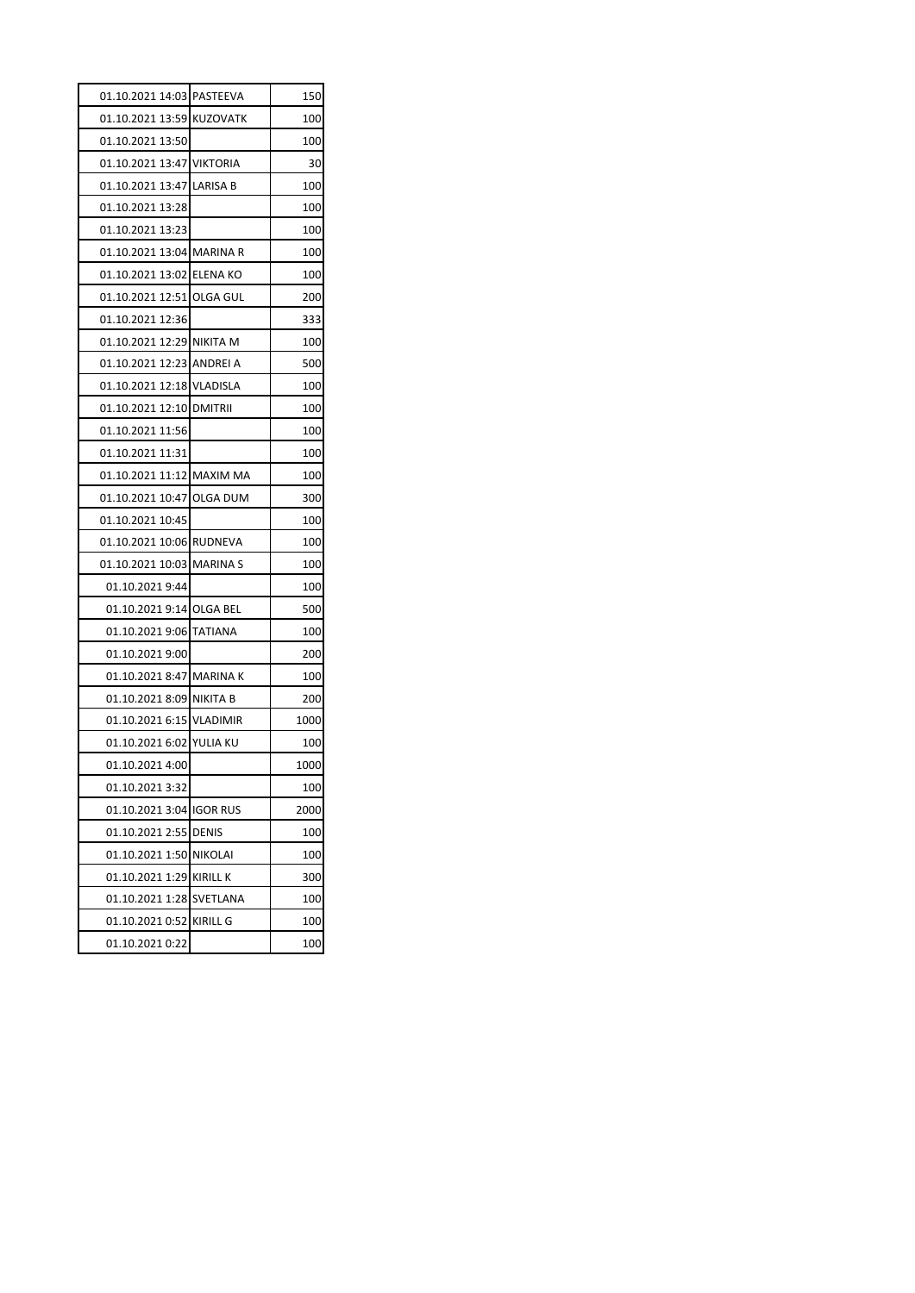| 01.10.2021 14:03 PASTEEVA |                 | 150  |
|---------------------------|-----------------|------|
| 01.10.2021 13:59 KUZOVATK |                 | 100  |
| 01.10.2021 13:50          |                 | 100  |
| 01.10.2021 13:47 VIKTORIA |                 | 30   |
| 01.10.2021 13:47 LARISA B |                 | 100  |
| 01.10.2021 13:28          |                 | 100  |
| 01.10.2021 13:23          |                 | 100  |
| 01.10.2021 13:04 MARINA R |                 | 100  |
| 01.10.2021 13:02 ELENA KO |                 | 100  |
| 01.10.2021 12:51 OLGA GUL |                 | 200  |
| 01.10.2021 12:36          |                 | 333  |
| 01.10.2021 12:29 NIKITA M |                 | 100  |
| 01.10.2021 12:23 ANDREI A |                 | 500  |
| 01.10.2021 12:18 VLADISLA |                 | 100  |
| 01.10.2021 12:10 DMITRII  |                 | 100  |
| 01.10.2021 11:56          |                 | 100  |
| 01.10.2021 11:31          |                 | 100  |
| 01.10.2021 11:12 MAXIM MA |                 | 100  |
| 01.10.2021 10:47 OLGA DUM |                 | 300  |
| 01.10.2021 10:45          |                 | 100  |
| 01.10.2021 10:06 RUDNEVA  |                 | 100  |
| 01.10.2021 10:03 MARINA S |                 | 100  |
| 01.10.2021 9:44           |                 | 100  |
| 01.10.2021 9:14 OLGA BEL  |                 | 500  |
| 01.10.2021 9:06 TATIANA   |                 | 100  |
| 01.10.2021 9:00           |                 | 200  |
| 01.10.2021 8:47           | <b>MARINAK</b>  | 100  |
| 01.10.2021 8:09 NIKITA B  |                 | 200  |
| 01.10.2021 6:15           | <b>VLADIMIR</b> | 1000 |
| 01.10.2021 6:02 YULIA KU  |                 | 100  |
| 01.10.2021 4:00           |                 | 1000 |
| 01.10.2021 3:32           |                 | 100  |
| 01.10.2021 3:04           | <b>IGOR RUS</b> | 2000 |
| 01.10.2021 2:55           | <b>DENIS</b>    | 100  |
| 01.10.2021 1:50           | <b>NIKOLAI</b>  | 100  |
| 01.10.2021 1:29           | <b>KIRILL K</b> | 300  |
| 01.10.2021 1:28           | <b>SVETLANA</b> | 100  |
| 01.10.2021 0:52           | <b>KIRILL G</b> | 100  |
| 01.10.2021 0:22           |                 | 100  |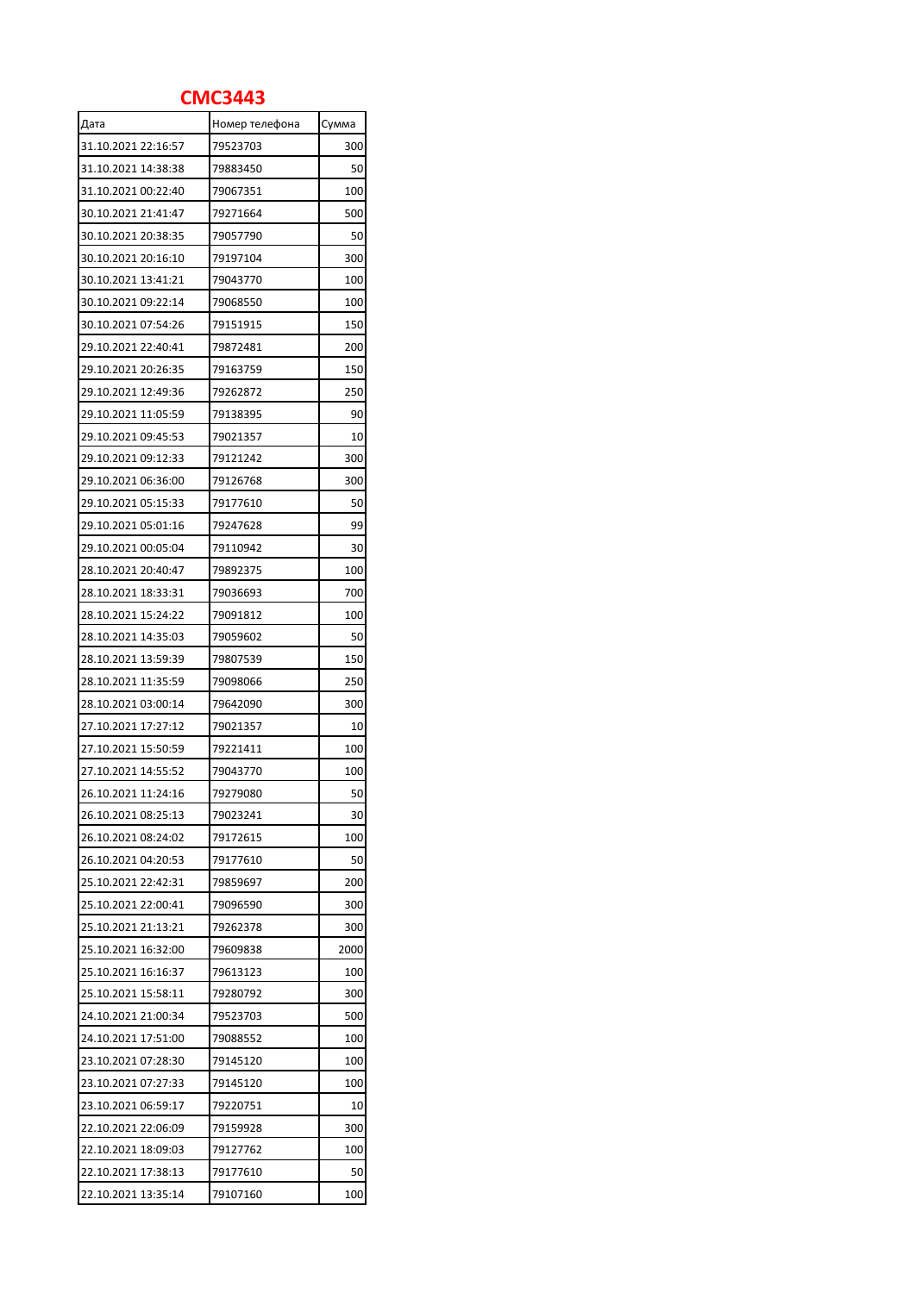## **СМС3443**

| Дата                                       | Номер телефона | Сумма |
|--------------------------------------------|----------------|-------|
| 31.10.2021 22:16:57                        | 79523703       | 300   |
| 31.10.2021 14:38:38                        | 79883450       | 50    |
| 31.10.2021 00:22:40                        | 79067351       | 100   |
| 30.10.2021 21:41:47                        | 79271664       | 500   |
| 30.10.2021 20:38:35                        | 79057790       | 50    |
| 30.10.2021 20:16:10                        | 79197104       | 300   |
| 30.10.2021 13:41:21                        | 79043770       | 100   |
| 30.10.2021 09:22:14                        | 79068550       | 100   |
| 30.10.2021 07:54:26                        | 79151915       | 150   |
| 29.10.2021 22:40:41                        | 79872481       | 200   |
| 29.10.2021 20:26:35                        | 79163759       | 150   |
| 29.10.2021 12:49:36                        | 79262872       | 250   |
| 29.10.2021 11:05:59                        | 79138395       | 90    |
| 29.10.2021 09:45:53                        | 79021357       | 10    |
| 29.10.2021 09:12:33                        | 79121242       | 300   |
| 29.10.2021 06:36:00                        | 79126768       | 300   |
| 29.10.2021 05:15:33                        | 79177610       | 50    |
| 29.10.2021 05:01:16                        | 79247628       | 99    |
| 29.10.2021 00:05:04                        | 79110942       | 30    |
| 28.10.2021 20:40:47                        | 79892375       | 100   |
| 28.10.2021 18:33:31                        | 79036693       | 700   |
| 28.10.2021 15:24:22                        | 79091812       | 100   |
| 28.10.2021 14:35:03                        | 79059602       | 50    |
| 28.10.2021 13:59:39                        | 79807539       | 150   |
| 28.10.2021 11:35:59                        | 79098066       | 250   |
|                                            | 79642090       | 300   |
| 28.10.2021 03:00:14<br>27.10.2021 17:27:12 |                |       |
| 27.10.2021 15:50:59                        | 79021357       | 10    |
|                                            | 79221411       | 100   |
| 27.10.2021 14:55:52                        | 79043770       | 100   |
| 26.10.2021 11:24:16                        | 79279080       | 50    |
| 26.10.2021 08:25:13                        | 79023241       | 30    |
| 26.10.2021 08:24:02                        | 79172615       | 100   |
| 26.10.2021 04:20:53                        | 79177610       | 50    |
| 25.10.2021 22:42:31                        | 79859697       | 200   |
| 25.10.2021 22:00:41                        | 79096590       | 300   |
| 25.10.2021 21:13:21                        | 79262378       | 300   |
| 25.10.2021 16:32:00                        | 79609838       | 2000  |
| 25.10.2021 16:16:37                        | 79613123       | 100   |
| 25.10.2021 15:58:11                        | 79280792       | 300   |
| 24.10.2021 21:00:34                        | 79523703       | 500   |
| 24.10.2021 17:51:00                        | 79088552       | 100   |
| 23.10.2021 07:28:30                        | 79145120       | 100   |
| 23.10.2021 07:27:33                        | 79145120       | 100   |
| 23.10.2021 06:59:17                        | 79220751       | 10    |
| 22.10.2021 22:06:09                        | 79159928       | 300   |
| 22.10.2021 18:09:03                        | 79127762       | 100   |
| 22.10.2021 17:38:13                        | 79177610       | 50    |
| 22.10.2021 13:35:14                        | 79107160       | 100   |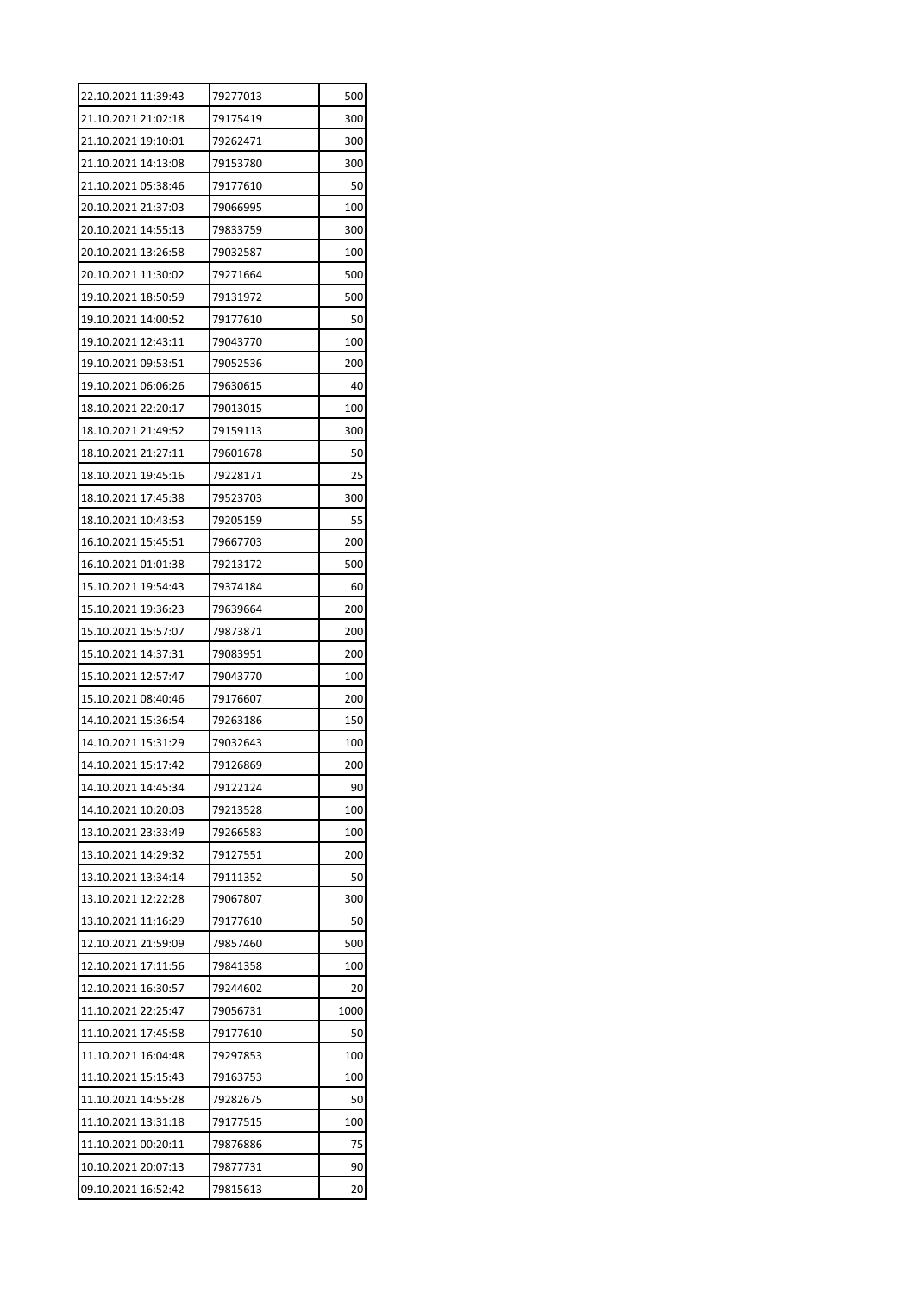| 22.10.2021 11:39:43 | 79277013 | 500  |
|---------------------|----------|------|
| 21.10.2021 21:02:18 | 79175419 | 300  |
| 21.10.2021 19:10:01 | 79262471 | 300  |
| 21.10.2021 14:13:08 | 79153780 | 300  |
| 21.10.2021 05:38:46 | 79177610 | 50   |
| 20.10.2021 21:37:03 | 79066995 | 100  |
| 20.10.2021 14:55:13 | 79833759 | 300  |
| 20.10.2021 13:26:58 | 79032587 | 100  |
| 20.10.2021 11:30:02 | 79271664 | 500  |
| 19.10.2021 18:50:59 | 79131972 | 500  |
| 19.10.2021 14:00:52 | 79177610 | 50   |
| 19.10.2021 12:43:11 | 79043770 | 100  |
| 19.10.2021 09:53:51 | 79052536 | 200  |
| 19.10.2021 06:06:26 | 79630615 | 40   |
| 18.10.2021 22:20:17 | 79013015 | 100  |
| 18.10.2021 21:49:52 | 79159113 | 300  |
| 18.10.2021 21:27:11 | 79601678 | 50   |
| 18.10.2021 19:45:16 | 79228171 | 25   |
| 18.10.2021 17:45:38 | 79523703 | 300  |
| 18.10.2021 10:43:53 | 79205159 | 55   |
| 16.10.2021 15:45:51 | 79667703 | 200  |
| 16.10.2021 01:01:38 | 79213172 | 500  |
| 15.10.2021 19:54:43 | 79374184 | 60   |
| 15.10.2021 19:36:23 | 79639664 | 200  |
| 15.10.2021 15:57:07 | 79873871 | 200  |
| 15.10.2021 14:37:31 | 79083951 | 200  |
| 15.10.2021 12:57:47 | 79043770 | 100  |
| 15.10.2021 08:40:46 | 79176607 | 200  |
| 14.10.2021 15:36:54 | 79263186 | 150  |
| 14.10.2021 15:31:29 | 79032643 | 100  |
| 14.10.2021 15:17:42 | 79126869 | 200  |
| 14.10.2021 14:45:34 | 79122124 | 90   |
| 14.10.2021 10:20:03 | 79213528 | 100  |
| 13.10.2021 23:33:49 |          |      |
|                     | 79266583 | 100  |
| 13.10.2021 14:29:32 | 79127551 | 200  |
| 13.10.2021 13:34:14 | 79111352 | 50   |
| 13.10.2021 12:22:28 | 79067807 | 300  |
| 13.10.2021 11:16:29 | 79177610 | 50   |
| 12.10.2021 21:59:09 | 79857460 | 500  |
| 12.10.2021 17:11:56 | 79841358 | 100  |
| 12.10.2021 16:30:57 | 79244602 | 20   |
| 11.10.2021 22:25:47 | 79056731 | 1000 |
| 11.10.2021 17:45:58 | 79177610 | 50   |
| 11.10.2021 16:04:48 | 79297853 | 100  |
| 11.10.2021 15:15:43 | 79163753 | 100  |
| 11.10.2021 14:55:28 | 79282675 | 50   |
| 11.10.2021 13:31:18 | 79177515 | 100  |
| 11.10.2021 00:20:11 | 79876886 | 75   |
| 10.10.2021 20:07:13 | 79877731 | 90   |
| 09.10.2021 16:52:42 | 79815613 | 20   |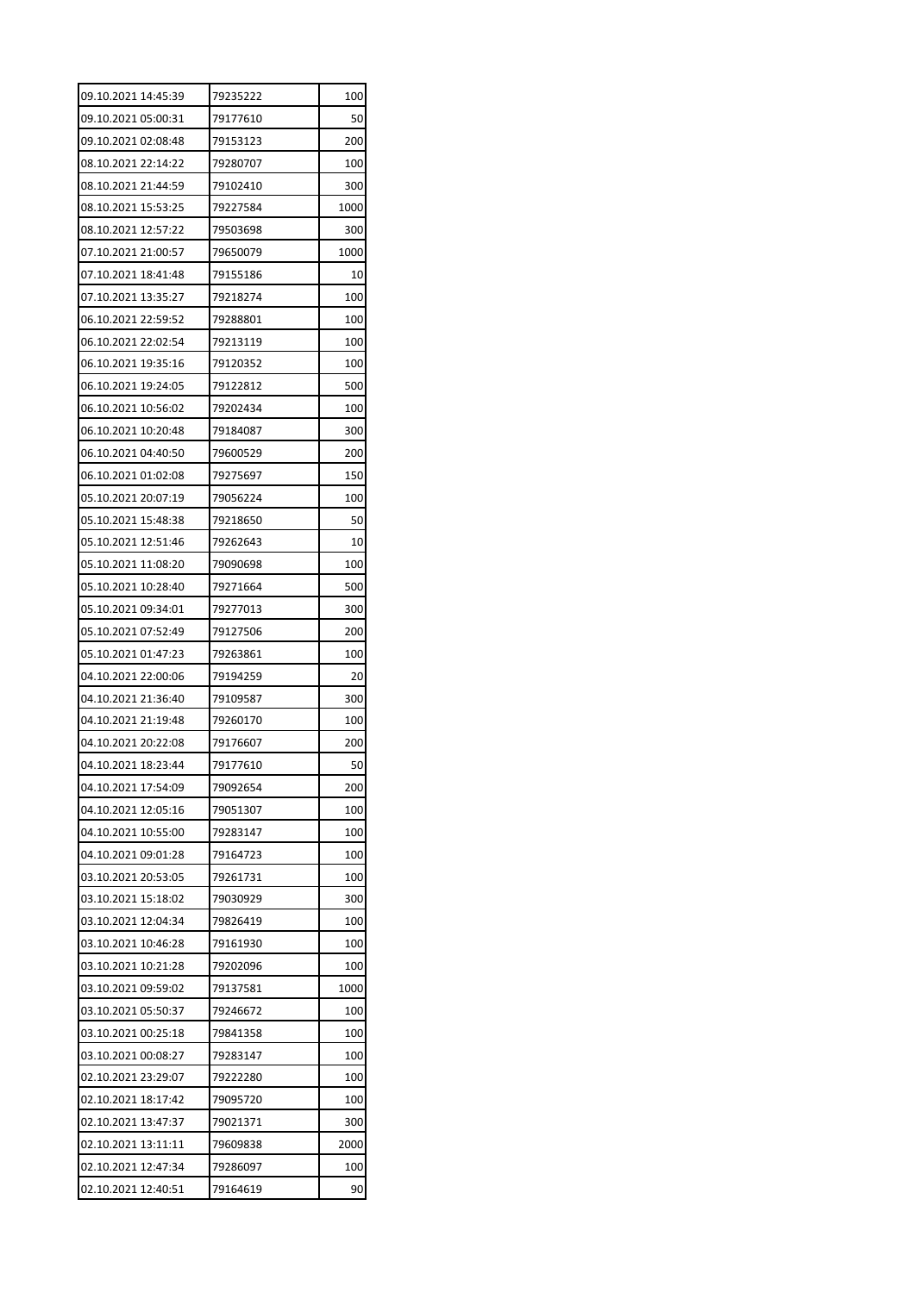| 09.10.2021 14:45:39 | 79235222 | 100  |
|---------------------|----------|------|
| 09.10.2021 05:00:31 | 79177610 | 50   |
| 09.10.2021 02:08:48 | 79153123 | 200  |
| 08.10.2021 22:14:22 | 79280707 | 100  |
| 08.10.2021 21:44:59 | 79102410 | 300  |
| 08.10.2021 15:53:25 | 79227584 | 1000 |
| 08.10.2021 12:57:22 | 79503698 | 300  |
| 07.10.2021 21:00:57 | 79650079 | 1000 |
| 07.10.2021 18:41:48 | 79155186 | 10   |
| 07.10.2021 13:35:27 | 79218274 | 100  |
| 06.10.2021 22:59:52 | 79288801 | 100  |
| 06.10.2021 22:02:54 | 79213119 | 100  |
| 06.10.2021 19:35:16 | 79120352 | 100  |
| 06.10.2021 19:24:05 | 79122812 | 500  |
| 06.10.2021 10:56:02 | 79202434 | 100  |
| 06.10.2021 10:20:48 | 79184087 | 300  |
| 06.10.2021 04:40:50 | 79600529 | 200  |
| 06.10.2021 01:02:08 | 79275697 | 150  |
| 05.10.2021 20:07:19 | 79056224 | 100  |
| 05.10.2021 15:48:38 | 79218650 | 50   |
| 05.10.2021 12:51:46 | 79262643 | 10   |
| 05.10.2021 11:08:20 | 79090698 | 100  |
| 05.10.2021 10:28:40 | 79271664 | 500  |
| 05.10.2021 09:34:01 | 79277013 | 300  |
| 05.10.2021 07:52:49 | 79127506 | 200  |
| 05.10.2021 01:47:23 | 79263861 | 100  |
| 04.10.2021 22:00:06 | 79194259 | 20   |
| 04.10.2021 21:36:40 | 79109587 | 300  |
| 04.10.2021 21:19:48 | 79260170 | 100  |
| 04.10.2021 20:22:08 | 79176607 | 200  |
| 04.10.2021 18:23:44 | 79177610 | 50   |
| 04.10.2021 17:54:09 | 79092654 | 200  |
| 04.10.2021 12:05:16 | 79051307 | 100  |
| 04.10.2021 10:55:00 | 79283147 | 100  |
| 04.10.2021 09:01:28 | 79164723 | 100  |
| 03.10.2021 20:53:05 | 79261731 | 100  |
| 03.10.2021 15:18:02 | 79030929 | 300  |
| 03.10.2021 12:04:34 | 79826419 | 100  |
| 03.10.2021 10:46:28 | 79161930 | 100  |
| 03.10.2021 10:21:28 | 79202096 | 100  |
| 03.10.2021 09:59:02 | 79137581 | 1000 |
| 03.10.2021 05:50:37 | 79246672 | 100  |
| 03.10.2021 00:25:18 | 79841358 | 100  |
| 03.10.2021 00:08:27 | 79283147 | 100  |
| 02.10.2021 23:29:07 | 79222280 | 100  |
| 02.10.2021 18:17:42 | 79095720 | 100  |
| 02.10.2021 13:47:37 | 79021371 | 300  |
| 02.10.2021 13:11:11 | 79609838 | 2000 |
| 02.10.2021 12:47:34 | 79286097 | 100  |
| 02.10.2021 12:40:51 | 79164619 | 90   |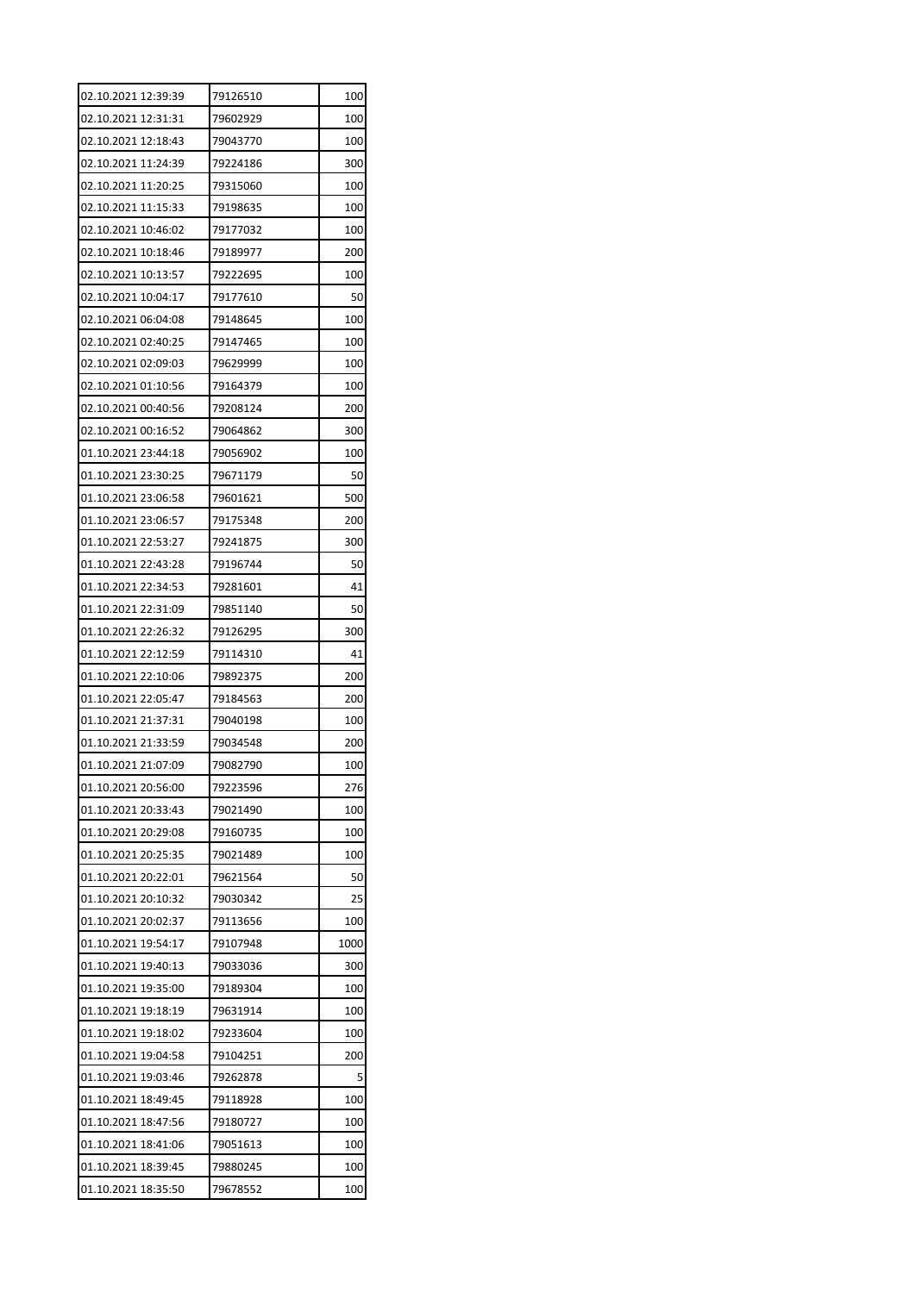| 02.10.2021 12:39:39 | 79126510 | 100  |
|---------------------|----------|------|
| 02.10.2021 12:31:31 | 79602929 | 100  |
| 02.10.2021 12:18:43 | 79043770 | 100  |
| 02.10.2021 11:24:39 | 79224186 | 300  |
| 02.10.2021 11:20:25 | 79315060 | 100  |
| 02.10.2021 11:15:33 | 79198635 | 100  |
| 02.10.2021 10:46:02 | 79177032 | 100  |
| 02.10.2021 10:18:46 | 79189977 | 200  |
| 02.10.2021 10:13:57 | 79222695 | 100  |
| 02.10.2021 10:04:17 | 79177610 | 50   |
| 02.10.2021 06:04:08 | 79148645 | 100  |
| 02.10.2021 02:40:25 | 79147465 | 100  |
| 02.10.2021 02:09:03 | 79629999 | 100  |
| 02.10.2021 01:10:56 | 79164379 | 100  |
| 02.10.2021 00:40:56 | 79208124 | 200  |
| 02.10.2021 00:16:52 | 79064862 | 300  |
| 01.10.2021 23:44:18 | 79056902 | 100  |
| 01.10.2021 23:30:25 | 79671179 | 50   |
| 01.10.2021 23:06:58 | 79601621 | 500  |
| 01.10.2021 23:06:57 | 79175348 | 200  |
| 01.10.2021 22:53:27 | 79241875 | 300  |
| 01.10.2021 22:43:28 | 79196744 | 50   |
| 01.10.2021 22:34:53 | 79281601 | 41   |
| 01.10.2021 22:31:09 | 79851140 | 50   |
| 01.10.2021 22:26:32 | 79126295 | 300  |
| 01.10.2021 22:12:59 | 79114310 | 41   |
| 01.10.2021 22:10:06 | 79892375 | 200  |
| 01.10.2021 22:05:47 | 79184563 | 200  |
| 01.10.2021 21:37:31 | 79040198 | 100  |
| 01.10.2021 21:33:59 | 79034548 | 200  |
| 01.10.2021 21:07:09 | 79082790 | 100  |
| 01.10.2021 20:56:00 | 79223596 | 276  |
| 01.10.2021 20:33:43 | 79021490 | 100  |
| 01.10.2021 20:29:08 | 79160735 | 100  |
| 01.10.2021 20:25:35 | 79021489 | 100  |
| 01.10.2021 20:22:01 | 79621564 | 50   |
| 01.10.2021 20:10:32 | 79030342 | 25   |
| 01.10.2021 20:02:37 | 79113656 | 100  |
| 01.10.2021 19:54:17 | 79107948 | 1000 |
| 01.10.2021 19:40:13 | 79033036 | 300  |
| 01.10.2021 19:35:00 | 79189304 | 100  |
| 01.10.2021 19:18:19 | 79631914 | 100  |
| 01.10.2021 19:18:02 | 79233604 | 100  |
| 01.10.2021 19:04:58 | 79104251 | 200  |
| 01.10.2021 19:03:46 | 79262878 | 5    |
| 01.10.2021 18:49:45 | 79118928 | 100  |
| 01.10.2021 18:47:56 | 79180727 | 100  |
| 01.10.2021 18:41:06 | 79051613 | 100  |
| 01.10.2021 18:39:45 | 79880245 | 100  |
| 01.10.2021 18:35:50 | 79678552 | 100  |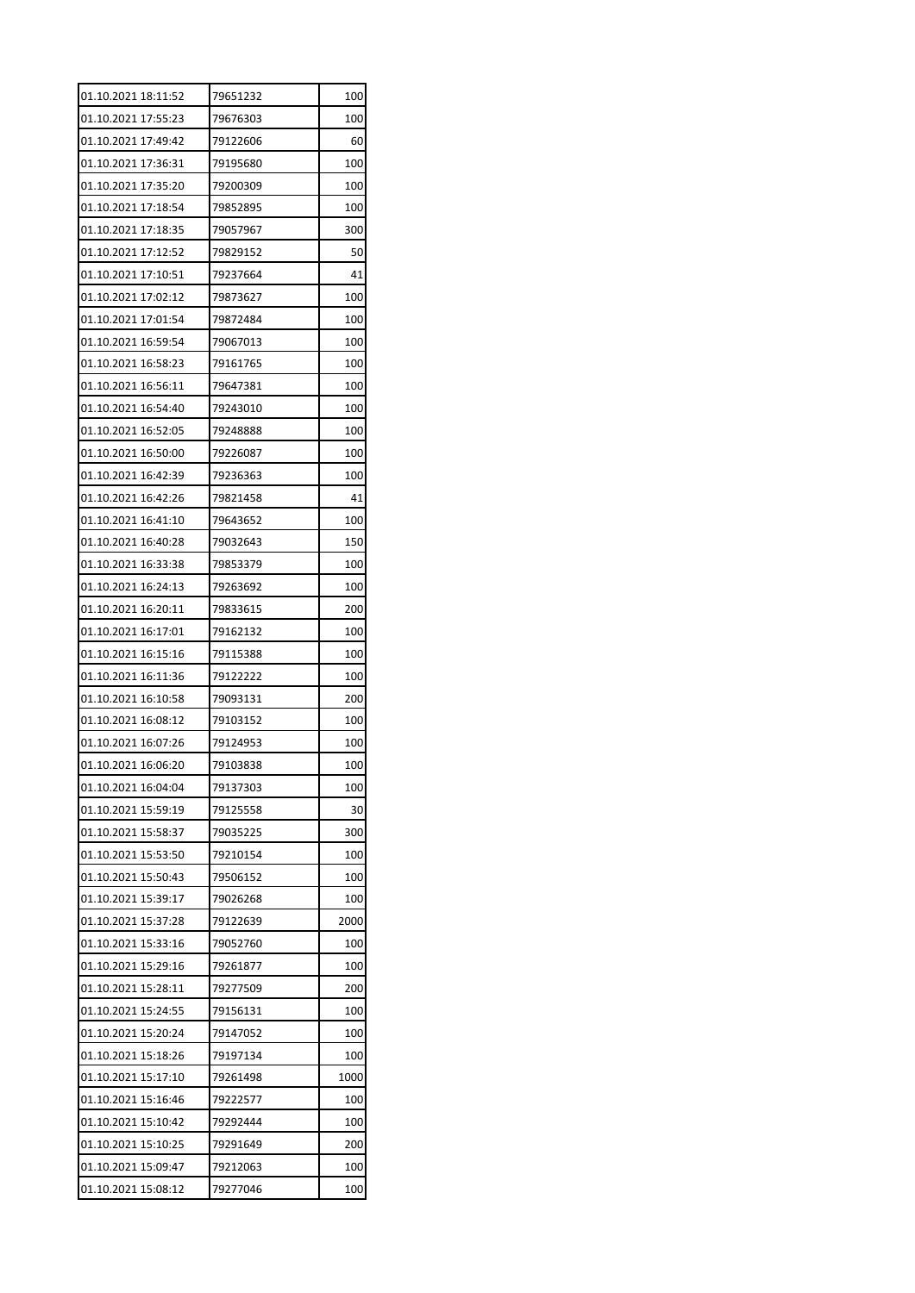| 01.10.2021 18:11:52 | 79651232 | 100  |
|---------------------|----------|------|
| 01.10.2021 17:55:23 | 79676303 | 100  |
| 01.10.2021 17:49:42 | 79122606 | 60   |
| 01.10.2021 17:36:31 | 79195680 | 100  |
| 01.10.2021 17:35:20 | 79200309 | 100  |
| 01.10.2021 17:18:54 | 79852895 | 100  |
| 01.10.2021 17:18:35 | 79057967 | 300  |
| 01.10.2021 17:12:52 | 79829152 | 50   |
| 01.10.2021 17:10:51 | 79237664 | 41   |
| 01.10.2021 17:02:12 | 79873627 | 100  |
| 01.10.2021 17:01:54 | 79872484 | 100  |
| 01.10.2021 16:59:54 | 79067013 | 100  |
| 01.10.2021 16:58:23 | 79161765 | 100  |
| 01.10.2021 16:56:11 | 79647381 | 100  |
| 01.10.2021 16:54:40 | 79243010 | 100  |
| 01.10.2021 16:52:05 | 79248888 | 100  |
| 01.10.2021 16:50:00 | 79226087 | 100  |
| 01.10.2021 16:42:39 | 79236363 | 100  |
| 01.10.2021 16:42:26 | 79821458 | 41   |
| 01.10.2021 16:41:10 | 79643652 | 100  |
| 01.10.2021 16:40:28 | 79032643 | 150  |
| 01.10.2021 16:33:38 | 79853379 | 100  |
| 01.10.2021 16:24:13 | 79263692 | 100  |
| 01.10.2021 16:20:11 | 79833615 | 200  |
| 01.10.2021 16:17:01 | 79162132 | 100  |
| 01.10.2021 16:15:16 | 79115388 | 100  |
| 01.10.2021 16:11:36 | 79122222 | 100  |
| 01.10.2021 16:10:58 | 79093131 | 200  |
| 01.10.2021 16:08:12 | 79103152 | 100  |
| 01.10.2021 16:07:26 | 79124953 | 100  |
| 01.10.2021 16:06:20 | 79103838 | 100  |
| 01.10.2021 16:04:04 | 79137303 | 100  |
| 01.10.2021 15:59:19 | 79125558 | 30   |
| 01.10.2021 15:58:37 | 79035225 | 300  |
| 01.10.2021 15:53:50 | 79210154 | 100  |
| 01.10.2021 15:50:43 | 79506152 | 100  |
| 01.10.2021 15:39:17 | 79026268 | 100  |
| 01.10.2021 15:37:28 | 79122639 | 2000 |
| 01.10.2021 15:33:16 | 79052760 | 100  |
| 01.10.2021 15:29:16 | 79261877 | 100  |
| 01.10.2021 15:28:11 | 79277509 | 200  |
| 01.10.2021 15:24:55 | 79156131 | 100  |
| 01.10.2021 15:20:24 | 79147052 | 100  |
| 01.10.2021 15:18:26 | 79197134 | 100  |
| 01.10.2021 15:17:10 | 79261498 | 1000 |
| 01.10.2021 15:16:46 | 79222577 | 100  |
| 01.10.2021 15:10:42 | 79292444 | 100  |
| 01.10.2021 15:10:25 | 79291649 | 200  |
| 01.10.2021 15:09:47 | 79212063 | 100  |
| 01.10.2021 15:08:12 | 79277046 | 100  |
|                     |          |      |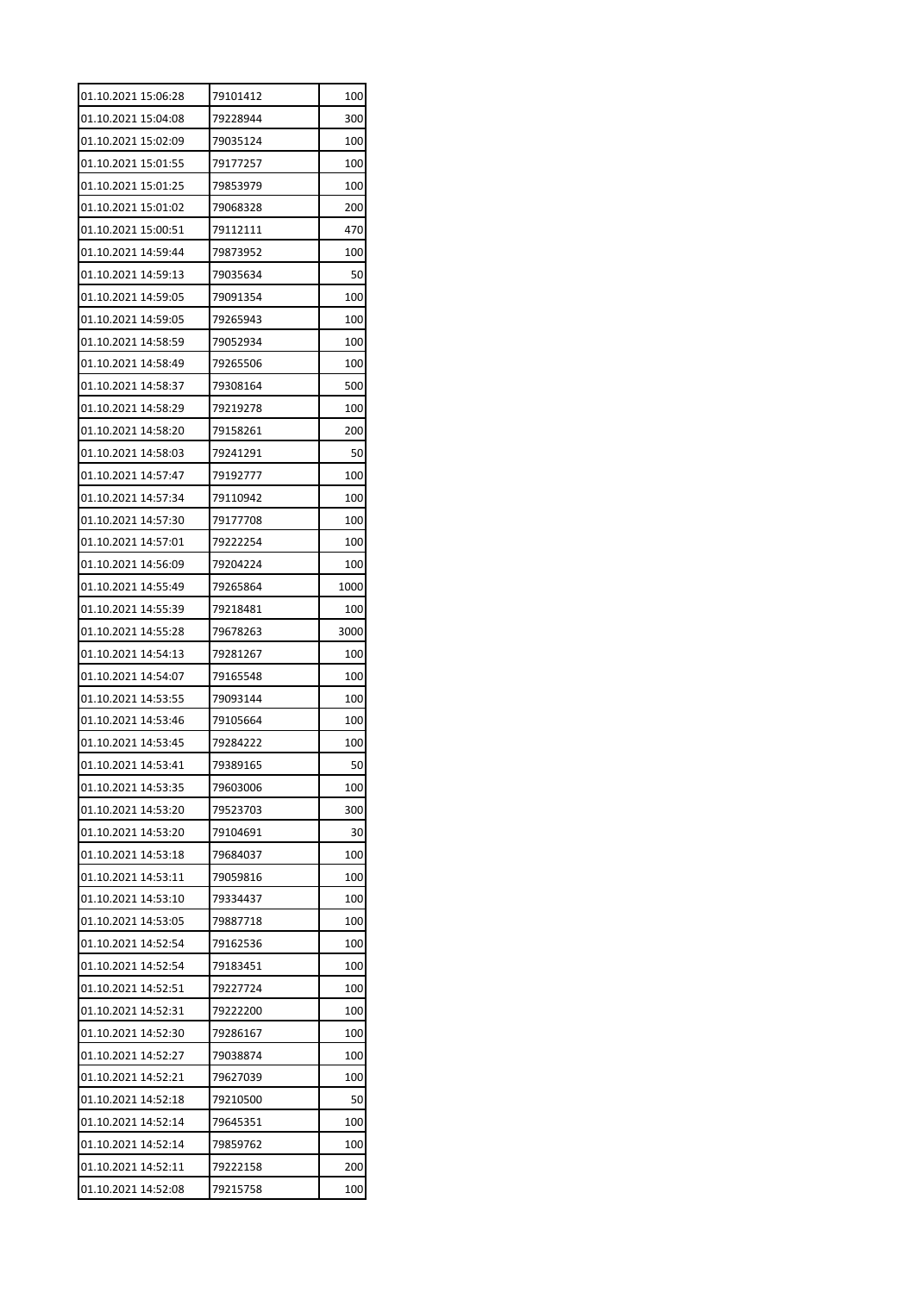| 01.10.2021 15:04:08<br>79228944<br>300<br>01.10.2021 15:02:09<br>79035124<br>100<br>01.10.2021 15:01:55<br>100<br>79177257<br>79853979<br>01.10.2021 15:01:25<br>100<br>01.10.2021 15:01:02<br>79068328<br>200<br>01.10.2021 15:00:51<br>79112111<br>470<br>01.10.2021 14:59:44<br>79873952<br>100 |
|----------------------------------------------------------------------------------------------------------------------------------------------------------------------------------------------------------------------------------------------------------------------------------------------------|
|                                                                                                                                                                                                                                                                                                    |
|                                                                                                                                                                                                                                                                                                    |
|                                                                                                                                                                                                                                                                                                    |
|                                                                                                                                                                                                                                                                                                    |
|                                                                                                                                                                                                                                                                                                    |
|                                                                                                                                                                                                                                                                                                    |
|                                                                                                                                                                                                                                                                                                    |
| 01.10.2021 14:59:13<br>50<br>79035634                                                                                                                                                                                                                                                              |
| 01.10.2021 14:59:05<br>79091354<br>100                                                                                                                                                                                                                                                             |
| 01.10.2021 14:59:05<br>79265943<br>100                                                                                                                                                                                                                                                             |
| 01.10.2021 14:58:59<br>79052934<br>100                                                                                                                                                                                                                                                             |
| 01.10.2021 14:58:49<br>79265506<br>100                                                                                                                                                                                                                                                             |
| 01.10.2021 14:58:37<br>79308164<br>500                                                                                                                                                                                                                                                             |
| 01.10.2021 14:58:29<br>79219278<br>100                                                                                                                                                                                                                                                             |
| 01.10.2021 14:58:20<br>79158261<br>200                                                                                                                                                                                                                                                             |
| 01.10.2021 14:58:03<br>79241291<br>50                                                                                                                                                                                                                                                              |
| 01.10.2021 14:57:47<br>79192777<br>100                                                                                                                                                                                                                                                             |
| 01.10.2021 14:57:34<br>79110942<br>100                                                                                                                                                                                                                                                             |
| 01.10.2021 14:57:30<br>79177708<br>100                                                                                                                                                                                                                                                             |
| 01.10.2021 14:57:01<br>79222254<br>100                                                                                                                                                                                                                                                             |
| 01.10.2021 14:56:09<br>79204224<br>100                                                                                                                                                                                                                                                             |
| 01.10.2021 14:55:49<br>79265864<br>1000                                                                                                                                                                                                                                                            |
| 01.10.2021 14:55:39<br>79218481<br>100                                                                                                                                                                                                                                                             |
| 01.10.2021 14:55:28<br>79678263<br>3000                                                                                                                                                                                                                                                            |
| 01.10.2021 14:54:13<br>79281267<br>100                                                                                                                                                                                                                                                             |
| 01.10.2021 14:54:07<br>79165548<br>100                                                                                                                                                                                                                                                             |
| 01.10.2021 14:53:55<br>79093144<br>100                                                                                                                                                                                                                                                             |
| 01.10.2021 14:53:46<br>79105664<br>100                                                                                                                                                                                                                                                             |
| 01.10.2021 14:53:45<br>79284222<br>100                                                                                                                                                                                                                                                             |
| 01.10.2021 14:53:41<br>50<br>79389165                                                                                                                                                                                                                                                              |
| 01.10.2021 14:53:35<br>79603006<br>100                                                                                                                                                                                                                                                             |
| 01.10.2021 14:53:20<br>79523703<br>300                                                                                                                                                                                                                                                             |
| 01.10.2021 14:53:20<br>79104691<br>30                                                                                                                                                                                                                                                              |
| 01.10.2021 14:53:18<br>79684037<br>100                                                                                                                                                                                                                                                             |
| 01.10.2021 14:53:11<br>79059816<br>100                                                                                                                                                                                                                                                             |
| 01.10.2021 14:53:10<br>79334437<br>100                                                                                                                                                                                                                                                             |
| 01.10.2021 14:53:05<br>79887718<br>100                                                                                                                                                                                                                                                             |
| 01.10.2021 14:52:54<br>79162536<br>100                                                                                                                                                                                                                                                             |
| 01.10.2021 14:52:54<br>79183451<br>100                                                                                                                                                                                                                                                             |
| 01.10.2021 14:52:51<br>79227724<br>100                                                                                                                                                                                                                                                             |
| 01.10.2021 14:52:31<br>79222200<br>100                                                                                                                                                                                                                                                             |
| 01.10.2021 14:52:30<br>79286167<br>100                                                                                                                                                                                                                                                             |
| 01.10.2021 14:52:27<br>79038874<br>100                                                                                                                                                                                                                                                             |
| 01.10.2021 14:52:21<br>79627039<br>100                                                                                                                                                                                                                                                             |
| 01.10.2021 14:52:18<br>79210500<br>50                                                                                                                                                                                                                                                              |
| 01.10.2021 14:52:14<br>79645351<br>100                                                                                                                                                                                                                                                             |
|                                                                                                                                                                                                                                                                                                    |
|                                                                                                                                                                                                                                                                                                    |
| 01.10.2021 14:52:14<br>79859762<br>100<br>01.10.2021 14:52:11<br>79222158<br>200                                                                                                                                                                                                                   |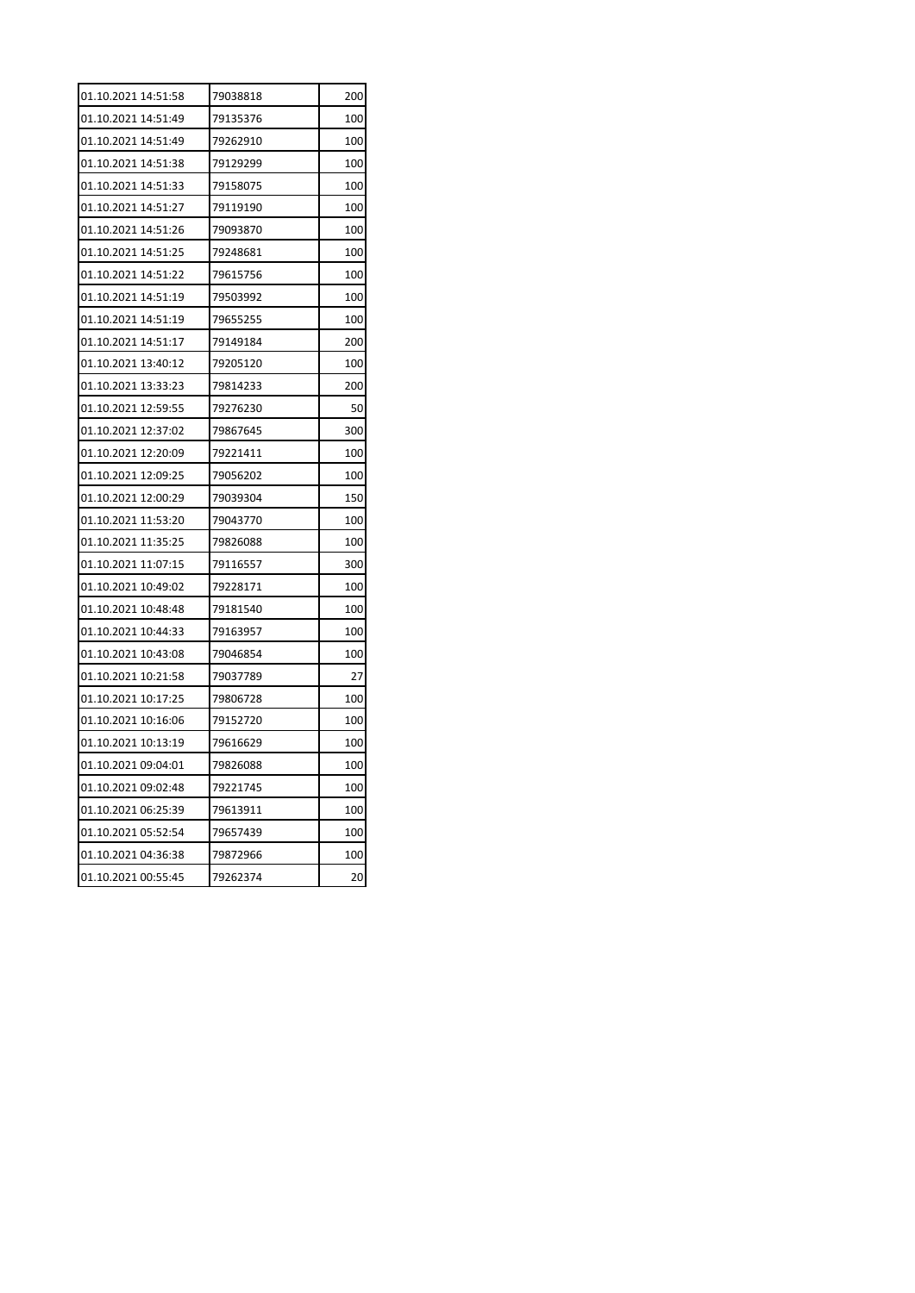| 01.10.2021 14:51:58 | 79038818 | 200 |
|---------------------|----------|-----|
| 01.10.2021 14:51:49 | 79135376 | 100 |
| 01.10.2021 14:51:49 | 79262910 | 100 |
| 01.10.2021 14:51:38 | 79129299 | 100 |
| 01.10.2021 14:51:33 | 79158075 | 100 |
| 01.10.2021 14:51:27 | 79119190 | 100 |
| 01.10.2021 14:51:26 | 79093870 | 100 |
| 01.10.2021 14:51:25 | 79248681 | 100 |
| 01.10.2021 14:51:22 | 79615756 | 100 |
| 01.10.2021 14:51:19 | 79503992 | 100 |
| 01.10.2021 14:51:19 | 79655255 | 100 |
| 01.10.2021 14:51:17 | 79149184 | 200 |
| 01.10.2021 13:40:12 | 79205120 | 100 |
| 01.10.2021 13:33:23 | 79814233 | 200 |
| 01.10.2021 12:59:55 | 79276230 | 50  |
| 01.10.2021 12:37:02 | 79867645 | 300 |
| 01.10.2021 12:20:09 | 79221411 | 100 |
| 01.10.2021 12:09:25 | 79056202 | 100 |
| 01.10.2021 12:00:29 | 79039304 | 150 |
| 01.10.2021 11:53:20 | 79043770 | 100 |
| 01.10.2021 11:35:25 | 79826088 | 100 |
| 01.10.2021 11:07:15 | 79116557 | 300 |
| 01.10.2021 10:49:02 | 79228171 | 100 |
| 01.10.2021 10:48:48 | 79181540 | 100 |
| 01.10.2021 10:44:33 | 79163957 | 100 |
| 01.10.2021 10:43:08 | 79046854 | 100 |
| 01.10.2021 10:21:58 | 79037789 | 27  |
| 01.10.2021 10:17:25 | 79806728 | 100 |
| 01.10.2021 10:16:06 | 79152720 | 100 |
| 01.10.2021 10:13:19 | 79616629 | 100 |
| 01.10.2021 09:04:01 | 79826088 | 100 |
| 01.10.2021 09:02:48 | 79221745 | 100 |
| 01.10.2021 06:25:39 | 79613911 | 100 |
| 01.10.2021 05:52:54 | 79657439 | 100 |
| 01.10.2021 04:36:38 | 79872966 | 100 |
| 01.10.2021 00:55:45 | 79262374 | 20  |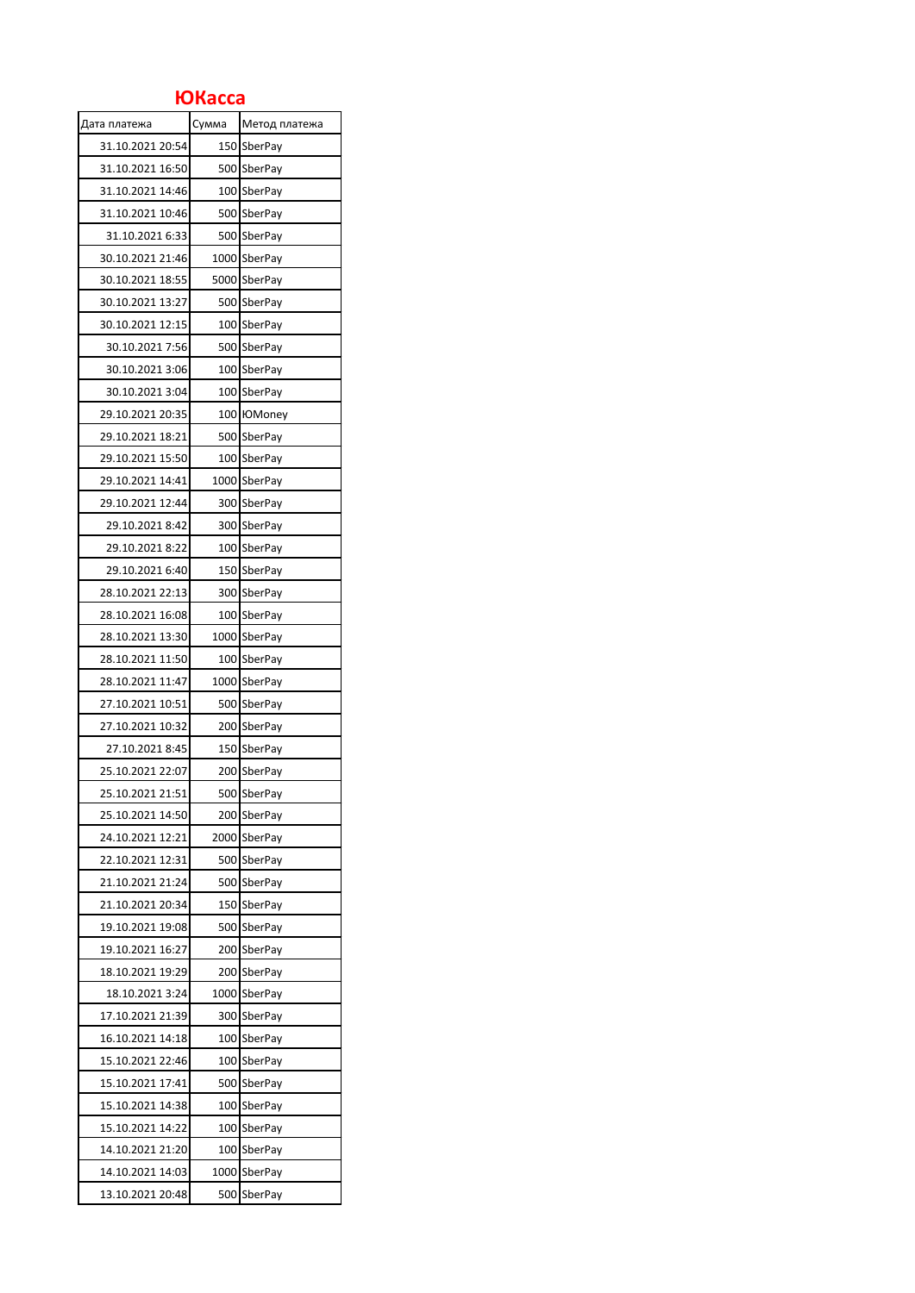## **ЮКасса**

| Дата платежа     | Сумма | Метод платежа  |
|------------------|-------|----------------|
| 31.10.2021 20:54 | 150   | <b>SberPay</b> |
| 31.10.2021 16:50 |       | 500 SberPay    |
| 31.10.2021 14:46 |       | 100 SberPay    |
| 31.10.2021 10:46 | 500   | SberPay        |
| 31.10.2021 6:33  |       | 500 SberPay    |
| 30.10.2021 21:46 |       | 1000 SberPay   |
| 30.10.2021 18:55 |       | 5000 SberPay   |
| 30.10.2021 13:27 |       | 500 SberPay    |
| 30.10.2021 12:15 | 100   | SberPay        |
| 30.10.2021 7:56  |       | 500 SberPay    |
| 30.10.2021 3:06  | 100   | SberPay        |
| 30.10.2021 3:04  |       | 100 SberPay    |
| 29.10.2021 20:35 |       | 100 ЮMoney     |
| 29.10.2021 18:21 |       | 500 SberPay    |
| 29.10.2021 15:50 |       | 100 SberPay    |
| 29.10.2021 14:41 |       | 1000 SberPay   |
| 29.10.2021 12:44 |       | 300 SberPay    |
| 29.10.2021 8:42  | 300   | SberPay        |
| 29.10.2021 8:22  |       | 100 SberPay    |
| 29.10.2021 6:40  |       | 150 SberPay    |
| 28.10.2021 22:13 |       | 300 SberPay    |
| 28.10.2021 16:08 |       | 100 SberPay    |
| 28.10.2021 13:30 | 1000  | SberPay        |
| 28.10.2021 11:50 |       | 100 SberPay    |
| 28.10.2021 11:47 |       | 1000 SberPay   |
| 27.10.2021 10:51 |       | 500 SberPay    |
| 27.10.2021 10:32 |       | 200 SberPay    |
| 27.10.2021 8:45  |       | 150 SberPay    |
| 25.10.2021 22:07 |       | 200 SberPay    |
| 25.10.2021 21:51 |       | 500 SberPay    |
| 25.10.2021 14:50 | 200   | SberPay        |
| 24.10.2021 12:21 | 2000  | SberPay        |
| 22.10.2021 12:31 | 500   | <b>SberPay</b> |
| 21.10.2021 21:24 |       | 500 SberPay    |
| 21.10.2021 20:34 | 150   | SberPay        |
| 19.10.2021 19:08 | 500   | SberPay        |
| 19.10.2021 16:27 | 200   | SberPay        |
| 18.10.2021 19:29 | 200   | SberPay        |
| 18.10.2021 3:24  | 1000  | SberPay        |
| 17.10.2021 21:39 | 300   | SberPay        |
| 16.10.2021 14:18 |       | 100 SberPay    |
| 15.10.2021 22:46 | 100   | SberPay        |
| 15.10.2021 17:41 | 500   | <b>SberPay</b> |
| 15.10.2021 14:38 | 100   | SberPay        |
| 15.10.2021 14:22 | 100   | SberPay        |
| 14.10.2021 21:20 | 100   | SberPay        |
| 14.10.2021 14:03 | 1000  | SberPay        |
| 13.10.2021 20:48 | 500   | SberPay        |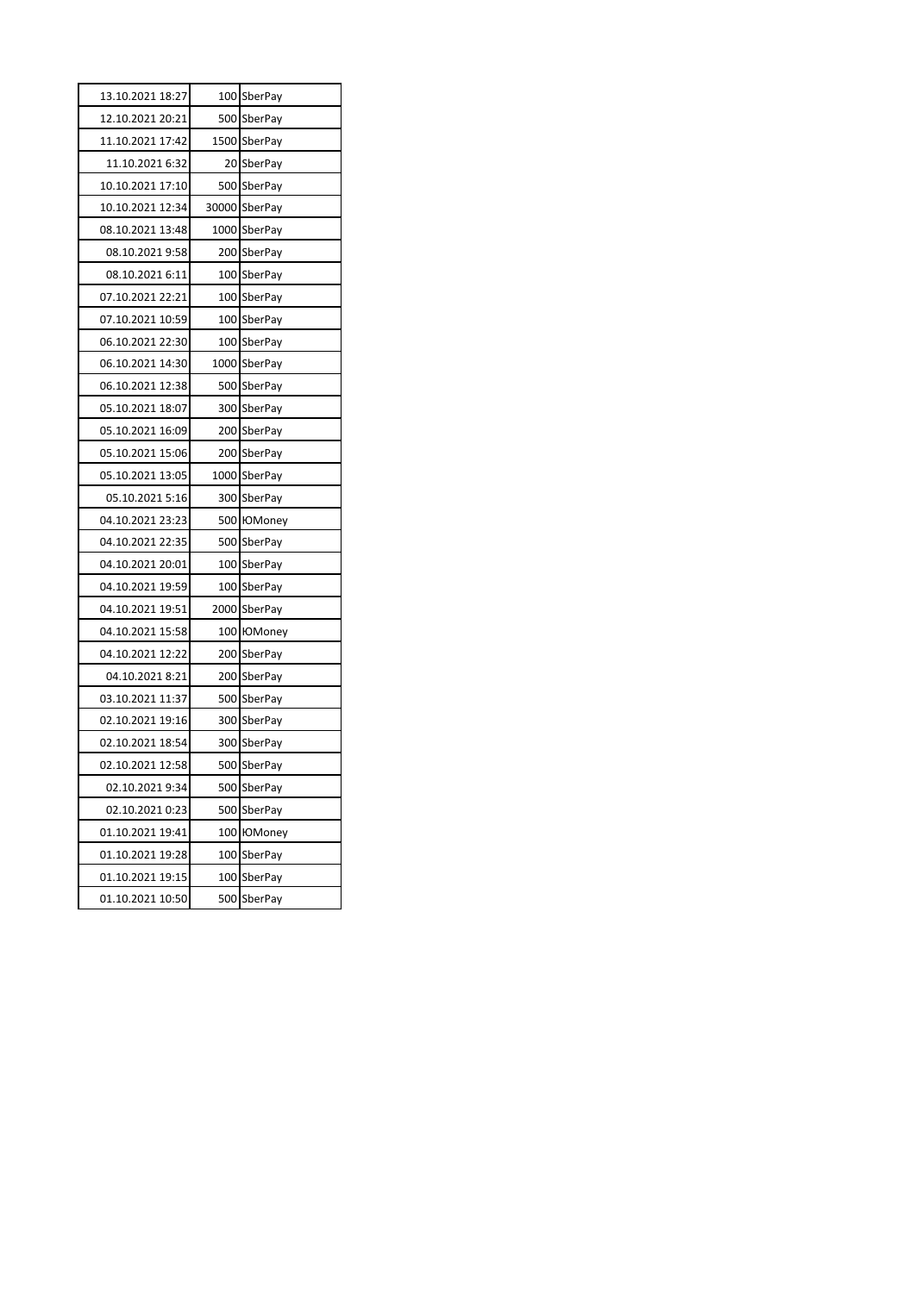| 13.10.2021 18:27 |     | 100 SberPay    |
|------------------|-----|----------------|
| 12.10.2021 20:21 |     | 500 SberPay    |
| 11.10.2021 17:42 |     | 1500 SberPay   |
| 11.10.2021 6:32  |     | 20 SberPay     |
| 10.10.2021 17:10 |     | 500 SberPay    |
| 10.10.2021 12:34 |     | 30000 SberPay  |
| 08.10.2021 13:48 |     | 1000 SberPay   |
| 08.10.2021 9:58  |     | 200 SberPay    |
| 08.10.2021 6:11  |     | 100 SberPay    |
| 07.10.2021 22:21 |     | 100 SberPay    |
| 07.10.2021 10:59 |     | 100 SberPay    |
| 06.10.2021 22:30 |     | 100 SberPay    |
| 06.10.2021 14:30 |     | 1000 SberPay   |
| 06.10.2021 12:38 |     | 500 SberPay    |
| 05.10.2021 18:07 |     | 300 SberPay    |
| 05.10.2021 16:09 |     | 200 SberPay    |
| 05.10.2021 15:06 |     | 200 SberPay    |
| 05.10.2021 13:05 |     | 1000 SberPay   |
| 05.10.2021 5:16  |     | 300 SberPay    |
| 04.10.2021 23:23 |     | 500 IOMoney    |
| 04.10.2021 22:35 |     | 500 SberPay    |
| 04.10.2021 20:01 |     | 100 SberPay    |
| 04.10.2021 19:59 |     | 100 SberPay    |
| 04.10.2021 19:51 |     | 2000 SberPay   |
| 04.10.2021 15:58 |     | 100 ЮMoney     |
| 04.10.2021 12:22 |     | 200 SberPay    |
| 04.10.2021 8:21  |     | 200 SberPay    |
| 03.10.2021 11:37 |     | 500 SberPay    |
| 02.10.2021 19:16 |     | 300 SberPay    |
| 02.10.2021 18:54 |     | 300 SberPay    |
| 02.10.2021 12:58 |     | 500 SberPay    |
| 02.10.2021 9:34  |     | 500 SberPay    |
| 02.10.2021 0:23  | 500 | SberPay        |
| 01.10.2021 19:41 | 100 | <b>HOMoney</b> |
| 01.10.2021 19:28 | 100 | SberPay        |
| 01.10.2021 19:15 | 100 | SberPay        |
| 01.10.2021 10:50 | 500 | SberPay        |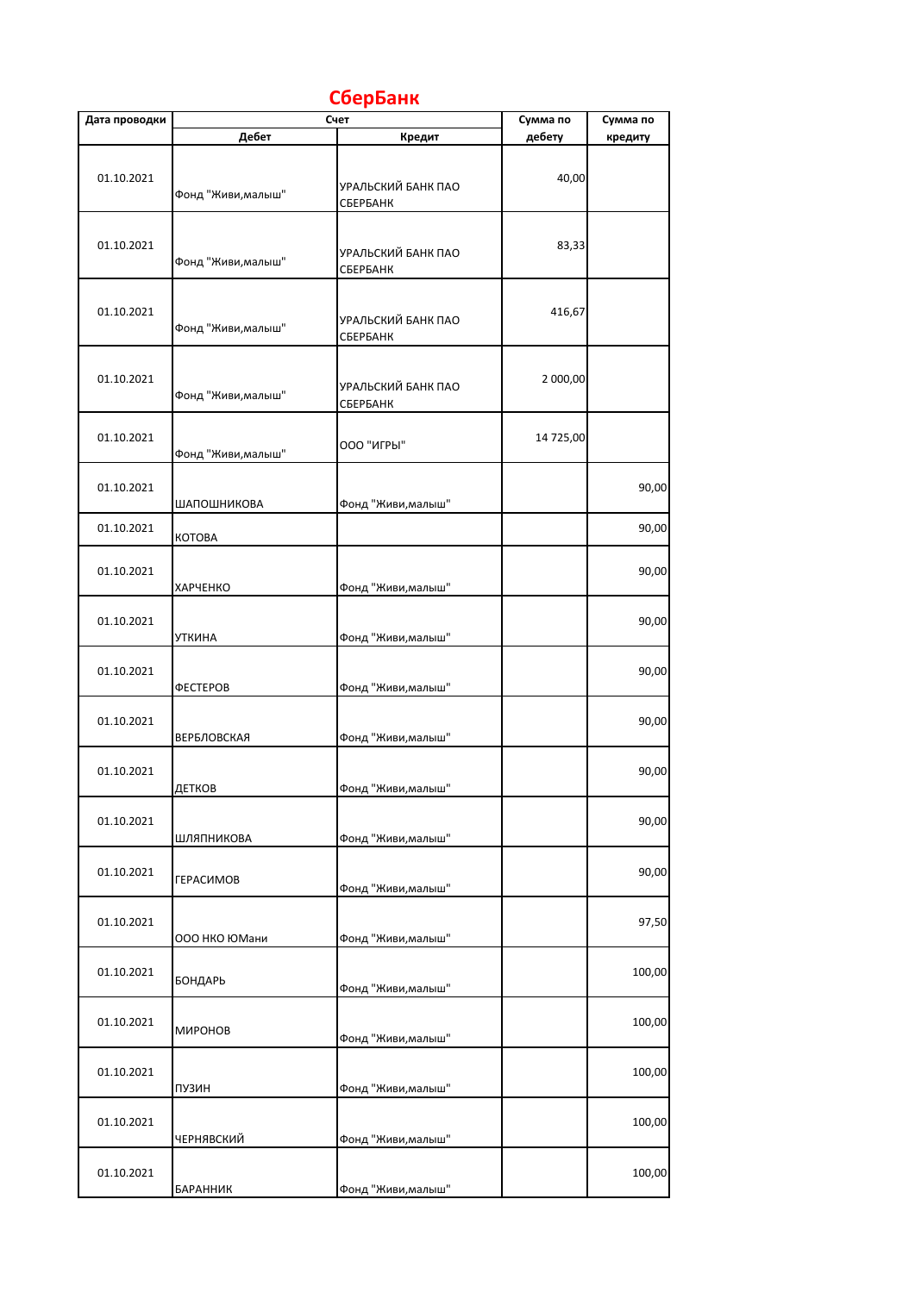| Дата проводки | Дебет              | Счет<br>Кредит                 | Сумма по<br>дебету | Сумма по<br>кредиту |
|---------------|--------------------|--------------------------------|--------------------|---------------------|
| 01.10.2021    |                    | УРАЛЬСКИЙ БАНК ПАО             | 40,00              |                     |
| 01.10.2021    | Фонд "Живи, малыш" | СБЕРБАНК                       | 83,33              |                     |
|               | Фонд "Живи, малыш" | УРАЛЬСКИЙ БАНК ПАО<br>СБЕРБАНК |                    |                     |
| 01.10.2021    | Фонд "Живи, малыш" | УРАЛЬСКИЙ БАНК ПАО<br>СБЕРБАНК | 416,67             |                     |
| 01.10.2021    | Фонд "Живи, малыш" | УРАЛЬСКИЙ БАНК ПАО<br>СБЕРБАНК | 2 000,00           |                     |
| 01.10.2021    | Фонд "Живи, малыш" | 000 "ИГРЫ"                     | 14 725,00          |                     |
| 01.10.2021    | ШАПОШНИКОВА        | Фонд "Живи, малыш"             |                    | 90,00               |
| 01.10.2021    | <b>KOTOBA</b>      |                                |                    | 90,00               |
| 01.10.2021    | ХАРЧЕНКО           | Фонд "Живи, малыш"             |                    | 90,00               |
| 01.10.2021    | <b>УТКИНА</b>      | Фонд "Живи, малыш"             |                    | 90,00               |
| 01.10.2021    | ФЕСТЕРОВ           | Фонд "Живи, малыш"             |                    | 90,00               |
| 01.10.2021    | <b>ВЕРБЛОВСКАЯ</b> | Фонд "Живи, малыш"             |                    | 90,00               |
| 01.10.2021    | ДЕТКОВ             | Фонд "Живи, малыш"             |                    | 90,00               |
| 01.10.2021    | ШЛЯПНИКОВА         | Фонд "Живи, малыш"             |                    | 90,00               |
| 01.10.2021    | <b>ГЕРАСИМОВ</b>   | Фонд "Живи, малыш"             |                    | 90,00               |
| 01.10.2021    | 000 НКО ЮМани      | Фонд "Живи, малыш"             |                    | 97,50               |
| 01.10.2021    | БОНДАРЬ            | Фонд "Живи, малыш"             |                    | 100,00              |
| 01.10.2021    | МИРОНОВ            | Фонд "Живи, малыш"             |                    | 100,00              |
| 01.10.2021    | <b>ПУЗИН</b>       | Фонд "Живи, малыш"             |                    | 100,00              |
| 01.10.2021    | ЧЕРНЯВСКИЙ         | Фонд "Живи, малыш"             |                    | 100,00              |
| 01.10.2021    | БАРАННИК           | Фонд "Живи, малыш"             |                    | 100,00              |

## **СберБанк**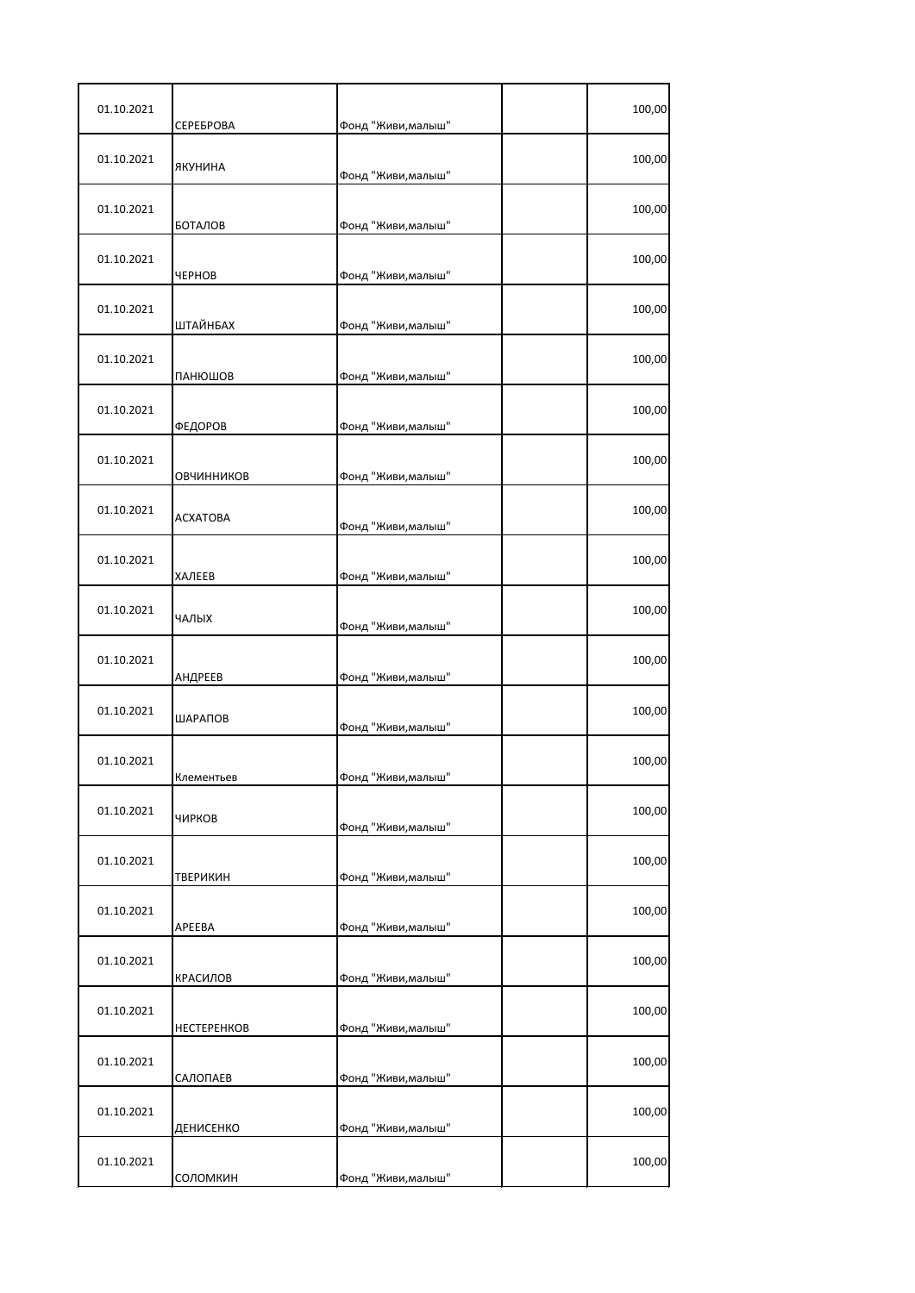| 01.10.2021 | СЕРЕБРОВА   | Фонд "Живи, малыш" | 100,00 |
|------------|-------------|--------------------|--------|
| 01.10.2021 | ЯКУНИНА     | Фонд "Живи, малыш" | 100,00 |
| 01.10.2021 | БОТАЛОВ     | Фонд "Живи, малыш" | 100,00 |
| 01.10.2021 | ЧЕРНОВ      | Фонд "Живи, малыш" | 100,00 |
| 01.10.2021 | ШТАЙНБАХ    | Фонд "Живи, малыш" | 100,00 |
| 01.10.2021 | ПАНЮШОВ     | Фонд "Живи, малыш" | 100,00 |
| 01.10.2021 | ФЕДОРОВ     | Фонд "Живи, малыш" | 100,00 |
| 01.10.2021 | ОВЧИННИКОВ  | Фонд "Живи, малыш" | 100,00 |
| 01.10.2021 | ACXATOBA    | Фонд "Живи, малыш" | 100,00 |
| 01.10.2021 | ХАЛЕЕВ      | Фонд "Живи, малыш" | 100,00 |
| 01.10.2021 | ЧАЛЫХ       | Фонд "Живи, малыш" | 100,00 |
| 01.10.2021 | АНДРЕЕВ     | Фонд "Живи, малыш" | 100,00 |
| 01.10.2021 | ШАРАПОВ     | Фонд "Живи, малыш" | 100,00 |
| 01.10.2021 | Клементьев  | Фонд "Живи,малыш'  | 100,00 |
| 01.10.2021 | ЧИРКОВ      | Фонд "Живи, малыш" | 100,00 |
| 01.10.2021 | ТВЕРИКИН    | Фонд "Живи, малыш" | 100,00 |
| 01.10.2021 | APEEBA      | Фонд "Живи, малыш" | 100,00 |
| 01.10.2021 | КРАСИЛОВ    | Фонд "Живи, малыш" | 100,00 |
| 01.10.2021 | HECTEPEHKOB | Фонд "Живи, малыш" | 100,00 |
| 01.10.2021 | САЛОПАЕВ    | Фонд "Живи, малыш" | 100,00 |
| 01.10.2021 | ДЕНИСЕНКО   | Фонд "Живи, малыш" | 100,00 |
| 01.10.2021 | соломкин    | Фонд "Живи, малыш" | 100,00 |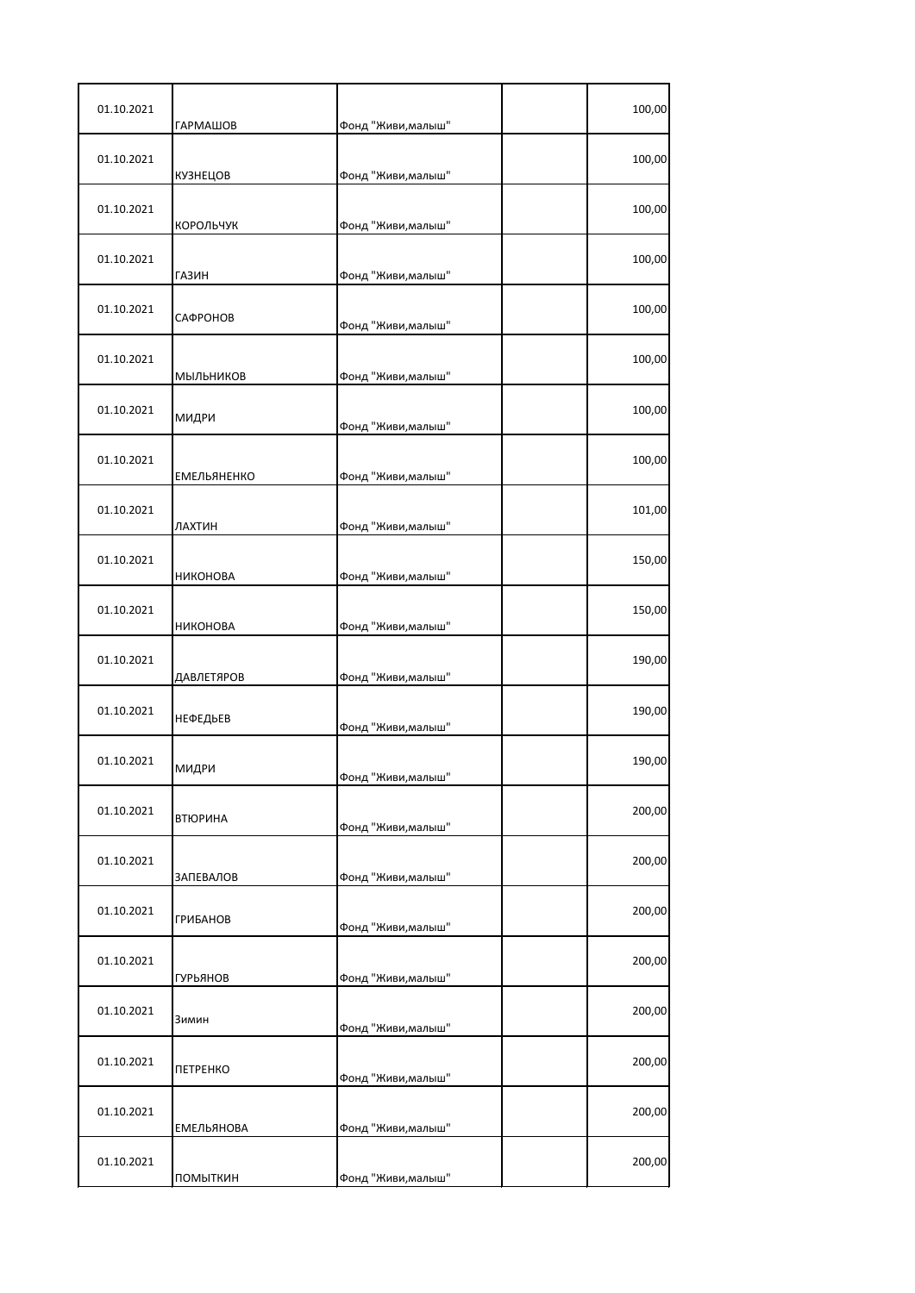| 01.10.2021 | <b>ГАРМАШОВ</b>    | Фонд "Живи, малыш" | 100,00 |
|------------|--------------------|--------------------|--------|
| 01.10.2021 | КУЗНЕЦОВ           | Фонд "Живи, малыш" | 100,00 |
| 01.10.2021 | КОРОЛЬЧУК          | Фонд "Живи, малыш" | 100,00 |
| 01.10.2021 | <b>ГАЗИН</b>       | Фонд "Живи, малыш" | 100,00 |
| 01.10.2021 | САФРОНОВ           | Фонд "Живи, малыш" | 100,00 |
| 01.10.2021 | МЫЛЬНИКОВ          | Фонд "Живи, малыш" | 100,00 |
| 01.10.2021 | МИДРИ              | Фонд "Живи, малыш" | 100,00 |
| 01.10.2021 | <b>ЕМЕЛЬЯНЕНКО</b> | Фонд "Живи, малыш" | 100,00 |
| 01.10.2021 | ЛАХТИН             | Фонд "Живи, малыш" | 101,00 |
| 01.10.2021 | НИКОНОВА           | Фонд "Живи, малыш" | 150,00 |
| 01.10.2021 | НИКОНОВА           | Фонд "Живи, малыш" | 150,00 |
| 01.10.2021 | ДАВЛЕТЯРОВ         | Фонд "Живи, малыш" | 190,00 |
| 01.10.2021 | НЕФЕДЬЕВ           | Фонд "Живи, малыш" | 190,00 |
| 01.10.2021 | МИДРИ              | Фонд "Живи,малыш'  | 190,00 |
| 01.10.2021 | <b>ВТЮРИНА</b>     | Фонд "Живи, малыш" | 200,00 |
| 01.10.2021 | <b>ЗАПЕВАЛОВ</b>   | Фонд "Живи, малыш" | 200,00 |
| 01.10.2021 | <b>ГРИБАНОВ</b>    | Фонд "Живи, малыш" | 200,00 |
| 01.10.2021 | <b>ГУРЬЯНОВ</b>    | Фонд "Живи, малыш" | 200,00 |
| 01.10.2021 | Зимин              | Фонд "Живи, малыш" | 200,00 |
| 01.10.2021 | <b>ПЕТРЕНКО</b>    | Фонд "Живи, малыш" | 200,00 |
| 01.10.2021 | <b>ЕМЕЛЬЯНОВА</b>  | Фонд "Живи, малыш" | 200,00 |
| 01.10.2021 | ПОМЫТКИН           | Фонд "Живи, малыш" | 200,00 |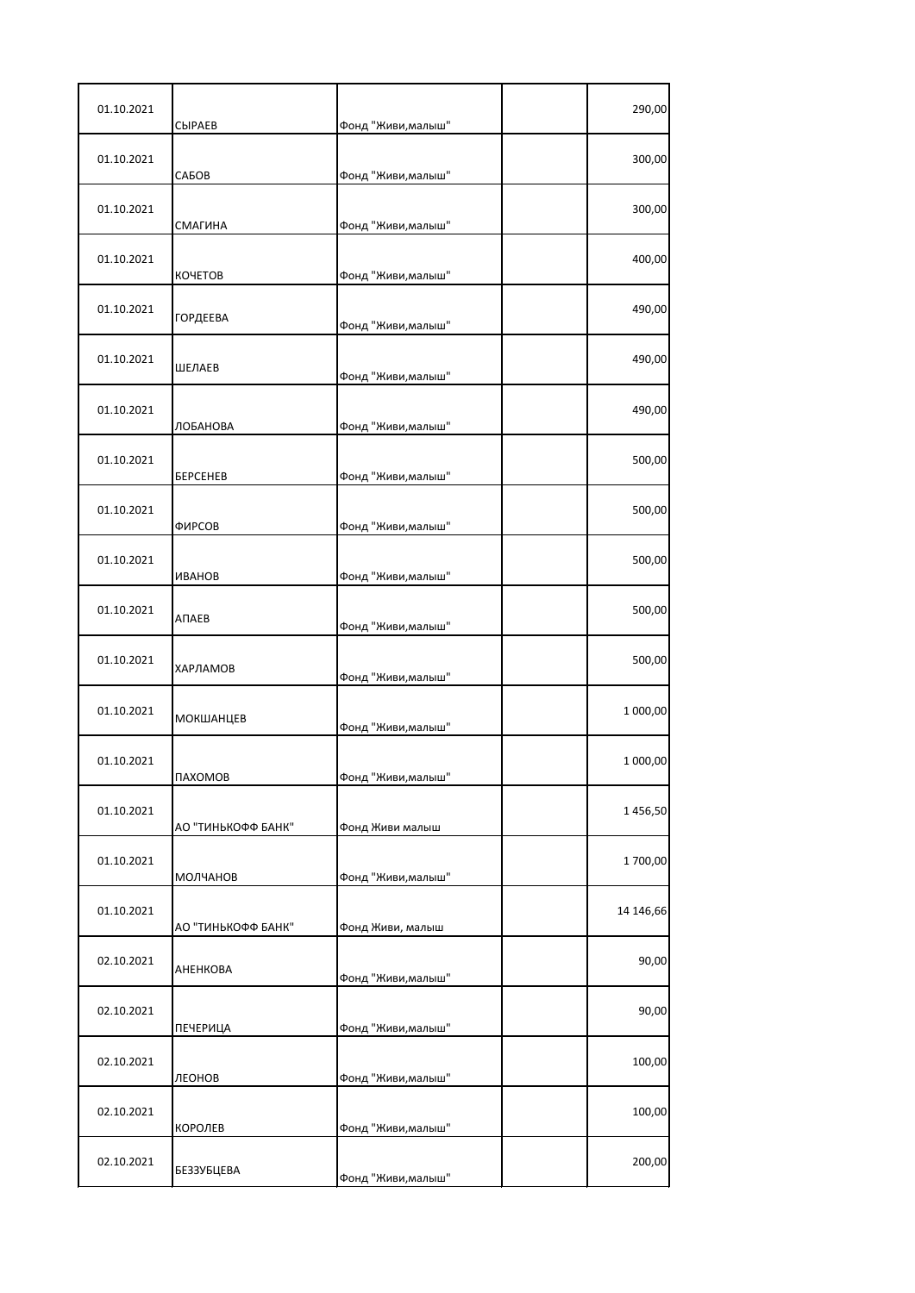| 01.10.2021 | <b>CHPAEB</b>          | Фонд "Живи, малыш" | 290,00    |
|------------|------------------------|--------------------|-----------|
| 01.10.2021 | САБОВ                  | Фонд "Живи, малыш" | 300,00    |
| 01.10.2021 | СМАГИНА                | Фонд "Живи, малыш" | 300,00    |
| 01.10.2021 | <b>KOYETOB</b>         | Фонд "Живи, малыш" | 400,00    |
| 01.10.2021 | <b>ГОРДЕЕВА</b>        | Фонд "Живи, малыш" | 490,00    |
| 01.10.2021 | ШЕЛАЕВ                 | Фонд "Живи, малыш" | 490,00    |
| 01.10.2021 | ЛОБАНОВА               | Фонд "Живи, малыш" | 490,00    |
| 01.10.2021 | <b><i>BEPCEHEB</i></b> | Фонд "Живи, малыш" | 500,00    |
| 01.10.2021 | ФИРСОВ                 | Фонд "Живи, малыш" | 500,00    |
| 01.10.2021 | <b><i>UBAHOB</i></b>   | Фонд "Живи, малыш" | 500,00    |
| 01.10.2021 | АПАЕВ                  | Фонд "Живи, малыш" | 500,00    |
| 01.10.2021 | ХАРЛАМОВ               | Фонд "Живи, малыш" | 500,00    |
| 01.10.2021 | МОКШАНЦЕВ              | Фонд "Живи, малыш" | 1 000,00  |
| 01.10.2021 | <b><i>NAXOMOB</i></b>  | Фонд "Живи,малыш'  | 1 000,00  |
| 01.10.2021 | АО "ТИНЬКОФФ БАНК"     | Фонд Живи малыш    | 1456,50   |
| 01.10.2021 | МОЛЧАНОВ               | Фонд "Живи, малыш" | 1700,00   |
| 01.10.2021 | АО "ТИНЬКОФФ БАНК"     | Фонд Живи, малыш   | 14 146,66 |
| 02.10.2021 | АНЕНКОВА               | Фонд "Живи, малыш" | 90,00     |
| 02.10.2021 | ПЕЧЕРИЦА               | Фонд "Живи, малыш" | 90,00     |
| 02.10.2021 | ЛЕОНОВ                 | Фонд "Живи, малыш" | 100,00    |
| 02.10.2021 | КОРОЛЕВ                | Фонд "Живи, малыш" | 100,00    |
| 02.10.2021 | БЕЗЗУБЦЕВА             | Фонд "Живи, малыш" | 200,00    |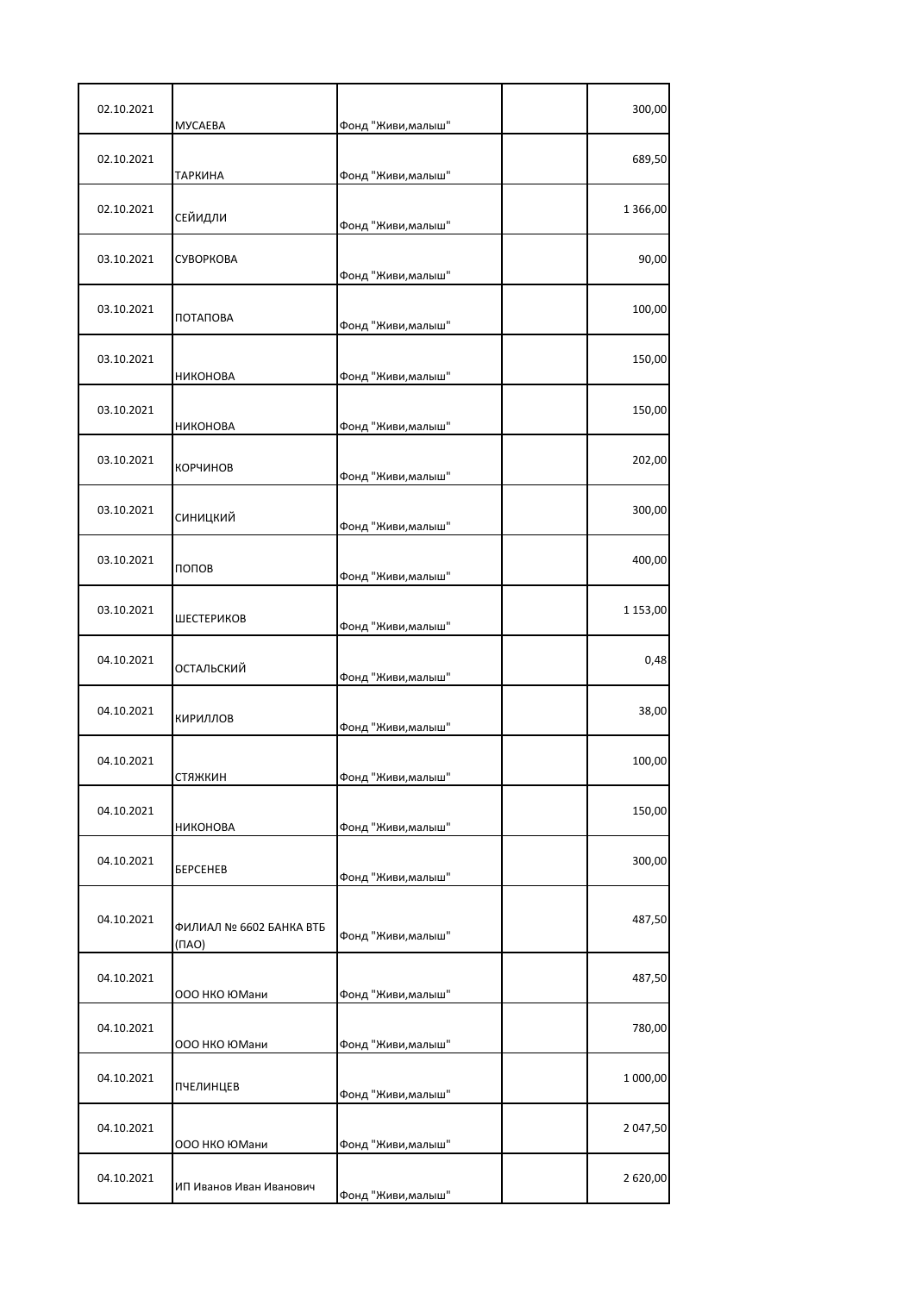| 02.10.2021 | <b>MYCAEBA</b>                   | Фонд "Живи, малыш" | 300,00     |
|------------|----------------------------------|--------------------|------------|
| 02.10.2021 | ТАРКИНА                          | Фонд "Живи, малыш" | 689,50     |
| 02.10.2021 | СЕЙИДЛИ                          | Фонд "Живи, малыш" | 1 3 6 6,00 |
| 03.10.2021 | СУВОРКОВА                        | Фонд "Живи, малыш" | 90,00      |
| 03.10.2021 | ПОТАПОВА                         | Фонд "Живи, малыш" | 100,00     |
| 03.10.2021 | <b>НИКОНОВА</b>                  | Фонд "Живи, малыш" | 150,00     |
| 03.10.2021 | НИКОНОВА                         | Фонд "Живи, малыш" | 150,00     |
| 03.10.2021 | КОРЧИНОВ                         | Фонд "Живи, малыш" | 202,00     |
| 03.10.2021 | СИНИЦКИЙ                         | Фонд "Живи, малыш" | 300,00     |
| 03.10.2021 | попов                            | Фонд "Живи, малыш" | 400,00     |
| 03.10.2021 | ШЕСТЕРИКОВ                       | Фонд "Живи, малыш" | 1 153,00   |
| 04.10.2021 | ОСТАЛЬСКИЙ                       | Фонд "Живи, малыш" | 0,48       |
| 04.10.2021 | КИРИЛЛОВ                         | Фонд "Живи, малыш" | 38,00      |
| 04.10.2021 | стяжкин                          | Фонд "Живи,малыш'  | 100,00     |
| 04.10.2021 | НИКОНОВА                         | Фонд "Живи, малыш" | 150,00     |
| 04.10.2021 | <b><i>BEPCEHEB</i></b>           | Фонд "Живи, малыш" | 300,00     |
| 04.10.2021 | ФИЛИАЛ № 6602 БАНКА ВТБ<br>(NAO) | Фонд "Живи, малыш" | 487,50     |
| 04.10.2021 | 000 НКО ЮМани                    | Фонд "Живи, малыш" | 487,50     |
| 04.10.2021 | ООО НКО ЮМани                    | Фонд "Живи, малыш" | 780,00     |
| 04.10.2021 | ПЧЕЛИНЦЕВ                        | Фонд "Живи, малыш" | 1 000,00   |
| 04.10.2021 | 000 НКО ЮМани                    | Фонд "Живи, малыш" | 2 047,50   |
| 04.10.2021 | ИП Иванов Иван Иванович          | Фонд "Живи, малыш" | 2 620,00   |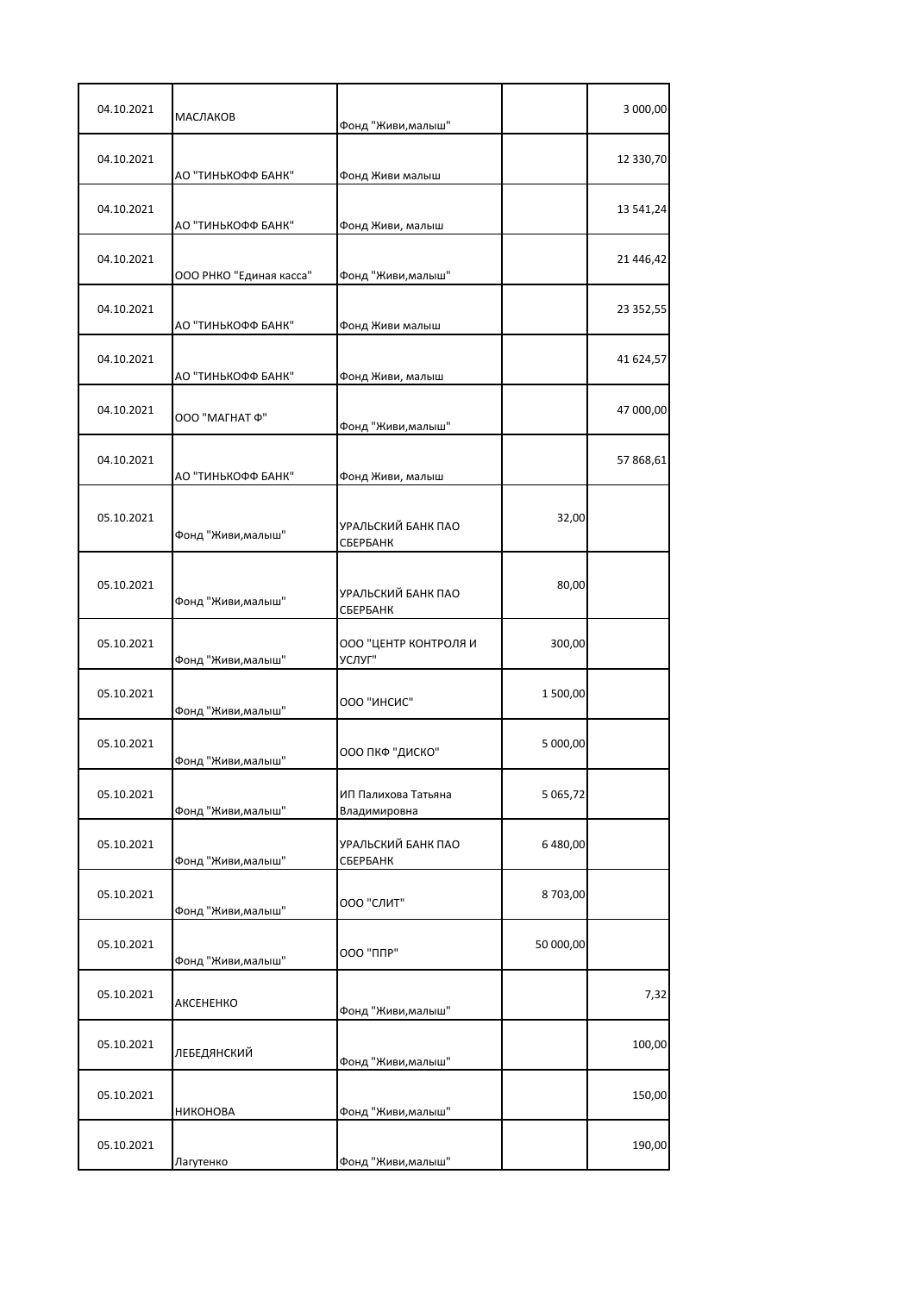| 04.10.2021 | МАСЛАКОВ                | Фонд "Живи, малыш"                  |           | 3 000,00  |
|------------|-------------------------|-------------------------------------|-----------|-----------|
| 04.10.2021 | АО "ТИНЬКОФФ БАНК"      | Фонд Живи малыш                     |           | 12 330,70 |
| 04.10.2021 | АО "ТИНЬКОФФ БАНК"      | Фонд Живи, малыш                    |           | 13 541,24 |
| 04.10.2021 | ООО РНКО "Единая касса" | Фонд "Живи, малыш"                  |           | 21 446,42 |
| 04.10.2021 | АО "ТИНЬКОФФ БАНК"      | Фонд Живи малыш                     |           | 23 352,55 |
| 04.10.2021 | АО "ТИНЬКОФФ БАНК"      | Фонд Живи, малыш                    |           | 41 624,57 |
| 04.10.2021 | ΟΟΟ "ΜΑΓΗΑΤ Φ"          | Фонд "Живи, малыш"                  |           | 47 000,00 |
| 04.10.2021 | АО "ТИНЬКОФФ БАНК"      | Фонд Живи, малыш                    |           | 57 868,61 |
| 05.10.2021 | Фонд "Живи, малыш"      | УРАЛЬСКИЙ БАНК ПАО<br>СБЕРБАНК      | 32,00     |           |
| 05.10.2021 | Фонд "Живи, малыш"      | УРАЛЬСКИЙ БАНК ПАО<br>СБЕРБАНК      | 80,00     |           |
| 05.10.2021 | Фонд "Живи, малыш"      | ООО "ЦЕНТР КОНТРОЛЯ И<br>УСЛУГ"     | 300,00    |           |
| 05.10.2021 | Фонд "Живи, малыш"      | ООО "ИНСИС"                         | 1 500,00  |           |
| 05.10.2021 | Фонд "Живи, малыш"      | ООО ПКФ "ДИСКО"                     | 5 000,00  |           |
| 05.10.2021 | Фонд "Живи, малыш"      | ИП Палихова Татьяна<br>Владимировна | 5 065,72  |           |
| 05.10.2021 | Фонд "Живи, малыш"      | УРАЛЬСКИЙ БАНК ПАО<br>СБЕРБАНК      | 6 480,00  |           |
| 05.10.2021 | Фонд "Живи, малыш"      | ООО "СЛИТ"                          | 8703,00   |           |
| 05.10.2021 | Фонд "Живи, малыш"      | 000 "ППР"                           | 50 000,00 |           |
| 05.10.2021 | AKCEHEHKO               | Фонд "Живи, малыш"                  |           | 7,32      |
| 05.10.2021 | ЛЕБЕДЯНСКИЙ             | Фонд "Живи, малыш"                  |           | 100,00    |
| 05.10.2021 | <b>НИКОНОВА</b>         | Фонд "Живи, малыш"                  |           | 150,00    |
| 05.10.2021 | Лагутенко               | Фонд "Живи, малыш"                  |           | 190,00    |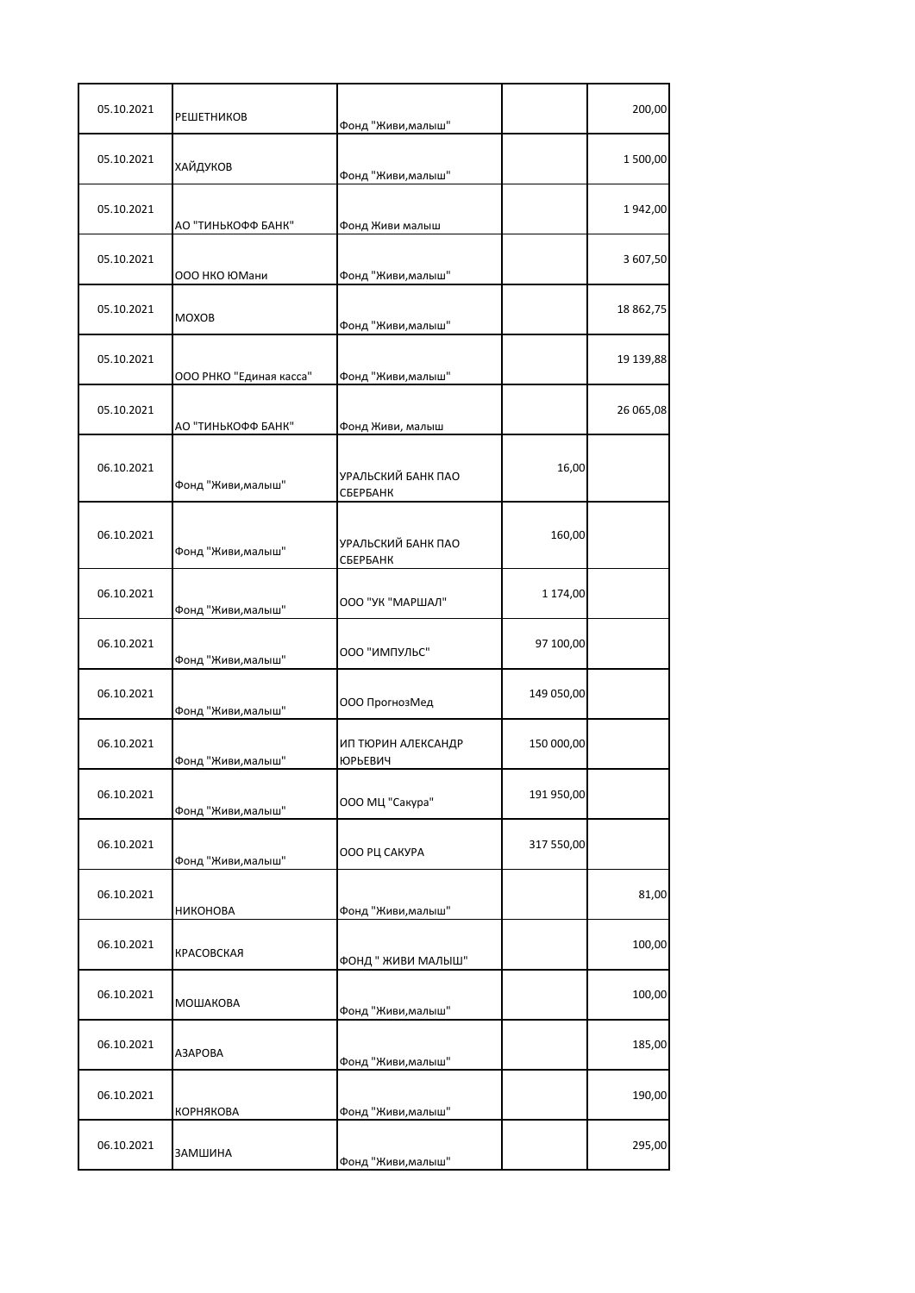| 05.10.2021 | <b>РЕШЕТНИКОВ</b>       | Фонд "Живи, малыш"                   |            | 200,00    |
|------------|-------------------------|--------------------------------------|------------|-----------|
| 05.10.2021 | ХАЙДУКОВ                | Фонд "Живи, малыш"                   |            | 1500,00   |
| 05.10.2021 | АО "ТИНЬКОФФ БАНК"      | Фонд Живи малыш                      |            | 1942,00   |
| 05.10.2021 | ООО НКО ЮМани           | Фонд "Живи, малыш"                   |            | 3 607,50  |
| 05.10.2021 | <b>MOXOB</b>            | Фонд "Живи, малыш"                   |            | 18 862,75 |
| 05.10.2021 | ООО РНКО "Единая касса" | Фонд "Живи, малыш"                   |            | 19 139,88 |
| 05.10.2021 | АО "ТИНЬКОФФ БАНК"      | Фонд Живи, малыш                     |            | 26 065,08 |
| 06.10.2021 | Фонд "Живи, малыш"      | УРАЛЬСКИЙ БАНК ПАО<br>СБЕРБАНК       | 16,00      |           |
| 06.10.2021 | Фонд "Живи, малыш"      | УРАЛЬСКИЙ БАНК ПАО<br>СБЕРБАНК       | 160,00     |           |
| 06.10.2021 | Фонд "Живи, малыш"      | ООО "УК "МАРШАЛ"                     | 1 174,00   |           |
| 06.10.2021 | Фонд "Живи, малыш"      | ООО "ИМПУЛЬС"                        | 97 100,00  |           |
| 06.10.2021 | Фонд "Живи, малыш"      | ООО ПрогнозМед                       | 149 050,00 |           |
| 06.10.2021 | Фонд "Живи, малыш"      | ИП ТЮРИН АЛЕКСАНДР<br><b>ЮРЬЕВИЧ</b> | 150 000,00 |           |
| 06.10.2021 | Фонд "Живи, малыш"      | ООО МЦ "Сакура"                      | 191 950,00 |           |
| 06.10.2021 | Фонд "Живи, малыш"      | ООО РЦ САКУРА                        | 317 550,00 |           |
| 06.10.2021 | НИКОНОВА                | Фонд "Живи, малыш"                   |            | 81,00     |
| 06.10.2021 | КРАСОВСКАЯ              | ФОНД " ЖИВИ МАЛЫШ"                   |            | 100,00    |
| 06.10.2021 | МОШАКОВА                | Фонд "Живи, малыш"                   |            | 100,00    |
| 06.10.2021 | A3APOBA                 | Фонд "Живи, малыш"                   |            | 185,00    |
| 06.10.2021 | КОРНЯКОВА               | Фонд "Живи, малыш"                   |            | 190,00    |
| 06.10.2021 | ЗАМШИНА                 | Фонд "Живи, малыш"                   |            | 295,00    |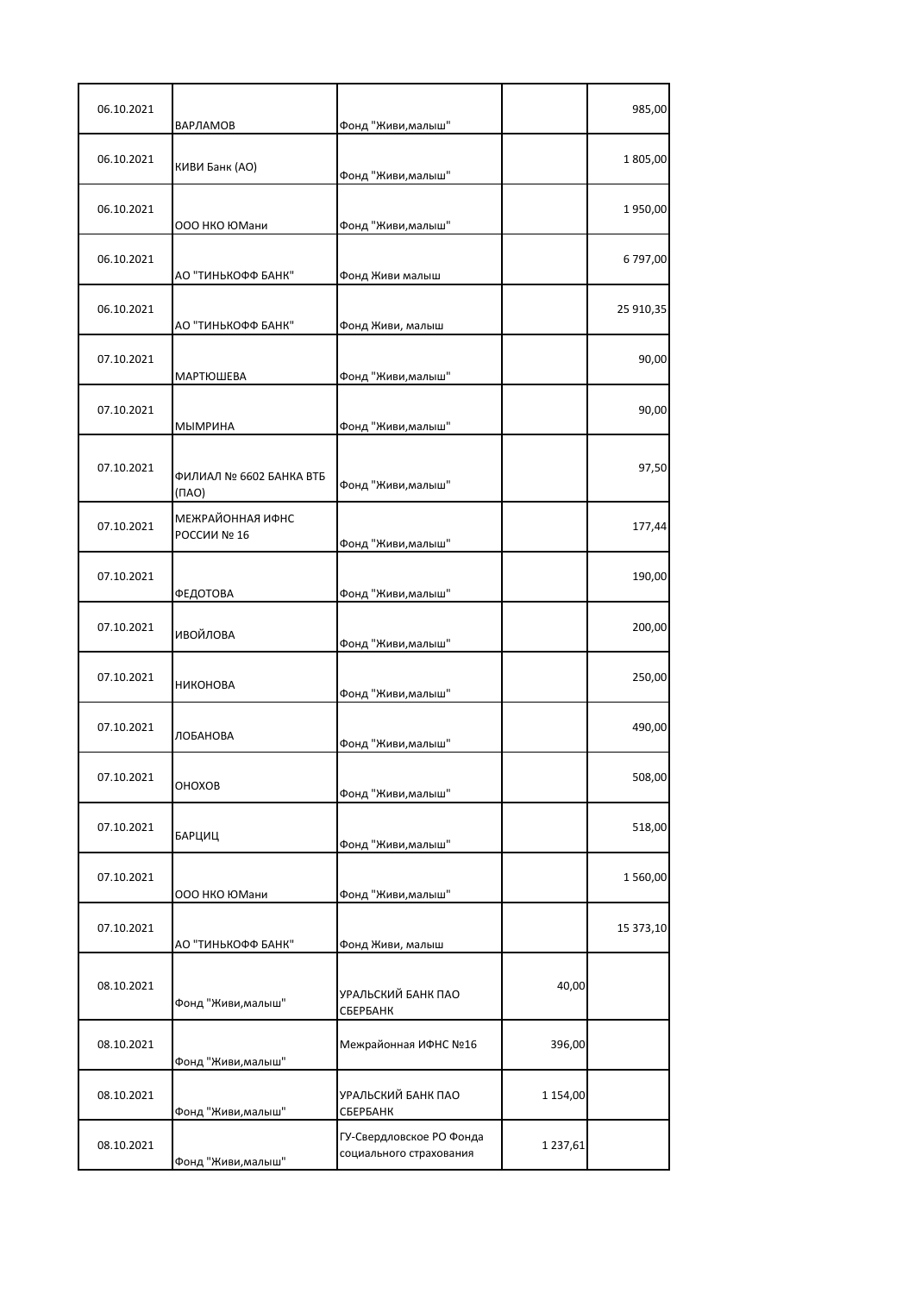| 06.10.2021 | ВАРЛАМОВ                               | Фонд "Живи, малыш"                                  |              | 985,00    |
|------------|----------------------------------------|-----------------------------------------------------|--------------|-----------|
| 06.10.2021 | КИВИ Банк (АО)                         | Фонд "Живи, малыш"                                  |              | 1805,00   |
| 06.10.2021 | ООО НКО ЮМани                          | Фонд "Живи, малыш"                                  |              | 1950,00   |
| 06.10.2021 | АО "ТИНЬКОФФ БАНК"                     | Фонд Живи малыш                                     |              | 6797,00   |
| 06.10.2021 | АО "ТИНЬКОФФ БАНК"                     | Фонд Живи, малыш                                    |              | 25 910,35 |
| 07.10.2021 | <b>МАРТЮШЕВА</b>                       | Фонд "Живи, малыш"                                  |              | 90,00     |
| 07.10.2021 | МЫМРИНА                                | Фонд "Живи, малыш"                                  |              | 90,00     |
| 07.10.2021 | ФИЛИАЛ № 6602 БАНКА ВТБ<br>$(\Pi A O)$ | Фонд "Живи, малыш"                                  |              | 97,50     |
| 07.10.2021 | МЕЖРАЙОННАЯ ИФНС<br>РОССИИ № 16        | Фонд "Живи, малыш"                                  |              | 177,44    |
| 07.10.2021 | ФЕДОТОВА                               | Фонд "Живи, малыш"                                  |              | 190,00    |
| 07.10.2021 | ИВОЙЛОВА                               | Фонд "Живи, малыш"                                  |              | 200,00    |
| 07.10.2021 | НИКОНОВА                               | Фонд "Живи, малыш"                                  |              | 250,00    |
| 07.10.2021 | ЛОБАНОВА                               | Фонд "Живи, малыш"                                  |              | 490,00    |
| 07.10.2021 | OHOXOB                                 | Фонд "Живи, малыш"                                  |              | 508,00    |
| 07.10.2021 | БАРЦИЦ                                 | Фонд "Живи, малыш"                                  |              | 518,00    |
| 07.10.2021 | ООО НКО ЮМани                          | Фонд "Живи, малыш"                                  |              | 1560,00   |
| 07.10.2021 | АО "ТИНЬКОФФ БАНК"                     | Фонд Живи, малыш                                    |              | 15 373,10 |
| 08.10.2021 | Фонд "Живи, малыш"                     | УРАЛЬСКИЙ БАНК ПАО<br>СБЕРБАНК                      | 40,00        |           |
| 08.10.2021 | Фонд "Живи, малыш"                     | Межрайонная ИФНС №16                                | 396,00       |           |
| 08.10.2021 | Фонд "Живи, малыш"                     | УРАЛЬСКИЙ БАНК ПАО<br>СБЕРБАНК                      | 1 154,00     |           |
| 08.10.2021 | Фонд "Живи, малыш"                     | ГУ-Свердловское РО Фонда<br>социального страхования | 1 2 3 7, 6 1 |           |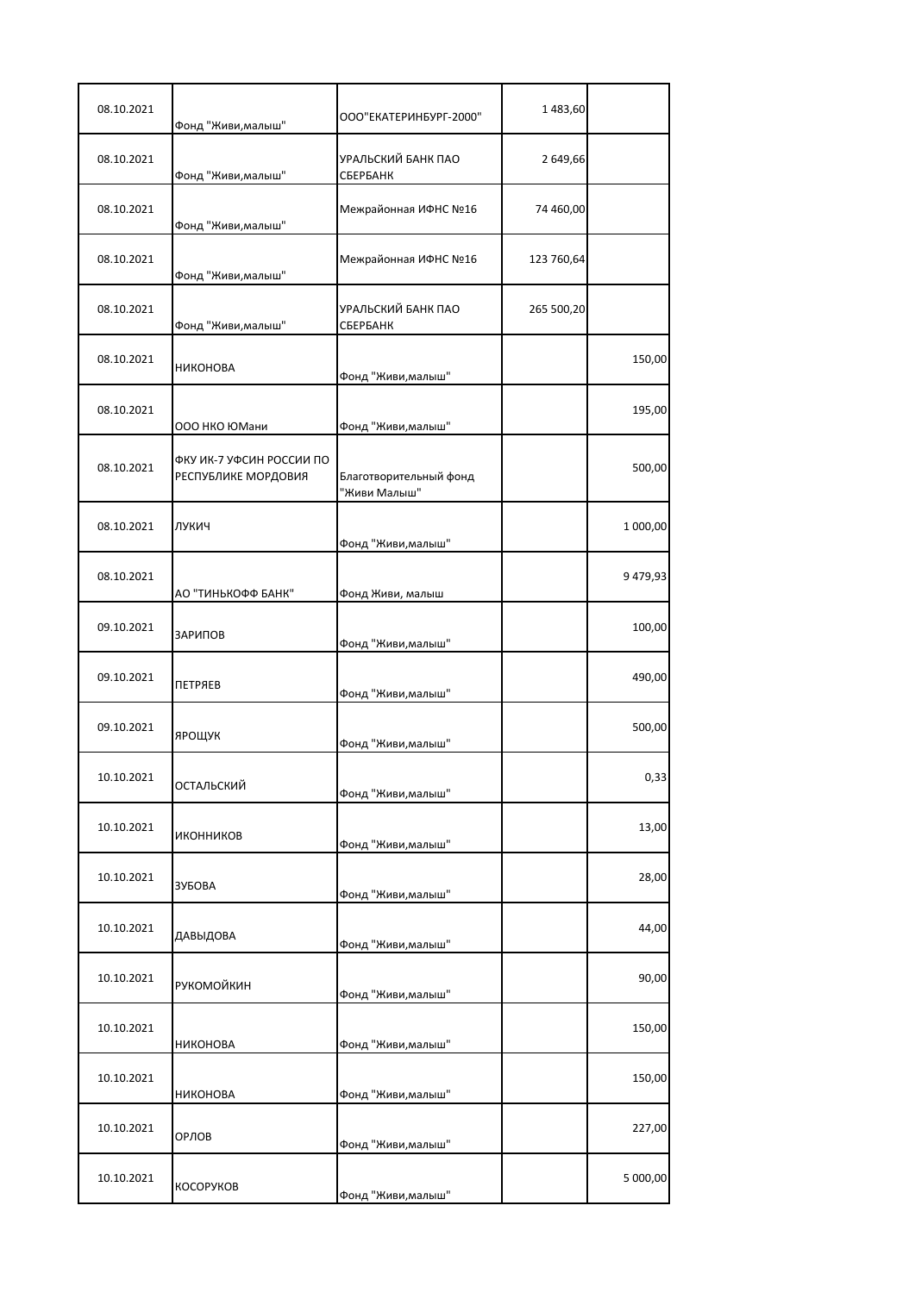| 08.10.2021 | Фонд "Живи, малыш"                              | ООО"ЕКАТЕРИНБУРГ-2000"                 | 1483,60    |          |
|------------|-------------------------------------------------|----------------------------------------|------------|----------|
| 08.10.2021 | Фонд "Живи, малыш"                              | УРАЛЬСКИЙ БАНК ПАО<br>СБЕРБАНК         | 2 649,66   |          |
| 08.10.2021 | Фонд "Живи, малыш"                              | Межрайонная ИФНС №16                   | 74 460,00  |          |
| 08.10.2021 | Фонд "Живи, малыш"                              | Межрайонная ИФНС №16                   | 123 760,64 |          |
| 08.10.2021 | Фонд "Живи, малыш"                              | УРАЛЬСКИЙ БАНК ПАО<br>СБЕРБАНК         | 265 500,20 |          |
| 08.10.2021 | <b>НИКОНОВА</b>                                 | Фонд "Живи, малыш"                     |            | 150,00   |
| 08.10.2021 | ООО НКО ЮМани                                   | Фонд "Живи, малыш"                     |            | 195,00   |
| 08.10.2021 | ФКУ ИК-7 УФСИН РОССИИ ПО<br>РЕСПУБЛИКЕ МОРДОВИЯ | Благотворительный фонд<br>"Живи Малыш" |            | 500,00   |
| 08.10.2021 | ЛУКИЧ                                           | Фонд "Живи, малыш"                     |            | 1 000,00 |
| 08.10.2021 | АО "ТИНЬКОФФ БАНК"                              | Фонд Живи, малыш                       |            | 9479,93  |
| 09.10.2021 | ЗАРИПОВ                                         | Фонд "Живи, малыш"                     |            | 100,00   |
| 09.10.2021 | ПЕТРЯЕВ                                         | Фонд "Живи, малыш"                     |            | 490,00   |
| 09.10.2021 | ЯРОЩУК                                          | Фонд "Живи, малыш"                     |            | 500,00   |
| 10.10.2021 | ОСТАЛЬСКИЙ                                      | Фонд "Живи, малыш"                     |            | 0,33     |
| 10.10.2021 | ИКОННИКОВ                                       | Фонд "Живи, малыш"                     |            | 13,00    |
| 10.10.2021 | ЗУБОВА                                          | Фонд "Живи, малыш"                     |            | 28,00    |
| 10.10.2021 | ДАВЫДОВА                                        | Фонд "Живи, малыш"                     |            | 44,00    |
| 10.10.2021 | РУКОМОЙКИН                                      | Фонд "Живи, малыш"                     |            | 90,00    |
| 10.10.2021 | НИКОНОВА                                        | Фонд "Живи, малыш"                     |            | 150,00   |
| 10.10.2021 | <b>НИКОНОВА</b>                                 | Фонд "Живи, малыш"                     |            | 150,00   |
| 10.10.2021 | ОРЛОВ                                           | Фонд "Живи, малыш"                     |            | 227,00   |
| 10.10.2021 | КОСОРУКОВ                                       | Фонд "Живи, малыш"                     |            | 5 000,00 |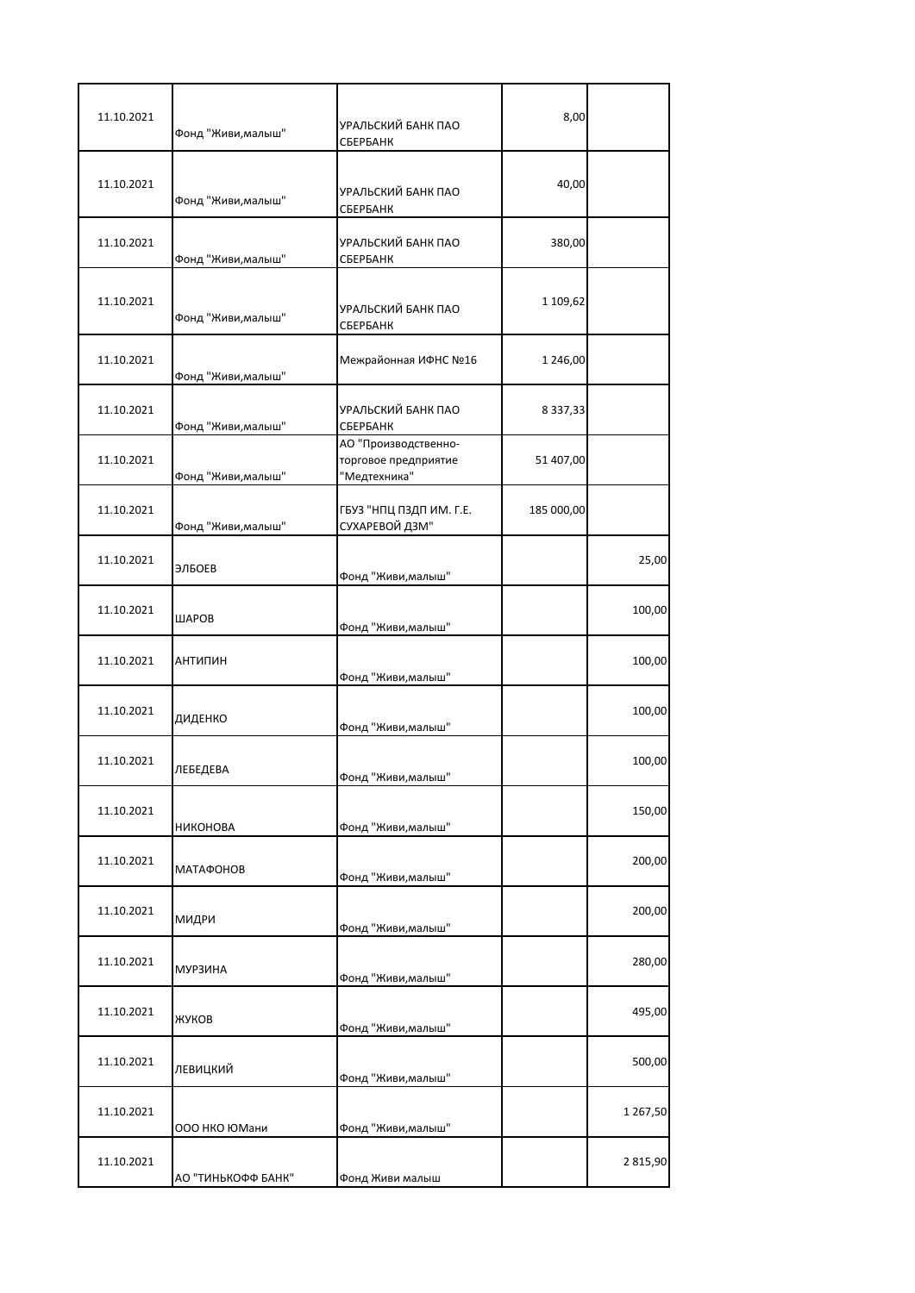| 11.10.2021 | Фонд "Живи, малыш" | УРАЛЬСКИЙ БАНК ПАО<br>СБЕРБАНК                               | 8,00          |          |
|------------|--------------------|--------------------------------------------------------------|---------------|----------|
| 11.10.2021 | Фонд "Живи, малыш" | УРАЛЬСКИЙ БАНК ПАО<br>СБЕРБАНК                               | 40,00         |          |
| 11.10.2021 | Фонд "Живи, малыш" | УРАЛЬСКИЙ БАНК ПАО<br>СБЕРБАНК                               | 380,00        |          |
| 11.10.2021 | Фонд "Живи, малыш" | УРАЛЬСКИЙ БАНК ПАО<br>СБЕРБАНК                               | 1 109,62      |          |
| 11.10.2021 | Фонд "Живи, малыш" | Межрайонная ИФНС №16                                         | 1 246,00      |          |
| 11.10.2021 | Фонд "Живи, малыш" | УРАЛЬСКИЙ БАНК ПАО<br>СБЕРБАНК                               | 8 3 3 7 , 3 3 |          |
| 11.10.2021 | Фонд "Живи, малыш" | АО "Производственно-<br>торговое предприятие<br>"Медтехника" | 51 407,00     |          |
| 11.10.2021 | Фонд "Живи, малыш" | ГБУЗ "НПЦ ПЗДП ИМ. Г.Е.<br>СУХАРЕВОЙ ДЗМ"                    | 185 000,00    |          |
| 11.10.2021 | ЭЛБОЕВ             | Фонд "Живи, малыш"                                           |               | 25,00    |
| 11.10.2021 | ШАРОВ              | Фонд "Живи, малыш"                                           |               | 100,00   |
| 11.10.2021 | <b>АНТИПИН</b>     | Фонд "Живи, малыш"                                           |               | 100,00   |
| 11.10.2021 | ДИДЕНКО            | Фонд "Живи, малыш"                                           |               | 100,00   |
| 11.10.2021 | ЛЕБЕДЕВА           | Фонд "Живи, малыш"                                           |               | 100,00   |
| 11.10.2021 | НИКОНОВА           | Фонд "Живи, малыш"                                           |               | 150,00   |
| 11.10.2021 | <b>МАТАФОНОВ</b>   | Фонд "Живи, малыш"                                           |               | 200,00   |
| 11.10.2021 | МИДРИ              | Фонд "Живи, малыш"                                           |               | 200,00   |
| 11.10.2021 | МУРЗИНА            | Фонд "Живи, малыш"                                           |               | 280,00   |
| 11.10.2021 | ЖУКОВ              | Фонд "Живи, малыш"                                           |               | 495,00   |
| 11.10.2021 | ЛЕВИЦКИЙ           | Фонд "Живи, малыш"                                           |               | 500,00   |
| 11.10.2021 | ООО НКО ЮМани      | Фонд "Живи, малыш"                                           |               | 1 267,50 |
| 11.10.2021 | АО "ТИНЬКОФФ БАНК" | Фонд Живи малыш                                              |               | 2815,90  |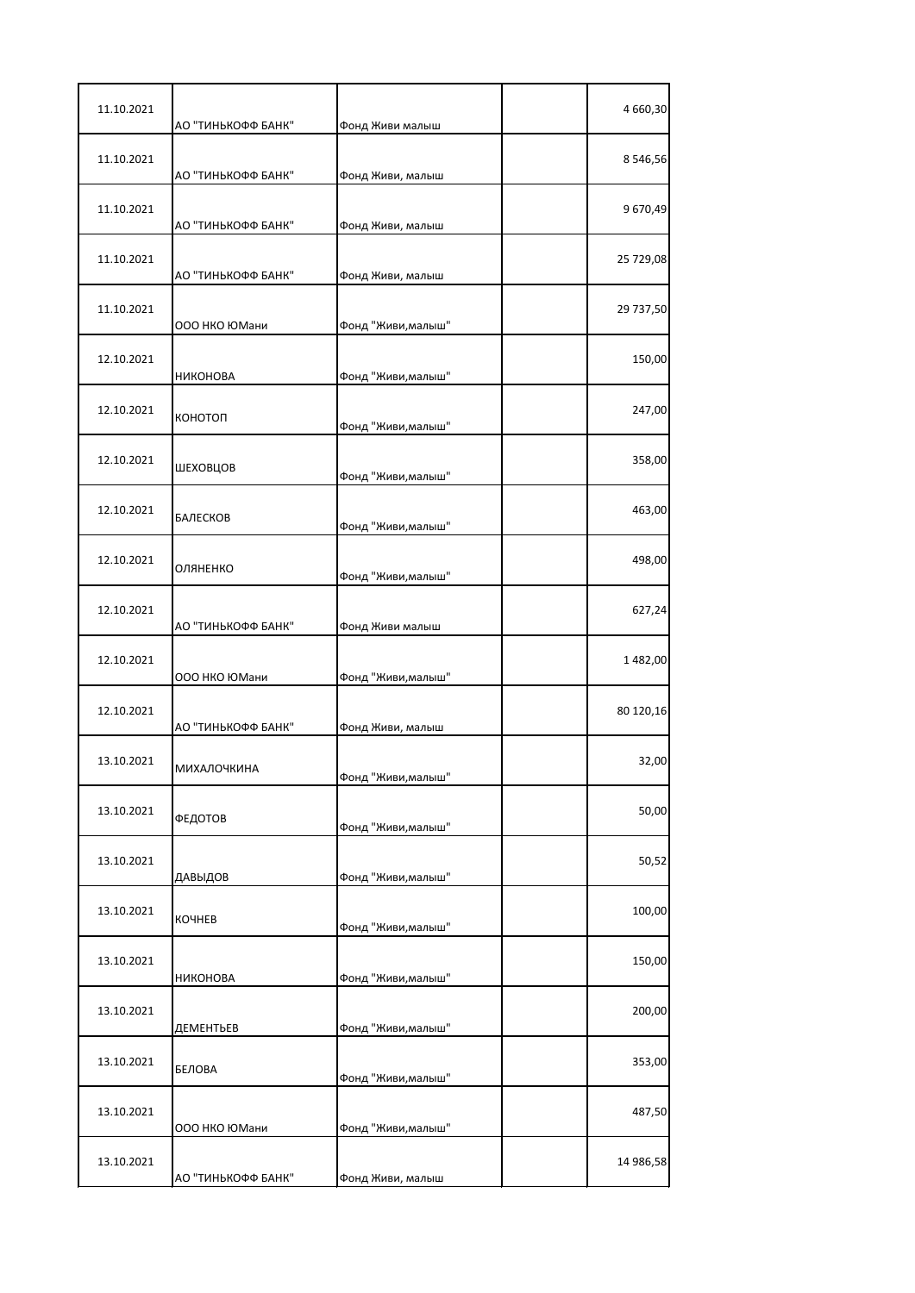| 11.10.2021 | АО "ТИНЬКОФФ БАНК"                  | Фонд Живи малыш                        | 4 660,30  |
|------------|-------------------------------------|----------------------------------------|-----------|
| 11.10.2021 | АО "ТИНЬКОФФ БАНК"                  | Фонд Живи, малыш                       | 8546,56   |
| 11.10.2021 | АО "ТИНЬКОФФ БАНК"                  | Фонд Живи, малыш                       | 9 670,49  |
| 11.10.2021 | АО "ТИНЬКОФФ БАНК"                  | Фонд Живи, малыш                       | 25 729,08 |
| 11.10.2021 | ООО НКО ЮМани                       | Фонд "Живи, малыш"                     | 29 737,50 |
| 12.10.2021 | НИКОНОВА                            | Фонд "Живи, малыш"                     | 150,00    |
| 12.10.2021 | конотоп                             | Фонд "Живи, малыш"                     | 247,00    |
| 12.10.2021 | ШЕХОВЦОВ                            | Фонд "Живи, малыш"                     | 358,00    |
| 12.10.2021 | БАЛЕСКОВ                            | Фонд "Живи, малыш"                     | 463,00    |
| 12.10.2021 | ОЛЯНЕНКО                            | Фонд "Живи, малыш"                     | 498,00    |
| 12.10.2021 | АО "ТИНЬКОФФ БАНК"                  | Фонд Живи малыш                        | 627,24    |
| 12.10.2021 | ООО НКО ЮМани                       | Фонд "Живи, малыш"                     | 1482,00   |
| 12.10.2021 | АО "ТИНЬКОФФ БАНК"                  | Фонд Живи, малыш                       | 80 120,16 |
| 13.10.2021 | <b>МИХАЛОЧКИНА</b>                  | Фонд "Живи,малыш"                      | 32,00     |
| 13.10.2021 | ФЕДОТОВ                             | Фонд "Живи, малыш"                     | 50,00     |
| 13.10.2021 | ДАВЫДОВ                             | Фонд "Живи, малыш"                     | 50,52     |
| 13.10.2021 | КОЧНЕВ                              | Фонд "Живи, малыш"                     | 100,00    |
| 13.10.2021 | НИКОНОВА                            | Фонд "Живи, малыш"                     | 150,00    |
| 13.10.2021 | ДЕМЕНТЬЕВ                           | Фонд "Живи, малыш"                     | 200,00    |
| 13.10.2021 | БЕЛОВА                              | Фонд "Живи, малыш"                     | 353,00    |
| 13.10.2021 |                                     |                                        | 487,50    |
| 13.10.2021 | ООО НКО ЮМани<br>АО "ТИНЬКОФФ БАНК" | Фонд "Живи, малыш"<br>Фонд Живи, малыш | 14 986,58 |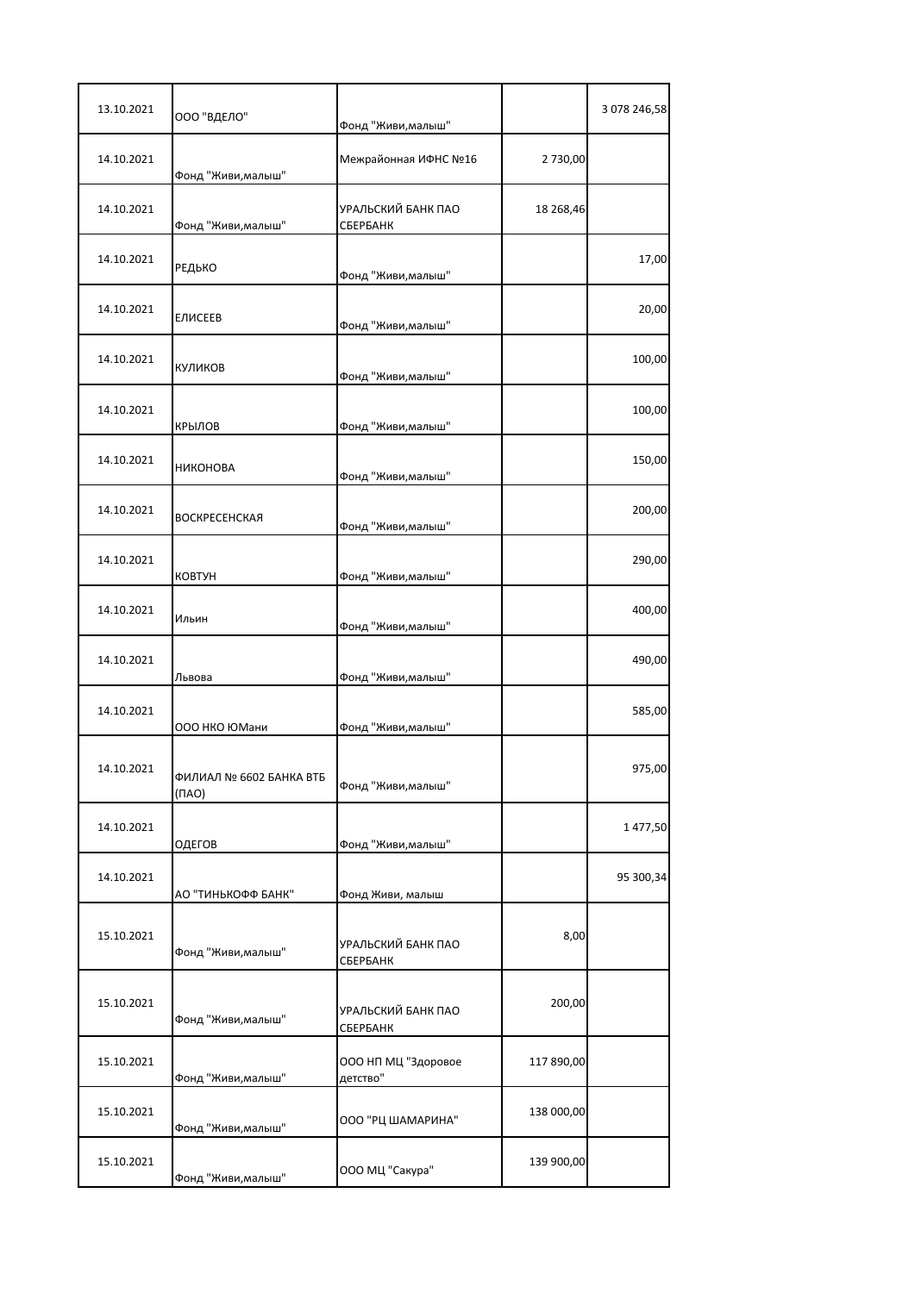| 13.10.2021 | ООО "ВДЕЛО"                            | Фонд "Живи, малыш"              |            | 3 078 246,58 |
|------------|----------------------------------------|---------------------------------|------------|--------------|
| 14.10.2021 | Фонд "Живи, малыш"                     | Межрайонная ИФНС №16            | 2 730,00   |              |
| 14.10.2021 | Фонд "Живи, малыш"                     | УРАЛЬСКИЙ БАНК ПАО<br>СБЕРБАНК  | 18 268,46  |              |
| 14.10.2021 | РЕДЬКО                                 | Фонд "Живи, малыш"              |            | 17,00        |
| 14.10.2021 | ЕЛИСЕЕВ                                | Фонд "Живи, малыш"              |            | 20,00        |
| 14.10.2021 | КУЛИКОВ                                | Фонд "Живи, малыш"              |            | 100,00       |
| 14.10.2021 | КРЫЛОВ                                 | Фонд "Живи, малыш"              |            | 100,00       |
| 14.10.2021 | <b>НИКОНОВА</b>                        | Фонд "Живи, малыш"              |            | 150,00       |
| 14.10.2021 | ВОСКРЕСЕНСКАЯ                          | Фонд "Живи, малыш"              |            | 200,00       |
| 14.10.2021 | <b>KOBTYH</b>                          | Фонд "Живи, малыш"              |            | 290,00       |
| 14.10.2021 | Ильин                                  | Фонд "Живи, малыш"              |            | 400,00       |
| 14.10.2021 | Львова                                 | Фонд "Живи, малыш"              |            | 490,00       |
| 14.10.2021 | ООО НКО ЮМани                          | Фонд "Живи, малыш"              |            | 585,00       |
| 14.10.2021 | ФИЛИАЛ № 6602 БАНКА ВТБ<br>$(\Pi A O)$ | Фонд "Живи, малыш"              |            | 975,00       |
| 14.10.2021 | ОДЕГОВ                                 | Фонд "Живи, малыш"              |            | 1477,50      |
| 14.10.2021 | АО "ТИНЬКОФФ БАНК"                     | Фонд Живи, малыш                |            | 95 300,34    |
| 15.10.2021 | Фонд "Живи, малыш"                     | УРАЛЬСКИЙ БАНК ПАО<br>СБЕРБАНК  | 8,00       |              |
| 15.10.2021 | Фонд "Живи, малыш"                     | УРАЛЬСКИЙ БАНК ПАО<br>СБЕРБАНК  | 200,00     |              |
| 15.10.2021 | Фонд "Живи, малыш"                     | ООО НП МЦ "Здоровое<br>детство" | 117 890,00 |              |
| 15.10.2021 | Фонд "Живи, малыш"                     | ООО "РЦ ШАМАРИНА"               | 138 000,00 |              |
| 15.10.2021 | Фонд "Живи, малыш"                     | ООО МЦ "Сакура"                 | 139 900,00 |              |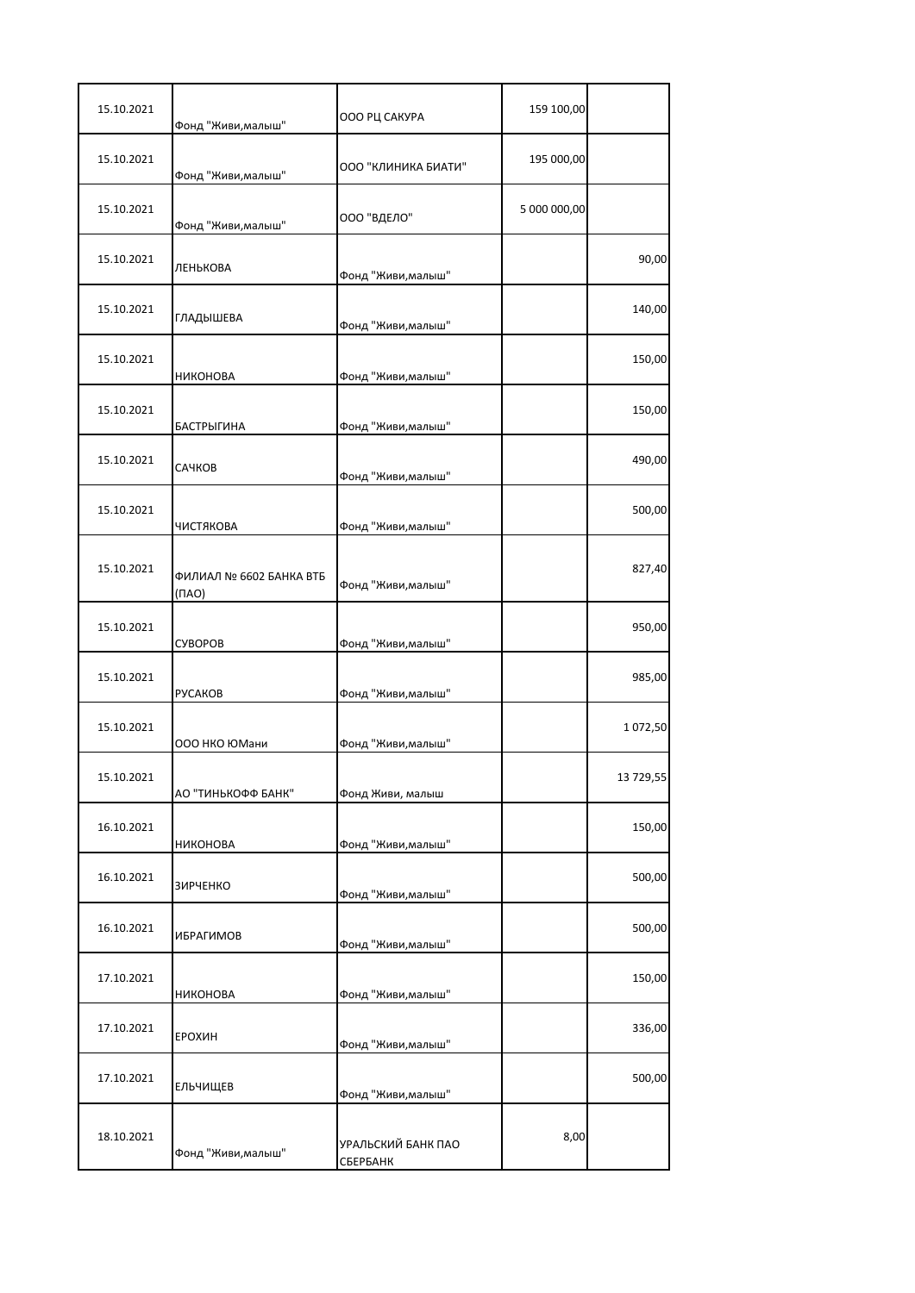| 15.10.2021 | Фонд "Живи, малыш"                     | ООО РЦ САКУРА                  | 159 100,00   |           |
|------------|----------------------------------------|--------------------------------|--------------|-----------|
| 15.10.2021 | Фонд "Живи, малыш"                     | ООО "КЛИНИКА БИАТИ"            | 195 000,00   |           |
| 15.10.2021 | Фонд "Живи, малыш"                     | ООО "ВДЕЛО"                    | 5 000 000,00 |           |
| 15.10.2021 | ЛЕНЬКОВА                               | Фонд "Живи, малыш"             |              | 90,00     |
| 15.10.2021 | ГЛАДЫШЕВА                              | Фонд "Живи, малыш"             |              | 140,00    |
| 15.10.2021 | НИКОНОВА                               | Фонд "Живи, малыш"             |              | 150,00    |
| 15.10.2021 | <b>БАСТРЫГИНА</b>                      | Фонд "Живи, малыш"             |              | 150,00    |
| 15.10.2021 | САЧКОВ                                 | Фонд "Живи, малыш"             |              | 490,00    |
| 15.10.2021 | ЧИСТЯКОВА                              | Фонд "Живи, малыш"             |              | 500,00    |
| 15.10.2021 | ФИЛИАЛ № 6602 БАНКА ВТБ<br>$(\Pi A O)$ | Фонд "Живи, малыш"             |              | 827,40    |
| 15.10.2021 | <b>CYBOPOB</b>                         | Фонд "Живи, малыш"             |              | 950,00    |
| 15.10.2021 | <b>PYCAKOB</b>                         | Фонд "Живи, малыш"             |              | 985,00    |
| 15.10.2021 | 000 НКО ЮМани                          | Фонд "Живи, малыш"             |              | 1072,50   |
| 15.10.2021 | АО "ТИНЬКОФФ БАНК"                     | Фонд Живи, малыш               |              | 13 729,55 |
| 16.10.2021 | НИКОНОВА                               | Фонд "Живи, малыш"             |              | 150,00    |
| 16.10.2021 | <b>ЗИРЧЕНКО</b>                        | Фонд "Живи, малыш"             |              | 500,00    |
| 16.10.2021 | ИБРАГИМОВ                              | Фонд "Живи, малыш"             |              | 500,00    |
| 17.10.2021 | НИКОНОВА                               | Фонд "Живи, малыш"             |              | 150,00    |
| 17.10.2021 | ЕРОХИН                                 | Фонд "Живи, малыш"             |              | 336,00    |
| 17.10.2021 | ЕЛЬЧИЩЕВ                               | Фонд "Живи, малыш"             |              | 500,00    |
| 18.10.2021 | Фонд "Живи, малыш"                     | УРАЛЬСКИЙ БАНК ПАО<br>СБЕРБАНК | 8,00         |           |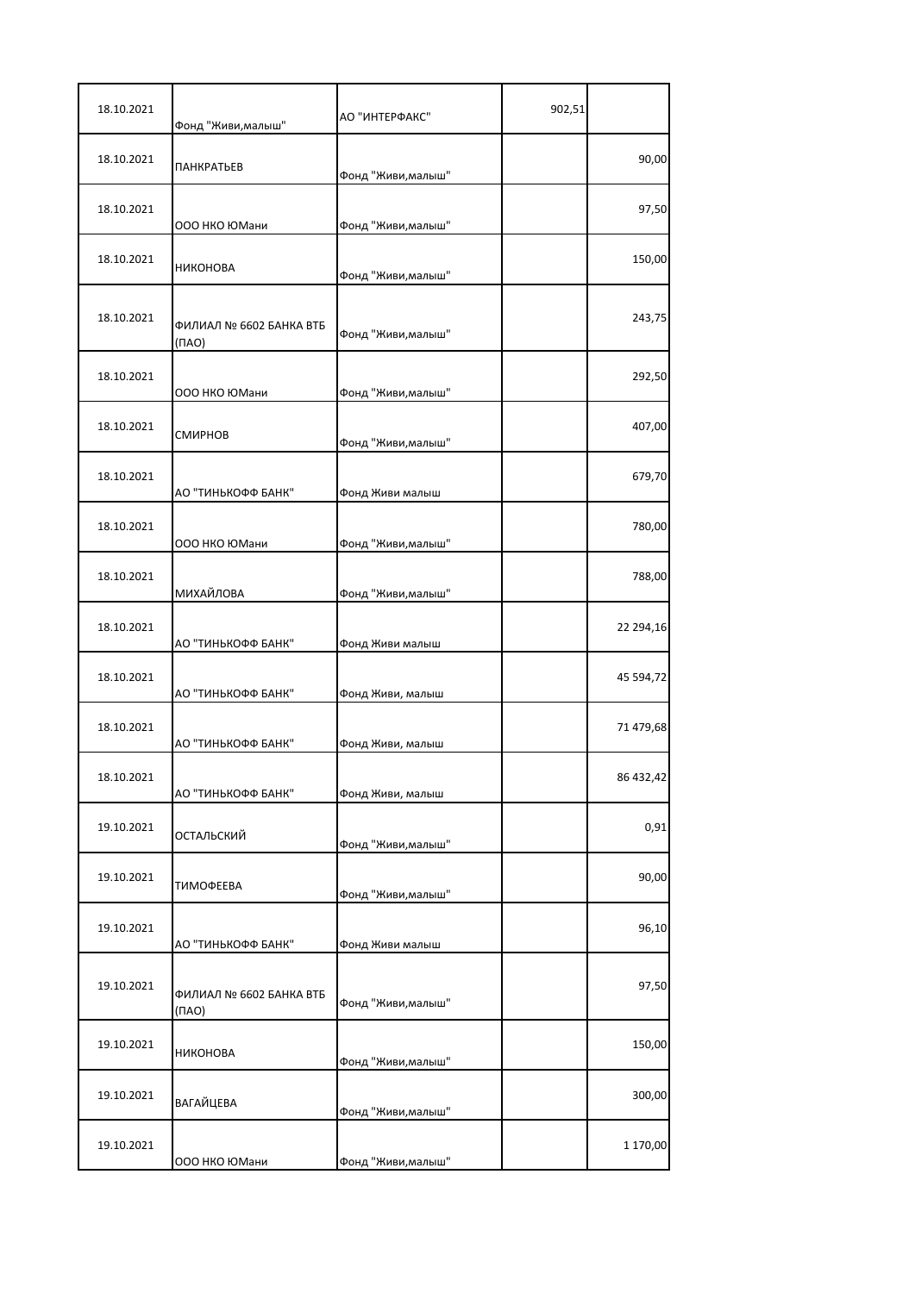| 18.10.2021 | Фонд "Живи,малыш"                      | АО "ИНТЕРФАКС"     | 902,51 |           |
|------------|----------------------------------------|--------------------|--------|-----------|
| 18.10.2021 | <b>ПАНКРАТЬЕВ</b>                      | Фонд "Живи, малыш" |        | 90,00     |
| 18.10.2021 | 000 НКО ЮМани                          | Фонд "Живи, малыш" |        | 97,50     |
| 18.10.2021 | НИКОНОВА                               | Фонд "Живи, малыш" |        | 150,00    |
| 18.10.2021 | ФИЛИАЛ № 6602 БАНКА ВТБ<br>(NAO)       | Фонд "Живи, малыш" |        | 243,75    |
| 18.10.2021 | 000 НКО ЮМани                          | Фонд "Живи, малыш" |        | 292,50    |
| 18.10.2021 | СМИРНОВ                                | Фонд "Живи, малыш" |        | 407,00    |
| 18.10.2021 | АО "ТИНЬКОФФ БАНК"                     | Фонд Живи малыш    |        | 679,70    |
| 18.10.2021 | ООО НКО ЮМани                          | Фонд "Живи, малыш" |        | 780,00    |
| 18.10.2021 | МИХАЙЛОВА                              | Фонд "Живи, малыш" |        | 788,00    |
| 18.10.2021 | АО "ТИНЬКОФФ БАНК"                     | Фонд Живи малыш    |        | 22 294,16 |
| 18.10.2021 | АО "ТИНЬКОФФ БАНК"                     | Фонд Живи, малыш   |        | 45 594,72 |
| 18.10.2021 | АО "ТИНЬКОФФ БАНК"                     | Фонд Живи, малыш   |        | 71 479,68 |
| 18.10.2021 | АО "ТИНЬКОФФ БАНК"                     | Фонд Живи, малыш   |        | 86 432,42 |
| 19.10.2021 | ОСТАЛЬСКИЙ                             | Фонд "Живи, малыш" |        | 0,91      |
| 19.10.2021 | ТИМОФЕЕВА                              | Фонд "Живи, малыш" |        | 90,00     |
| 19.10.2021 | АО "ТИНЬКОФФ БАНК"                     | Фонд Живи малыш    |        | 96,10     |
| 19.10.2021 | ФИЛИАЛ № 6602 БАНКА ВТБ<br>$(\Pi A O)$ | Фонд "Живи, малыш" |        | 97,50     |
| 19.10.2021 | НИКОНОВА                               | Фонд "Живи, малыш" |        | 150,00    |
| 19.10.2021 | <b>ВАГАЙЦЕВА</b>                       | Фонд "Живи, малыш" |        | 300,00    |
| 19.10.2021 | 000 НКО ЮМани                          | Фонд "Живи, малыш" |        | 1 170,00  |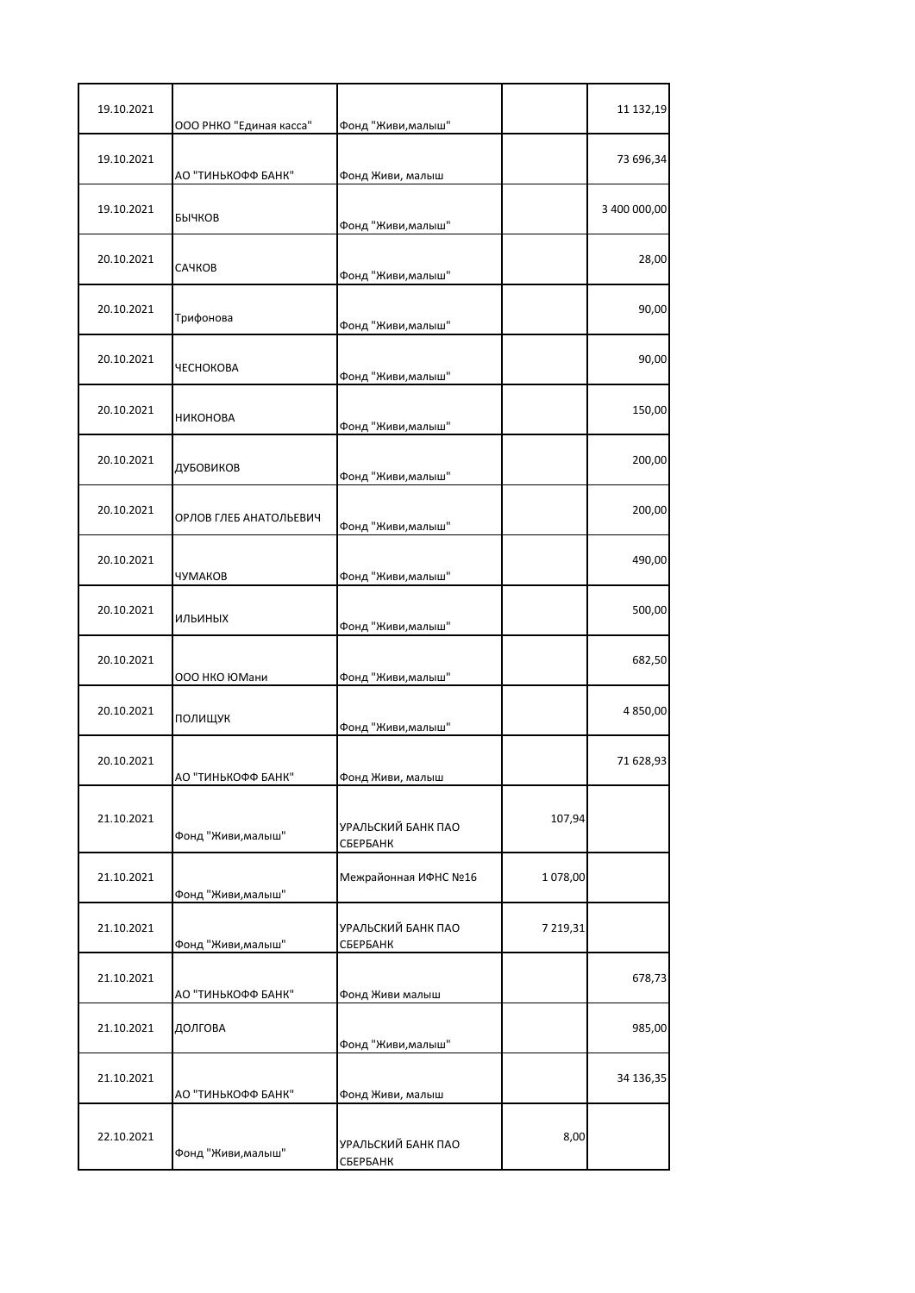| 19.10.2021 | ООО РНКО "Единая касса" | Фонд "Живи, малыш"             |          | 11 132,19    |
|------------|-------------------------|--------------------------------|----------|--------------|
| 19.10.2021 | АО "ТИНЬКОФФ БАНК"      | Фонд Живи, малыш               |          | 73 696,34    |
| 19.10.2021 | БЫЧКОВ                  | Фонд "Живи, малыш"             |          | 3 400 000,00 |
| 20.10.2021 | САЧКОВ                  | Фонд "Живи, малыш"             |          | 28,00        |
| 20.10.2021 | Трифонова               | Фонд "Живи, малыш"             |          | 90,00        |
| 20.10.2021 | <b>ЧЕСНОКОВА</b>        | Фонд "Живи, малыш"             |          | 90,00        |
| 20.10.2021 | <b>НИКОНОВА</b>         | Фонд "Живи, малыш"             |          | 150,00       |
| 20.10.2021 | ДУБОВИКОВ               | Фонд "Живи, малыш"             |          | 200,00       |
| 20.10.2021 | ОРЛОВ ГЛЕБ АНАТОЛЬЕВИЧ  | Фонд "Живи, малыш"             |          | 200,00       |
| 20.10.2021 | ЧУМАКОВ                 | Фонд "Живи, малыш"             |          | 490,00       |
| 20.10.2021 | <b>ИЛЬИНЫХ</b>          | Фонд "Живи, малыш"             |          | 500,00       |
| 20.10.2021 | ООО НКО ЮМани           | Фонд "Живи, малыш"             |          | 682,50       |
| 20.10.2021 | ПОЛИЩУК                 | Фонд "Живи, малыш"             |          | 4 850,00     |
| 20.10.2021 | АО "ТИНЬКОФФ БАНК"      | Фонд Живи, малыш               |          | 71 628,93    |
| 21.10.2021 | Фонд "Живи, малыш"      | УРАЛЬСКИЙ БАНК ПАО<br>СБЕРБАНК | 107,94   |              |
| 21.10.2021 | Фонд "Живи, малыш"      | Межрайонная ИФНС №16           | 1 078,00 |              |
| 21.10.2021 | Фонд "Живи, малыш"      | УРАЛЬСКИЙ БАНК ПАО<br>СБЕРБАНК | 7 219,31 |              |
| 21.10.2021 | АО "ТИНЬКОФФ БАНК"      | Фонд Живи малыш                |          | 678,73       |
| 21.10.2021 | ДОЛГОВА                 | Фонд "Живи, малыш"             |          | 985,00       |
| 21.10.2021 | АО "ТИНЬКОФФ БАНК"      | Фонд Живи, малыш               |          | 34 136,35    |
| 22.10.2021 | Фонд "Живи, малыш"      | УРАЛЬСКИЙ БАНК ПАО<br>СБЕРБАНК | 8,00     |              |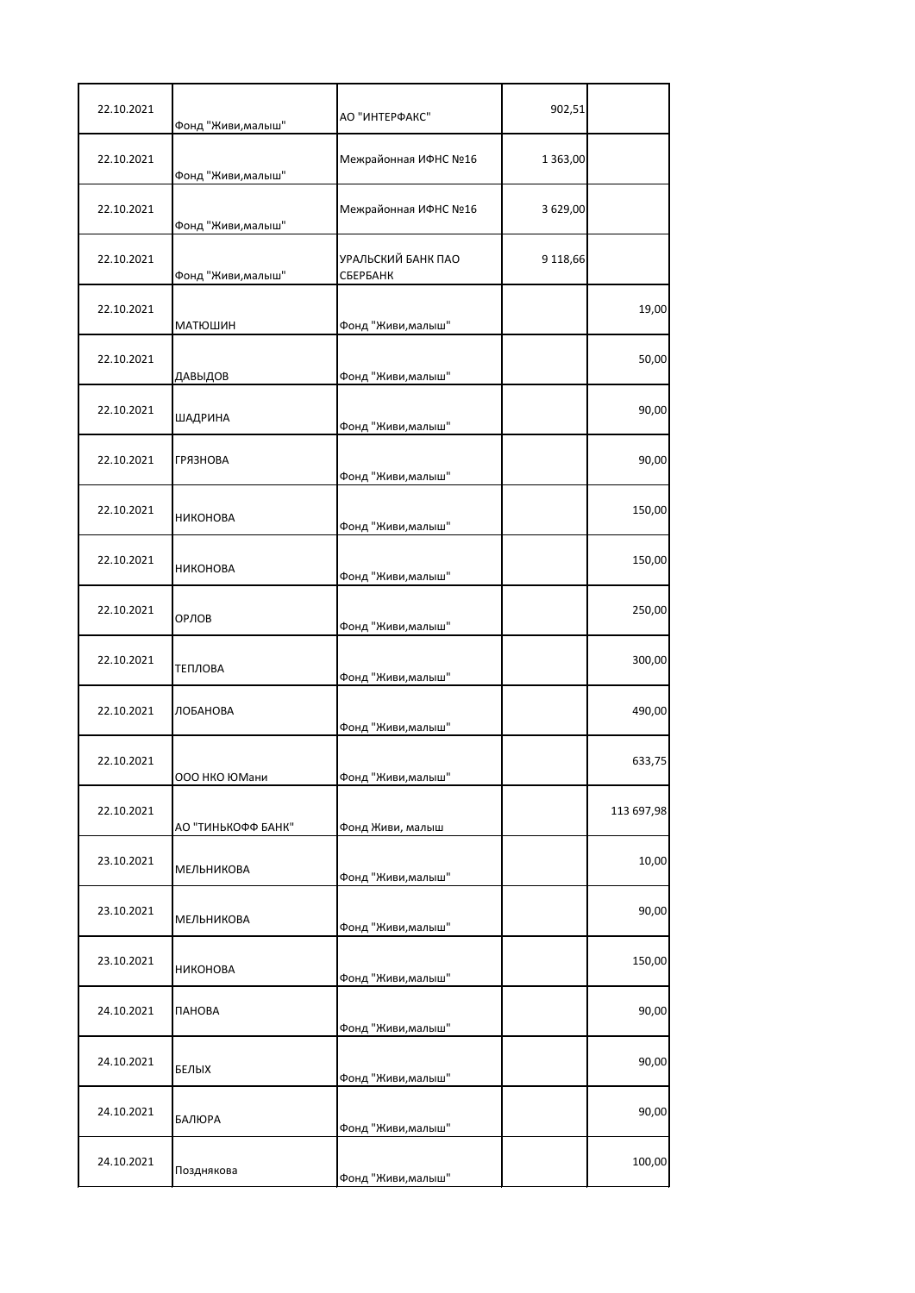| 22.10.2021 | Фонд "Живи, малыш" | АО "ИНТЕРФАКС"                 | 902,51   |            |
|------------|--------------------|--------------------------------|----------|------------|
| 22.10.2021 | Фонд "Живи, малыш" | Межрайонная ИФНС №16           | 1 363,00 |            |
| 22.10.2021 | Фонд "Живи, малыш" | Межрайонная ИФНС №16           | 3 629,00 |            |
| 22.10.2021 | Фонд "Живи, малыш" | УРАЛЬСКИЙ БАНК ПАО<br>СБЕРБАНК | 9 118,66 |            |
| 22.10.2021 | <b>МАТЮШИН</b>     | Фонд "Живи, малыш"             |          | 19,00      |
| 22.10.2021 | ДАВЫДОВ            | Фонд "Живи, малыш"             |          | 50,00      |
| 22.10.2021 | ШАДРИНА            | Фонд "Живи, малыш"             |          | 90,00      |
| 22.10.2021 | <b>ГРЯЗНОВА</b>    | Фонд "Живи, малыш"             |          | 90,00      |
| 22.10.2021 | НИКОНОВА           | Фонд "Живи, малыш"             |          | 150,00     |
| 22.10.2021 | <b>НИКОНОВА</b>    | Фонд "Живи, малыш"             |          | 150,00     |
| 22.10.2021 | ОРЛОВ              | Фонд "Живи, малыш"             |          | 250,00     |
| 22.10.2021 | ТЕПЛОВА            | Фонд "Живи, малыш"             |          | 300,00     |
| 22.10.2021 | ЛОБАНОВА           | Фонд "Живи, малыш"             |          | 490,00     |
| 22.10.2021 | 000 НКО ЮМани      | Фонд "Живи,малыш"              |          | 633,75     |
| 22.10.2021 | АО "ТИНЬКОФФ БАНК" | Фонд Живи, малыш               |          | 113 697,98 |
| 23.10.2021 | <b>МЕЛЬНИКОВА</b>  | Фонд "Живи, малыш"             |          | 10,00      |
| 23.10.2021 | МЕЛЬНИКОВА         | Фонд "Живи, малыш"             |          | 90,00      |
| 23.10.2021 | НИКОНОВА           | Фонд "Живи, малыш"             |          | 150,00     |
| 24.10.2021 | ПАНОВА             | Фонд "Живи, малыш"             |          | 90,00      |
| 24.10.2021 | БЕЛЫХ              | Фонд "Живи, малыш"             |          | 90,00      |
| 24.10.2021 | БАЛЮРА             | Фонд "Живи, малыш"             |          | 90,00      |
| 24.10.2021 | Позднякова         | Фонд "Живи, малыш"             |          | 100,00     |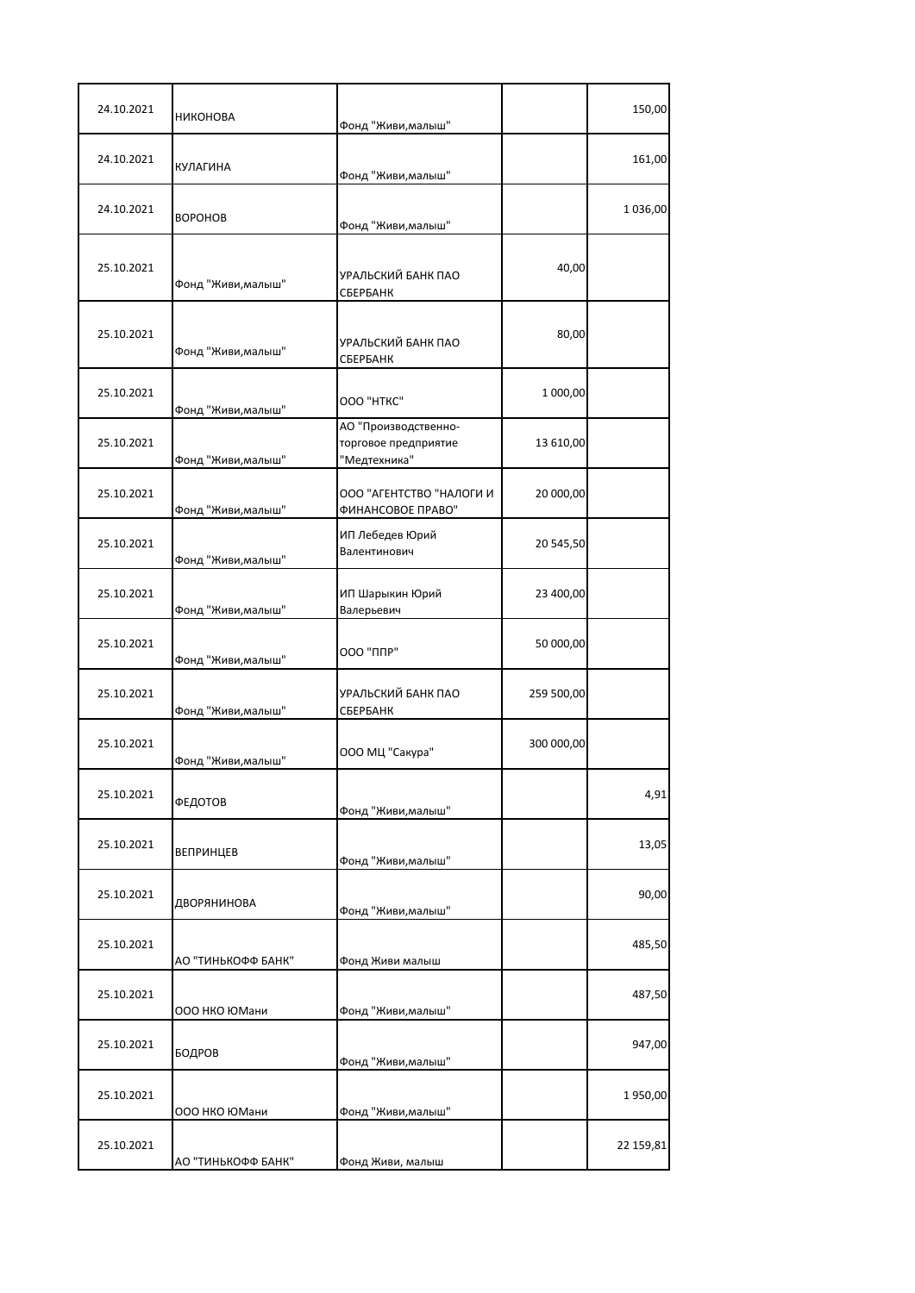| НИКОНОВА           |                                                              |                                                                | 150,00    |
|--------------------|--------------------------------------------------------------|----------------------------------------------------------------|-----------|
| КУЛАГИНА           |                                                              |                                                                | 161,00    |
| <b>BOPOHOB</b>     | Фонд "Живи, малыш"                                           |                                                                | 1036,00   |
| Фонд "Живи, малыш" | УРАЛЬСКИЙ БАНК ПАО<br>СБЕРБАНК                               | 40,00                                                          |           |
| Фонд "Живи, малыш" | УРАЛЬСКИЙ БАНК ПАО<br>СБЕРБАНК                               | 80,00                                                          |           |
| Фонд "Живи, малыш" | OOO "HTKC"                                                   | 1 000,00                                                       |           |
| Фонд "Живи, малыш" | АО "Производственно-<br>торговое предприятие<br>"Медтехника" | 13 610,00                                                      |           |
| Фонд "Живи, малыш" | ООО "АГЕНТСТВО "НАЛОГИ И<br>ФИНАНСОВОЕ ПРАВО"                | 20 000,00                                                      |           |
|                    | ИП Лебедев Юрий<br>Валентинович                              | 20 545,50                                                      |           |
| Фонд "Живи, малыш" | ИП Шарыкин Юрий<br>Валерьевич                                | 23 400,00                                                      |           |
| Фонд "Живи,малыш"  | <b>ООО "ППР"</b>                                             | 50 000,00                                                      |           |
| Фонд "Живи, малыш" | УРАЛЬСКИЙ БАНК ПАО<br>СБЕРБАНК                               | 259 500,00                                                     |           |
| Фонд "Живи, малыш" | ООО МЦ "Сакура"                                              | 300 000,00                                                     |           |
| ФЕДОТОВ            | Фонд "Живи, малыш"                                           |                                                                | 4,91      |
| <b>ВЕПРИНЦЕВ</b>   | Фонд "Живи, малыш"                                           |                                                                | 13,05     |
| ДВОРЯНИНОВА        | Фонд "Живи, малыш"                                           |                                                                | 90,00     |
| АО "ТИНЬКОФФ БАНК" | Фонд Живи малыш                                              |                                                                | 485,50    |
| ООО НКО ЮМани      | Фонд "Живи, малыш"                                           |                                                                | 487,50    |
| БОДРОВ             | Фонд "Живи, малыш"                                           |                                                                | 947,00    |
|                    |                                                              |                                                                | 1950,00   |
| АО "ТИНЬКОФФ БАНК" | Фонд Живи, малыш                                             |                                                                | 22 159,81 |
|                    | Фонд "Живи, малыш"<br>000 НКО ЮМани                          | Фонд "Живи, малыш"<br>Фонд "Живи, малыш"<br>Фонд "Живи, малыш" |           |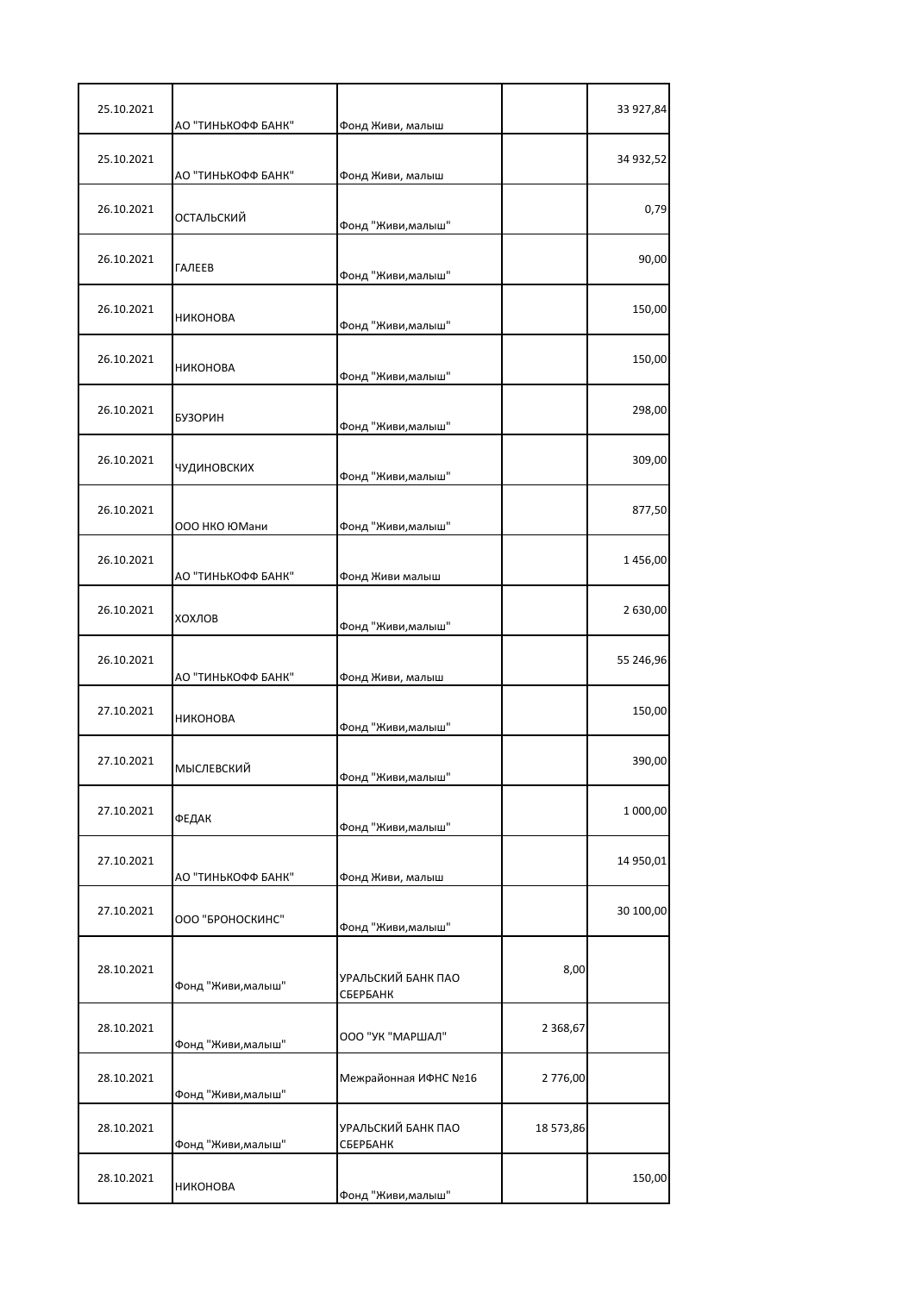| 25.10.2021 | АО "ТИНЬКОФФ БАНК" | Фонд Живи, малыш               |            | 33 927,84 |
|------------|--------------------|--------------------------------|------------|-----------|
| 25.10.2021 | АО "ТИНЬКОФФ БАНК" | Фонд Живи, малыш               |            | 34 932,52 |
| 26.10.2021 | ОСТАЛЬСКИЙ         | Фонд "Живи, малыш"             |            | 0,79      |
| 26.10.2021 | ГАЛЕЕВ             | Фонд "Живи, малыш"             |            | 90,00     |
| 26.10.2021 | <b>НИКОНОВА</b>    | Фонд "Живи, малыш"             |            | 150,00    |
| 26.10.2021 | <b>НИКОНОВА</b>    | Фонд "Живи, малыш"             |            | 150,00    |
| 26.10.2021 | <b>БУЗОРИН</b>     | Фонд "Живи, малыш"             |            | 298,00    |
| 26.10.2021 | ЧУДИНОВСКИХ        | Фонд "Живи, малыш"             |            | 309,00    |
| 26.10.2021 | 000 НКО ЮМани      | Фонд "Живи, малыш"             |            | 877,50    |
| 26.10.2021 | АО "ТИНЬКОФФ БАНК" | Фонд Живи малыш                |            | 1456,00   |
| 26.10.2021 | ХОХЛОВ             | Фонд "Живи, малыш"             |            | 2 630,00  |
| 26.10.2021 | АО "ТИНЬКОФФ БАНК" | Фонд Живи, малыш               |            | 55 246,96 |
| 27.10.2021 | НИКОНОВА           | Фонд "Живи, малыш"             |            | 150,00    |
| 27.10.2021 | <b>МЫСЛЕВСКИЙ</b>  | Фонд "Живи,малыш"              |            | 390,00    |
| 27.10.2021 | ФЕДАК              | Фонд "Живи, малыш"             |            | 1 000,00  |
| 27.10.2021 | АО "ТИНЬКОФФ БАНК" | Фонд Живи, малыш               |            | 14 950,01 |
| 27.10.2021 | ООО "БРОНОСКИНС"   | Фонд "Живи, малыш"             |            | 30 100,00 |
| 28.10.2021 | Фонд "Живи, малыш" | УРАЛЬСКИЙ БАНК ПАО<br>СБЕРБАНК | 8,00       |           |
| 28.10.2021 | Фонд "Живи, малыш" | ООО "УК "МАРШАЛ"               | 2 3 68, 67 |           |
| 28.10.2021 | Фонд "Живи, малыш" | Межрайонная ИФНС №16           | 2 776,00   |           |
| 28.10.2021 | Фонд "Живи, малыш" | УРАЛЬСКИЙ БАНК ПАО<br>СБЕРБАНК | 18 573,86  |           |
| 28.10.2021 | НИКОНОВА           | Фонд "Живи, малыш"             |            | 150,00    |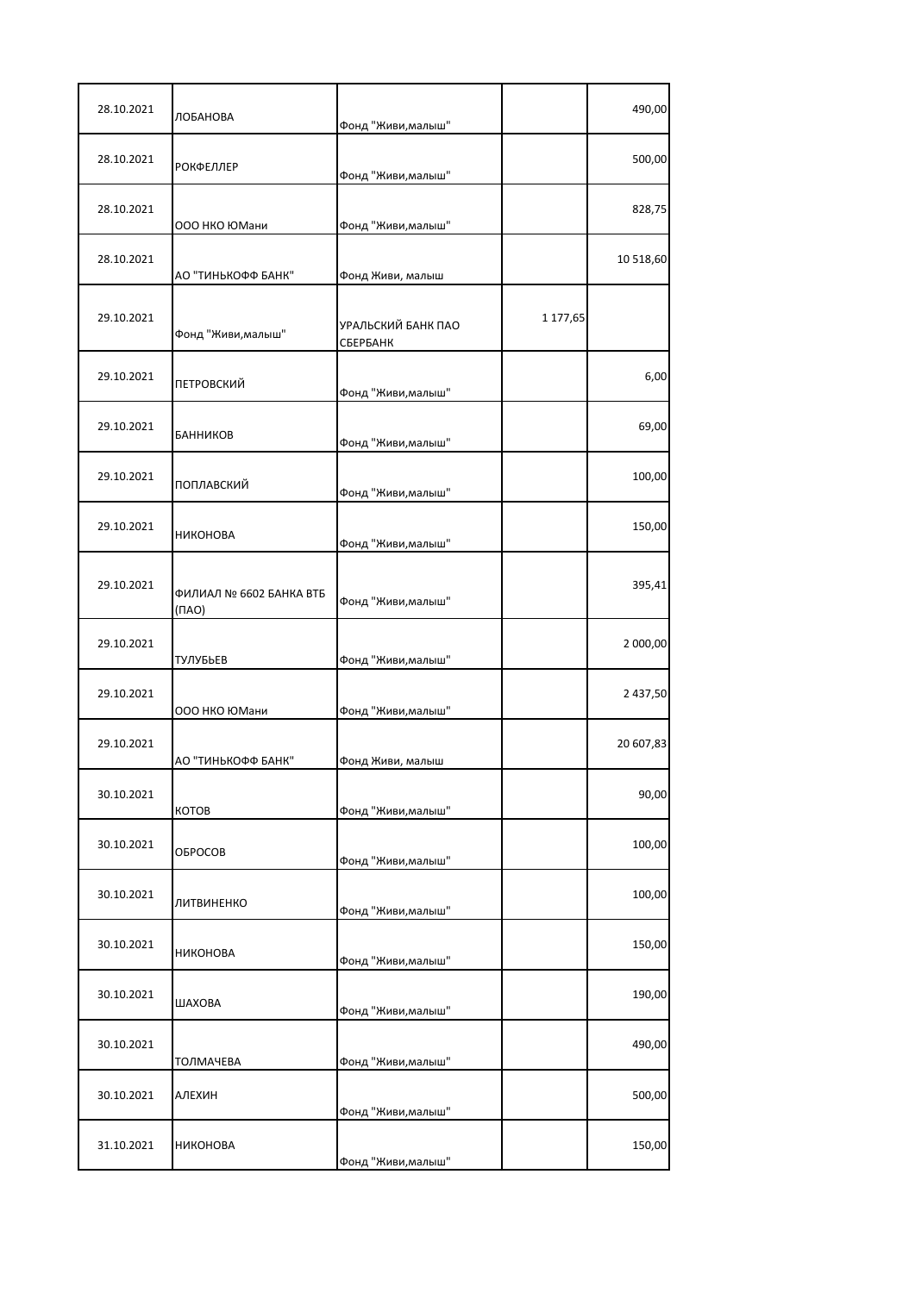| 28.10.2021 | ЛОБАНОВА                               | Фонд "Живи, малыш"             |          | 490,00    |
|------------|----------------------------------------|--------------------------------|----------|-----------|
| 28.10.2021 | <b>РОКФЕЛЛЕР</b>                       | Фонд "Живи, малыш"             |          | 500,00    |
| 28.10.2021 | ООО НКО ЮМани                          | Фонд "Живи, малыш"             |          | 828,75    |
| 28.10.2021 | АО "ТИНЬКОФФ БАНК"                     | Фонд Живи, малыш               |          | 10 518,60 |
| 29.10.2021 | Фонд "Живи, малыш"                     | УРАЛЬСКИЙ БАНК ПАО<br>СБЕРБАНК | 1 177,65 |           |
| 29.10.2021 | ПЕТРОВСКИЙ                             | Фонд "Живи, малыш"             |          | 6,00      |
| 29.10.2021 | БАННИКОВ                               | Фонд "Живи, малыш"             |          | 69,00     |
| 29.10.2021 | ПОПЛАВСКИЙ                             | Фонд "Живи, малыш"             |          | 100,00    |
| 29.10.2021 | НИКОНОВА                               | Фонд "Живи, малыш"             |          | 150,00    |
| 29.10.2021 | ФИЛИАЛ № 6602 БАНКА ВТБ<br>$(\Pi A O)$ | Фонд "Живи, малыш"             |          | 395,41    |
| 29.10.2021 | ТУЛУБЬЕВ                               | Фонд "Живи, малыш"             |          | 2 000,00  |
| 29.10.2021 | 000 НКО ЮМани                          | Фонд "Живи, малыш"             |          | 2 437,50  |
| 29.10.2021 | АО "ТИНЬКОФФ БАНК"                     | Фонд Живи, малыш               |          | 20 607,83 |
| 30.10.2021 | КОТОВ                                  | Фонд "Живи, малыш"             |          | 90,00     |
| 30.10.2021 | <b>OBPOCOB</b>                         | Фонд "Живи, малыш"             |          | 100,00    |
| 30.10.2021 | ЛИТВИНЕНКО                             | Фонд "Живи, малыш"             |          | 100,00    |
| 30.10.2021 | НИКОНОВА                               | Фонд "Живи, малыш"             |          | 150,00    |
| 30.10.2021 | ШАХОВА                                 | Фонд "Живи, малыш"             |          | 190,00    |
| 30.10.2021 | ТОЛМАЧЕВА                              | Фонд "Живи, малыш"             |          | 490,00    |
| 30.10.2021 | АЛЕХИН                                 | Фонд "Живи, малыш"             |          | 500,00    |
| 31.10.2021 | НИКОНОВА                               | Фонд "Живи, малыш"             |          | 150,00    |